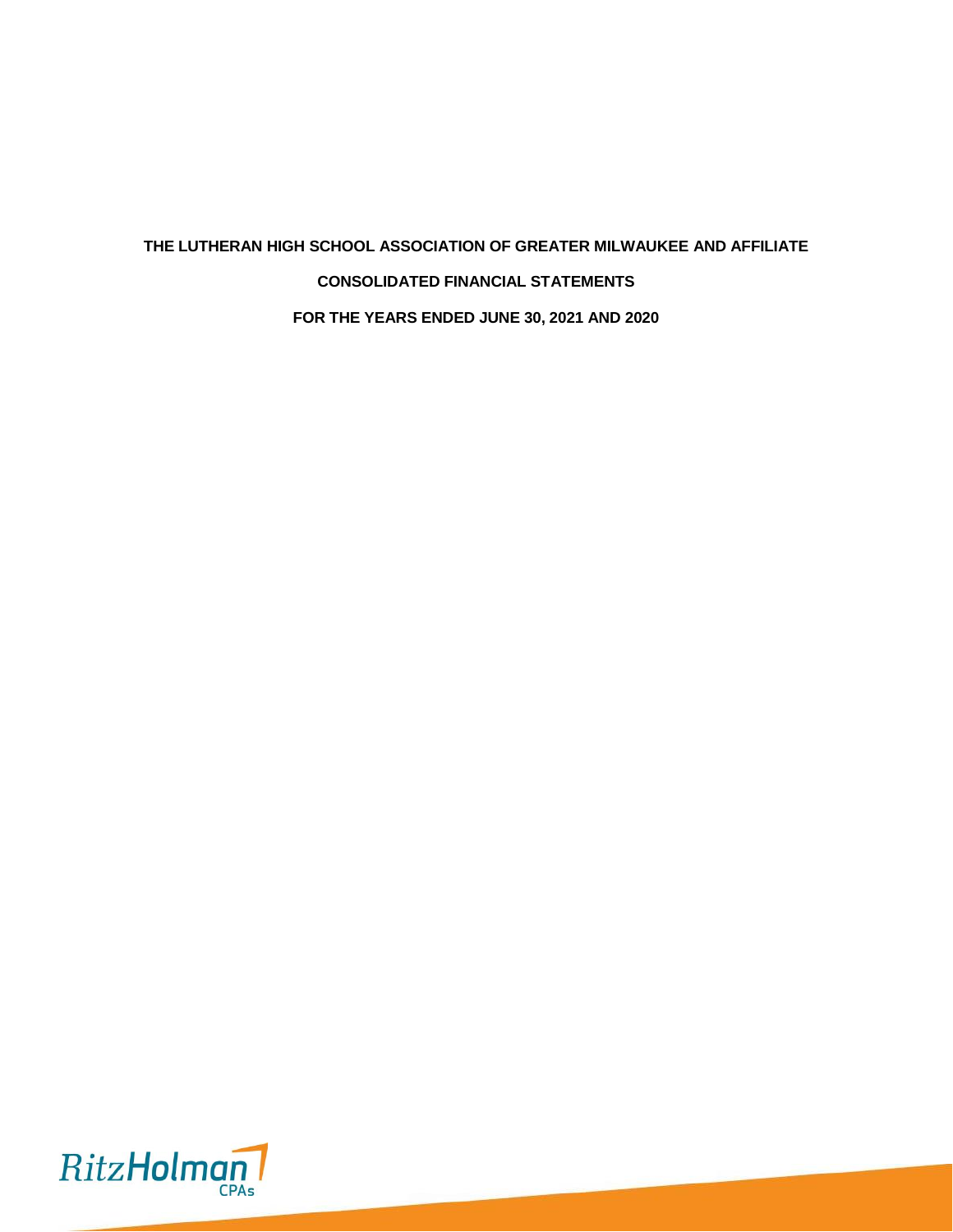# **THE LUTHERAN HIGH SCHOOL ASSOCIATION OF GREATER MILWAUKEE AND AFFILIATE CONSOLIDATED FINANCIAL STATEMENTS FOR THE YEARS ENDED JUNE 30, 2021 AND 2020**

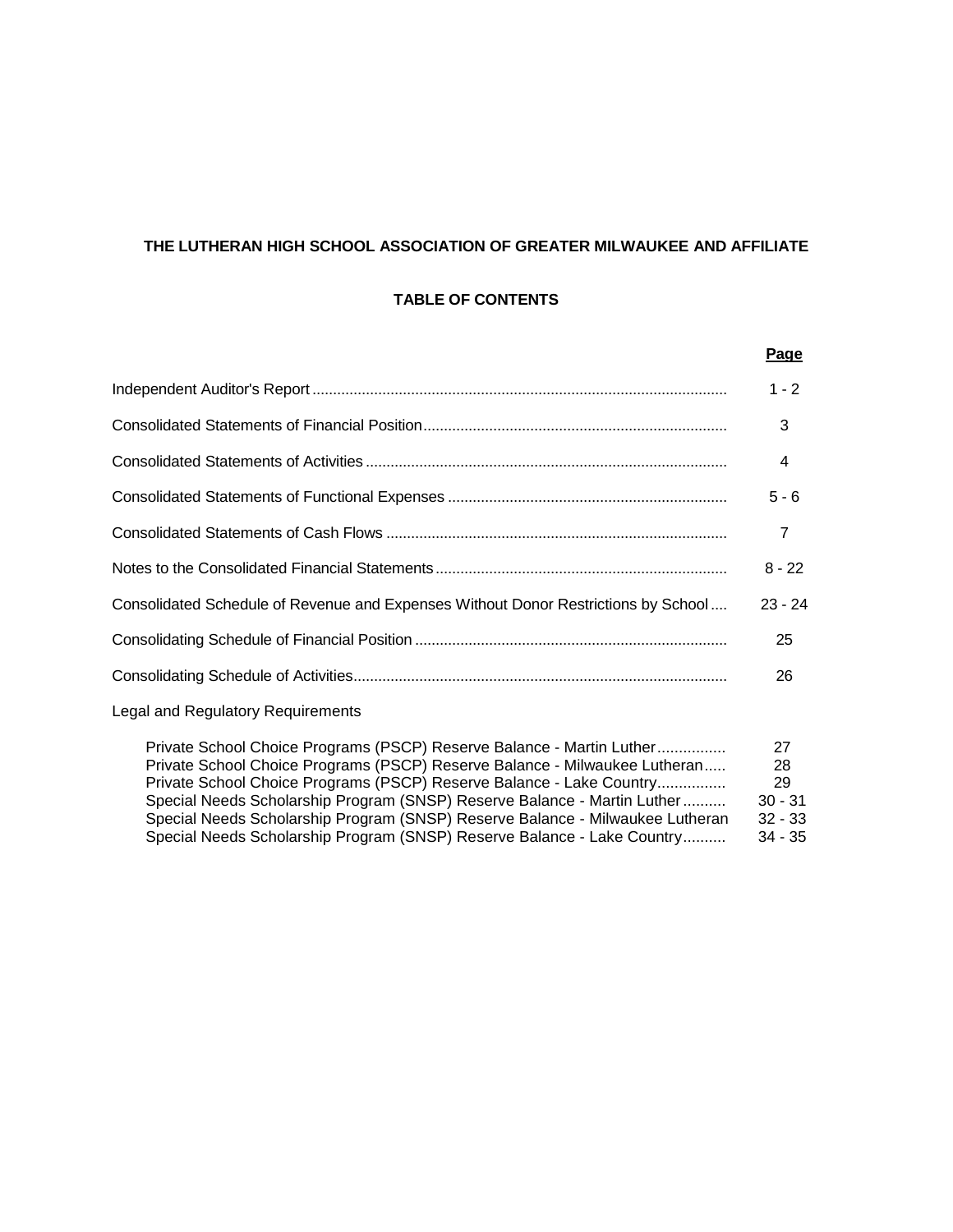### **THE LUTHERAN HIGH SCHOOL ASSOCIATION OF GREATER MILWAUKEE AND AFFILIATE**

### **TABLE OF CONTENTS**

|                                                                                                                                                                                                                                                                                                                                                                                          | <b>Page</b>                              |
|------------------------------------------------------------------------------------------------------------------------------------------------------------------------------------------------------------------------------------------------------------------------------------------------------------------------------------------------------------------------------------------|------------------------------------------|
|                                                                                                                                                                                                                                                                                                                                                                                          | $1 - 2$                                  |
|                                                                                                                                                                                                                                                                                                                                                                                          | 3                                        |
|                                                                                                                                                                                                                                                                                                                                                                                          | 4                                        |
|                                                                                                                                                                                                                                                                                                                                                                                          | $5 - 6$                                  |
|                                                                                                                                                                                                                                                                                                                                                                                          | $\overline{7}$                           |
|                                                                                                                                                                                                                                                                                                                                                                                          | $8 - 22$                                 |
| Consolidated Schedule of Revenue and Expenses Without Donor Restrictions by School                                                                                                                                                                                                                                                                                                       | $23 - 24$                                |
|                                                                                                                                                                                                                                                                                                                                                                                          | 25                                       |
|                                                                                                                                                                                                                                                                                                                                                                                          | 26                                       |
| Legal and Regulatory Requirements                                                                                                                                                                                                                                                                                                                                                        |                                          |
| Private School Choice Programs (PSCP) Reserve Balance - Martin Luther<br>Private School Choice Programs (PSCP) Reserve Balance - Milwaukee Lutheran<br>Private School Choice Programs (PSCP) Reserve Balance - Lake Country<br>Special Needs Scholarship Program (SNSP) Reserve Balance - Martin Luther<br>Special Needs Scholarship Program (SNSP) Reserve Balance - Milwaukee Lutheran | 27<br>28<br>29<br>$30 - 31$<br>$32 - 33$ |
| Special Needs Scholarship Program (SNSP) Reserve Balance - Lake Country                                                                                                                                                                                                                                                                                                                  | 34 - 35                                  |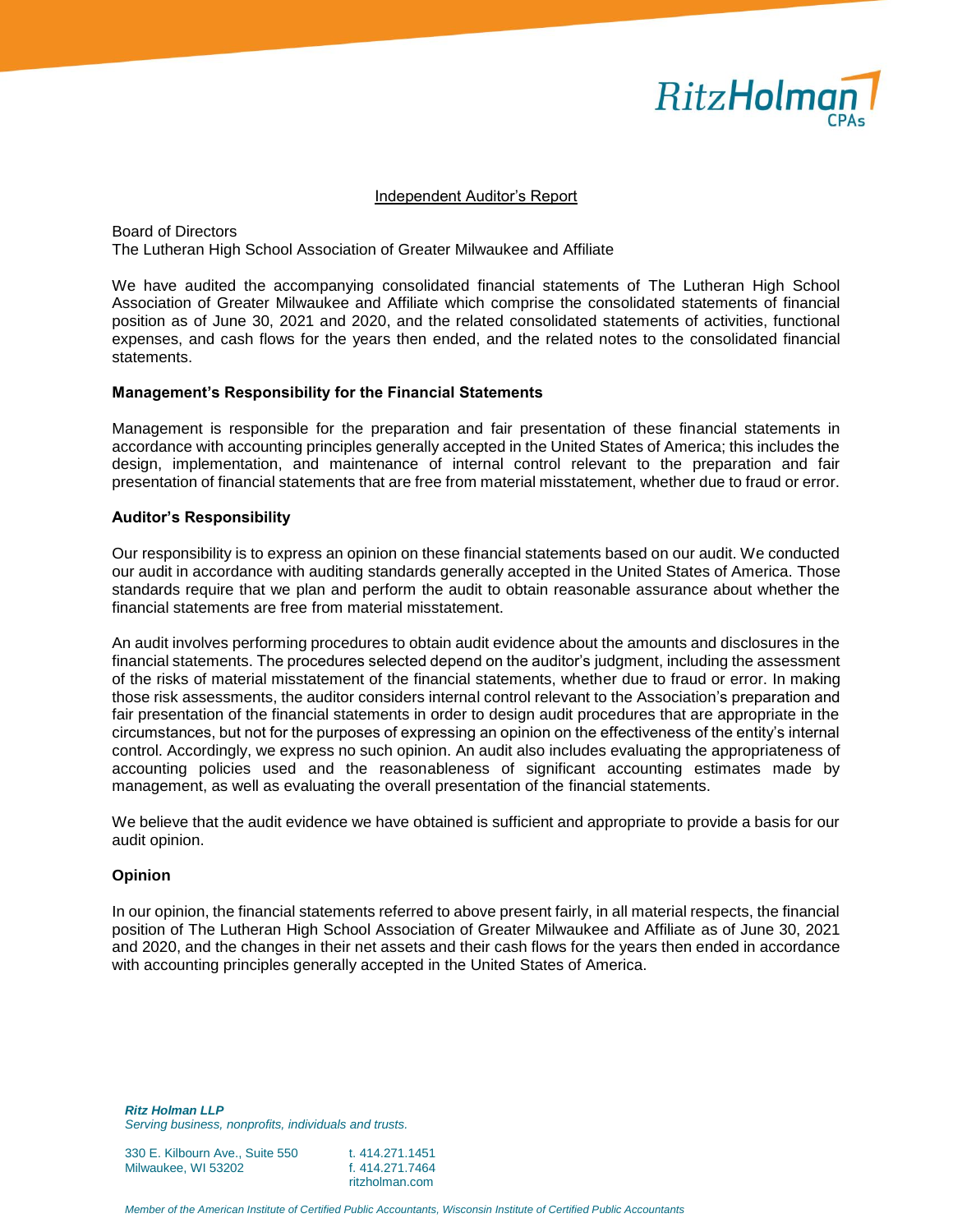

#### Independent Auditor's Report

Board of Directors The Lutheran High School Association of Greater Milwaukee and Affiliate

We have audited the accompanying consolidated financial statements of The Lutheran High School Association of Greater Milwaukee and Affiliate which comprise the consolidated statements of financial position as of June 30, 2021 and 2020, and the related consolidated statements of activities, functional expenses, and cash flows for the years then ended, and the related notes to the consolidated financial statements.

#### **Management's Responsibility for the Financial Statements**

Management is responsible for the preparation and fair presentation of these financial statements in accordance with accounting principles generally accepted in the United States of America; this includes the design, implementation, and maintenance of internal control relevant to the preparation and fair presentation of financial statements that are free from material misstatement, whether due to fraud or error.

#### **Auditor's Responsibility**

Our responsibility is to express an opinion on these financial statements based on our audit. We conducted our audit in accordance with auditing standards generally accepted in the United States of America. Those standards require that we plan and perform the audit to obtain reasonable assurance about whether the financial statements are free from material misstatement.

An audit involves performing procedures to obtain audit evidence about the amounts and disclosures in the financial statements. The procedures selected depend on the auditor's judgment, including the assessment of the risks of material misstatement of the financial statements, whether due to fraud or error. In making those risk assessments, the auditor considers internal control relevant to the Association's preparation and fair presentation of the financial statements in order to design audit procedures that are appropriate in the circumstances, but not for the purposes of expressing an opinion on the effectiveness of the entity's internal control. Accordingly, we express no such opinion. An audit also includes evaluating the appropriateness of accounting policies used and the reasonableness of significant accounting estimates made by management, as well as evaluating the overall presentation of the financial statements.

We believe that the audit evidence we have obtained is sufficient and appropriate to provide a basis for our audit opinion.

#### **Opinion**

In our opinion, the financial statements referred to above present fairly, in all material respects, the financial position of The Lutheran High School Association of Greater Milwaukee and Affiliate as of June 30, 2021 and 2020, and the changes in their net assets and their cash flows for the years then ended in accordance with accounting principles generally accepted in the United States of America.

*Ritz Holman LLP Serving business, nonprofits, individuals and trusts.*

| 330 E. Kilbourn Ave., Suite 550 | t. 414.271.1451 |
|---------------------------------|-----------------|
| Milwaukee, WI 53202             | f. 414.271.7464 |
|                                 | ritzholman.com  |

*Member of the American Institute of Certified Public Accountants, Wisconsin Institute of Certified Public Accountants*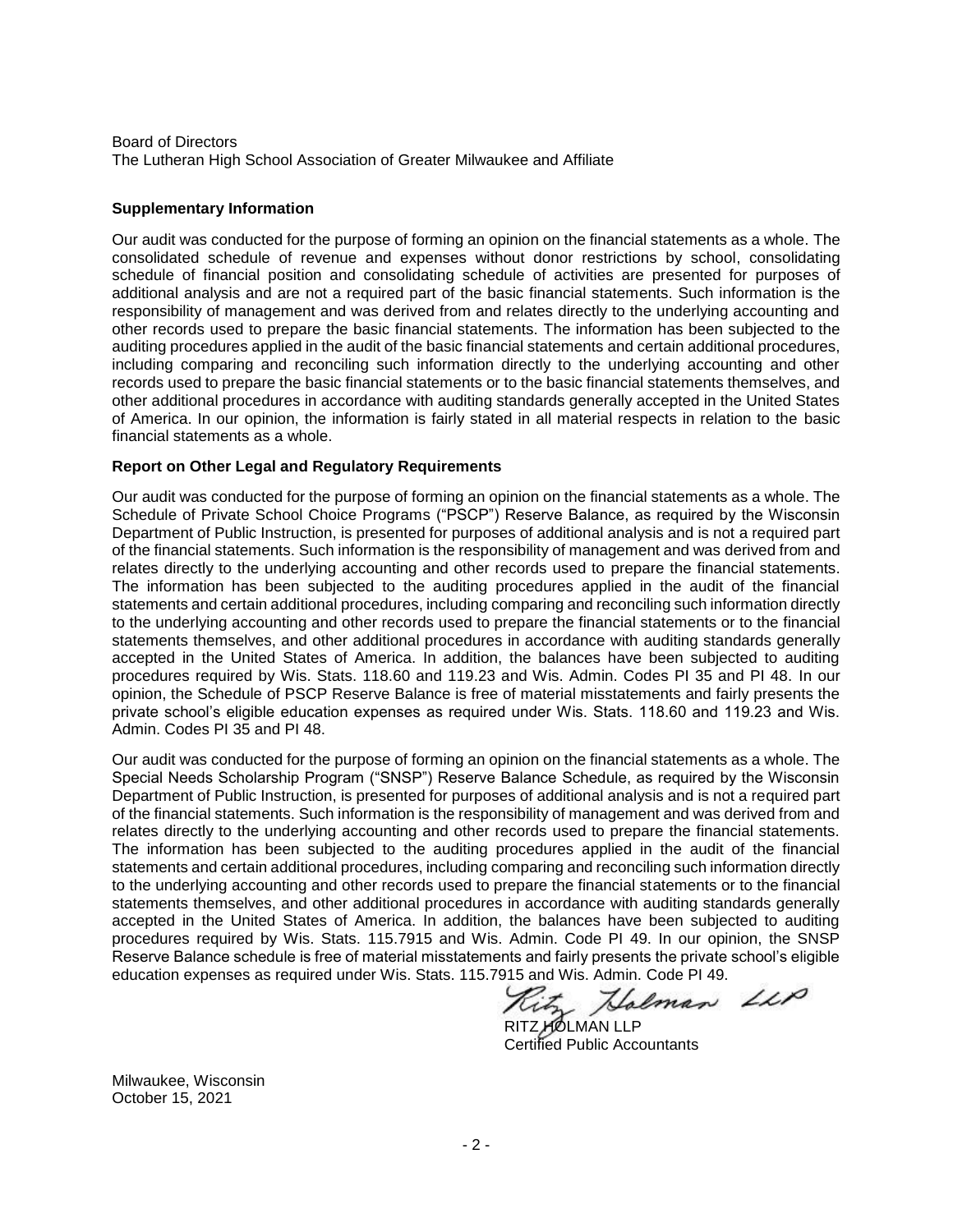#### Board of Directors The Lutheran High School Association of Greater Milwaukee and Affiliate

#### **Supplementary Information**

Our audit was conducted for the purpose of forming an opinion on the financial statements as a whole. The consolidated schedule of revenue and expenses without donor restrictions by school, consolidating schedule of financial position and consolidating schedule of activities are presented for purposes of additional analysis and are not a required part of the basic financial statements. Such information is the responsibility of management and was derived from and relates directly to the underlying accounting and other records used to prepare the basic financial statements. The information has been subjected to the auditing procedures applied in the audit of the basic financial statements and certain additional procedures, including comparing and reconciling such information directly to the underlying accounting and other records used to prepare the basic financial statements or to the basic financial statements themselves, and other additional procedures in accordance with auditing standards generally accepted in the United States of America. In our opinion, the information is fairly stated in all material respects in relation to the basic financial statements as a whole.

#### **Report on Other Legal and Regulatory Requirements**

Our audit was conducted for the purpose of forming an opinion on the financial statements as a whole. The Schedule of Private School Choice Programs ("PSCP") Reserve Balance, as required by the Wisconsin Department of Public Instruction, is presented for purposes of additional analysis and is not a required part of the financial statements. Such information is the responsibility of management and was derived from and relates directly to the underlying accounting and other records used to prepare the financial statements. The information has been subjected to the auditing procedures applied in the audit of the financial statements and certain additional procedures, including comparing and reconciling such information directly to the underlying accounting and other records used to prepare the financial statements or to the financial statements themselves, and other additional procedures in accordance with auditing standards generally accepted in the United States of America. In addition, the balances have been subjected to auditing procedures required by Wis. Stats. 118.60 and 119.23 and Wis. Admin. Codes PI 35 and PI 48. In our opinion, the Schedule of PSCP Reserve Balance is free of material misstatements and fairly presents the private school's eligible education expenses as required under Wis. Stats. 118.60 and 119.23 and Wis. Admin. Codes PI 35 and PI 48.

Our audit was conducted for the purpose of forming an opinion on the financial statements as a whole. The Special Needs Scholarship Program ("SNSP") Reserve Balance Schedule, as required by the Wisconsin Department of Public Instruction, is presented for purposes of additional analysis and is not a required part of the financial statements. Such information is the responsibility of management and was derived from and relates directly to the underlying accounting and other records used to prepare the financial statements. The information has been subjected to the auditing procedures applied in the audit of the financial statements and certain additional procedures, including comparing and reconciling such information directly to the underlying accounting and other records used to prepare the financial statements or to the financial statements themselves, and other additional procedures in accordance with auditing standards generally accepted in the United States of America. In addition, the balances have been subjected to auditing procedures required by Wis. Stats. 115.7915 and Wis. Admin. Code PI 49. In our opinion, the SNSP Reserve Balance schedule is free of material misstatements and fairly presents the private school's eligible education expenses as required under Wis. Stats. 115.7915 and Wis. Admin. Code PI 49.

ity Halman LLP

RITZ HØLMAN LLP Certified Public Accountants

Milwaukee, Wisconsin October 15, 2021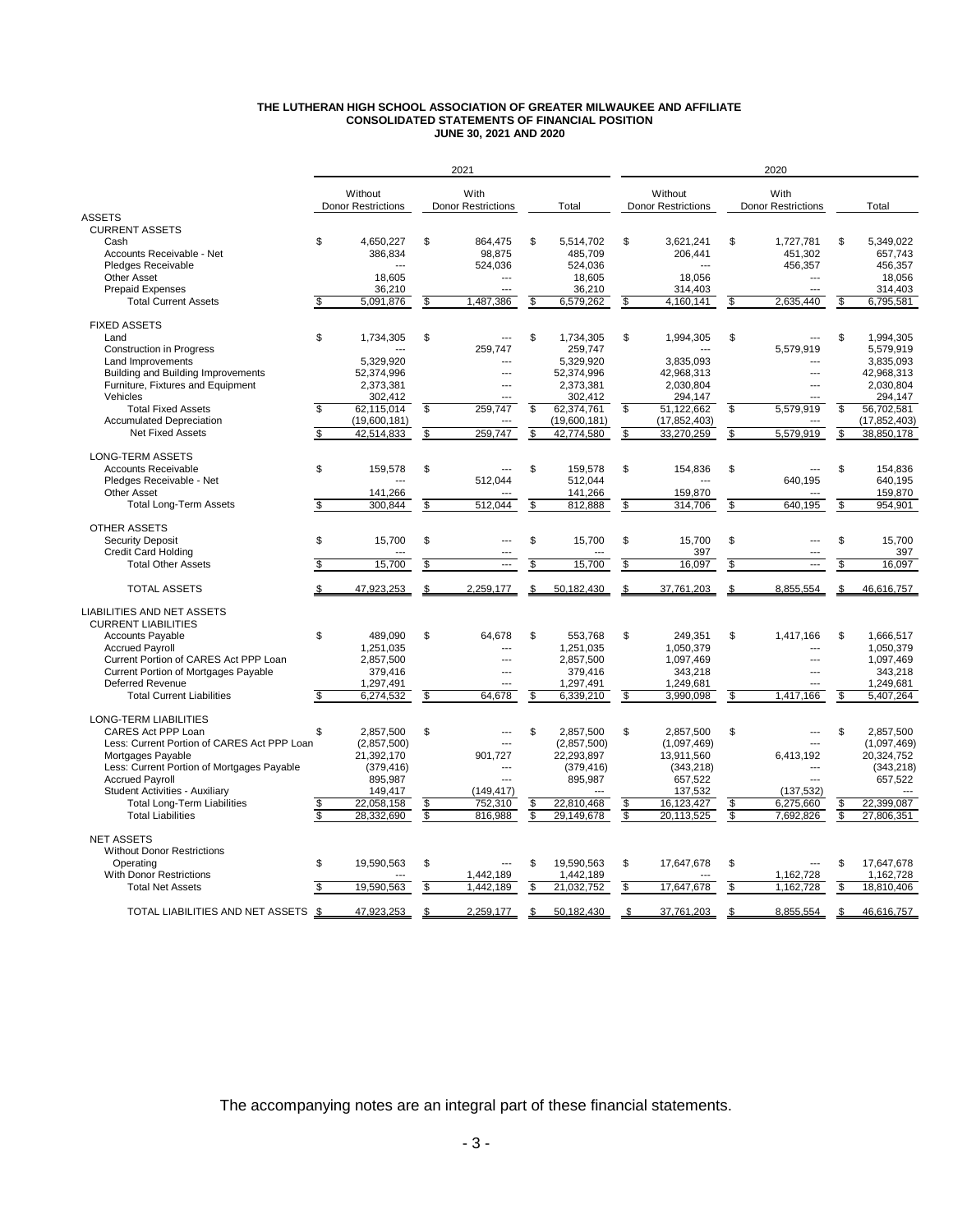#### **THE LUTHERAN HIGH SCHOOL ASSOCIATION OF GREATER MILWAUKEE AND AFFILIATE CONSOLIDATED STATEMENTS OF FINANCIAL POSITION JUNE 30, 2021 AND 2020**

|                                                              | 2021 |                                      |    |                                   |                           | 2020                       |                           |                                      |                          |                                   |    |                              |
|--------------------------------------------------------------|------|--------------------------------------|----|-----------------------------------|---------------------------|----------------------------|---------------------------|--------------------------------------|--------------------------|-----------------------------------|----|------------------------------|
|                                                              |      | Without<br><b>Donor Restrictions</b> |    | With<br><b>Donor Restrictions</b> |                           | Total                      |                           | Without<br><b>Donor Restrictions</b> |                          | With<br><b>Donor Restrictions</b> |    | Total                        |
| <b>ASSETS</b>                                                |      |                                      |    |                                   |                           |                            |                           |                                      |                          |                                   |    |                              |
| <b>CURRENT ASSETS</b>                                        |      |                                      |    |                                   |                           |                            |                           |                                      |                          |                                   |    |                              |
| Cash                                                         | \$   | 4,650,227                            | \$ | 864,475                           | \$                        | 5,514,702                  | \$                        | 3,621,241                            | \$                       | 1,727,781                         | \$ | 5,349,022                    |
| Accounts Receivable - Net                                    |      | 386,834                              |    | 98,875                            |                           | 485,709                    |                           | 206,441                              |                          | 451,302                           |    | 657,743                      |
| Pledges Receivable                                           |      | ---                                  |    | 524,036                           |                           | 524,036                    |                           |                                      |                          | 456,357                           |    | 456,357                      |
| <b>Other Asset</b><br><b>Prepaid Expenses</b>                |      | 18,605<br>36,210                     |    | ---<br>$\overline{a}$             |                           | 18,605<br>36,210           |                           | 18,056<br>314,403                    |                          | ---<br>$\overline{a}$             |    | 18,056<br>314,403            |
| <b>Total Current Assets</b>                                  | \$   | 5,091,876                            | \$ | 1,487,386                         | \$                        | 6,579,262                  | \$                        | 4,160,141                            | S                        | 2,635,440                         | \$ | 6,795,581                    |
|                                                              |      |                                      |    |                                   |                           |                            |                           |                                      |                          |                                   |    |                              |
| <b>FIXED ASSETS</b>                                          |      |                                      |    |                                   |                           |                            |                           |                                      |                          |                                   |    |                              |
| Land                                                         | \$   | 1,734,305                            | \$ | ---                               | \$                        | 1,734,305                  | \$                        | 1,994,305                            | \$                       | ---                               | \$ | 1,994,305                    |
| <b>Construction in Progress</b>                              |      |                                      |    | 259,747                           |                           | 259,747                    |                           |                                      |                          | 5,579,919                         |    | 5,579,919                    |
| Land Improvements                                            |      | 5.329.920                            |    |                                   |                           | 5.329.920                  |                           | 3.835.093                            |                          |                                   |    | 3.835.093                    |
| Building and Building Improvements                           |      | 52,374,996                           |    | ---                               |                           | 52,374,996                 |                           | 42,968,313                           |                          | ---                               |    | 42,968,313                   |
| Furniture, Fixtures and Equipment                            |      | 2,373,381                            |    | ---                               |                           | 2,373,381                  |                           | 2,030,804                            |                          | $\overline{a}$                    |    | 2,030,804                    |
| Vehicles                                                     | \$   | 302,412                              |    | ---<br>259,747                    | \$                        | 302,412                    |                           | 294,147                              | $\overline{\mathcal{S}}$ | ---                               |    | 294,147                      |
| <b>Total Fixed Assets</b><br><b>Accumulated Depreciation</b> |      | 62,115,014<br>(19,600,181)           | \$ |                                   |                           | 62,374,761<br>(19,600,181) | \$                        | 51,122,662<br>(17, 852, 403)         |                          | 5,579,919                         | S  | 56,702,581<br>(17, 852, 403) |
| <b>Net Fixed Assets</b>                                      | \$   | 42,514,833                           | \$ | 259,747                           | \$                        | 42,774,580                 | \$                        | 33,270,259                           | \$                       | 5,579,919                         | \$ | 38,850,178                   |
|                                                              |      |                                      |    |                                   |                           |                            |                           |                                      |                          |                                   |    |                              |
| <b>LONG-TERM ASSETS</b>                                      |      |                                      |    |                                   |                           |                            |                           |                                      |                          |                                   |    |                              |
| <b>Accounts Receivable</b>                                   | \$   | 159,578                              | \$ |                                   | \$                        | 159,578                    | \$                        | 154,836                              | \$                       |                                   | \$ | 154,836                      |
| Pledges Receivable - Net                                     |      |                                      |    | 512,044                           |                           | 512,044                    |                           |                                      |                          | 640,195                           |    | 640,195                      |
| <b>Other Asset</b>                                           |      | 141,266                              |    |                                   |                           | 141,266                    |                           | 159.870                              |                          |                                   |    | 159,870                      |
| <b>Total Long-Term Assets</b>                                | \$   | 300.844                              | \$ | 512,044                           | \$                        | 812,888                    | \$                        | 314,706                              | $\overline{\mathcal{S}}$ | 640,195                           | \$ | 954.901                      |
|                                                              |      |                                      |    |                                   |                           |                            |                           |                                      |                          |                                   |    |                              |
| <b>OTHER ASSETS</b>                                          | \$   |                                      | \$ |                                   | \$                        |                            | \$                        |                                      | \$                       |                                   | \$ | 15,700                       |
| <b>Security Deposit</b><br><b>Credit Card Holding</b>        |      | 15,700                               |    |                                   |                           | 15,700                     |                           | 15,700<br>397                        |                          |                                   |    | 397                          |
| <b>Total Other Assets</b>                                    | \$   | 15,700                               | \$ | $\overline{\phantom{a}}$          | $\boldsymbol{\mathsf{s}}$ | 15,700                     | $\boldsymbol{\mathsf{s}}$ | 16,097                               | \$                       | $\cdots$                          | \$ | 16,097                       |
|                                                              |      |                                      |    |                                   |                           |                            |                           |                                      |                          |                                   |    |                              |
| <b>TOTAL ASSETS</b>                                          | \$   | 47,923,253                           | \$ | 2,259,177                         | $\mathsf{\$}$             | 50,182,430                 | \$                        | 37,761,203                           | \$                       | 8,855,554                         | \$ | 46,616,757                   |
| <b>LIABILITIES AND NET ASSETS</b>                            |      |                                      |    |                                   |                           |                            |                           |                                      |                          |                                   |    |                              |
| <b>CURRENT LIABILITIES</b>                                   |      |                                      |    |                                   |                           |                            |                           |                                      |                          |                                   |    |                              |
| <b>Accounts Pavable</b>                                      | \$   | 489.090                              | \$ | 64.678                            | \$                        | 553.768                    | \$                        | 249.351                              | \$                       | 1.417.166                         | \$ | 1.666.517                    |
| <b>Accrued Payroll</b>                                       |      | 1,251,035                            |    | ---                               |                           | 1,251,035                  |                           | 1,050,379                            |                          | ---                               |    | 1,050,379                    |
| Current Portion of CARES Act PPP Loan                        |      | 2,857,500                            |    | ---                               |                           | 2,857,500                  |                           | 1,097,469                            |                          | ---                               |    | 1,097,469                    |
| <b>Current Portion of Mortgages Payable</b>                  |      | 379,416                              |    | ---                               |                           | 379,416                    |                           | 343.218                              |                          | ---                               |    | 343,218                      |
| <b>Deferred Revenue</b>                                      |      | 1,297,491                            |    | $\overline{a}$<br>64,678          | \$                        | 1,297,491                  |                           | 1,249,681                            |                          | $\sim$                            |    | 1,249,681                    |
| <b>Total Current Liabilities</b>                             | \$   | 6,274,532                            | \$ |                                   |                           | 6,339,210                  | S                         | 3,990,098                            | S                        | 1,417,166                         | \$ | 5,407,264                    |
| <b>LONG-TERM LIABILITIES</b>                                 |      |                                      |    |                                   |                           |                            |                           |                                      |                          |                                   |    |                              |
| CARES Act PPP Loan                                           | \$   | 2,857,500                            | \$ | ---                               | \$                        | 2,857,500                  | \$                        | 2,857,500                            | \$                       | ---                               | \$ | 2,857,500                    |
| Less: Current Portion of CARES Act PPP Loan                  |      | (2,857,500)                          |    | ---                               |                           | (2,857,500)                |                           | (1,097,469)                          |                          |                                   |    | (1,097,469)                  |
| Mortgages Payable                                            |      | 21,392,170                           |    | 901.727                           |                           | 22,293,897                 |                           | 13,911,560                           |                          | 6,413,192                         |    | 20,324,752                   |
| Less: Current Portion of Mortgages Payable                   |      | (379, 416)                           |    | ---                               |                           | (379, 416)                 |                           | (343, 218)                           |                          | ---                               |    | (343, 218)                   |
| <b>Accrued Payroll</b>                                       |      | 895,987                              |    | $\sim$                            |                           | 895,987                    |                           | 657,522                              |                          | $\sim$                            |    | 657,522                      |
| Student Activities - Auxiliary                               |      | 149,417                              |    | (149, 417)                        |                           | $\overline{a}$             |                           | 137,532                              |                          | (137, 532)                        |    |                              |
| <b>Total Long-Term Liabilities</b>                           | \$   | 22,058,158                           | \$ | 752,310                           | \$                        | 22,810,468                 | \$                        | 16,123,427                           | \$                       | 6.275.660                         | S  | 22.399.087                   |
| <b>Total Liabilities</b>                                     | \$   | 28,332,690                           | \$ | 816,988                           | \$                        | 29,149,678                 | \$                        | 20, 113, 525                         | $\mathsf{S}$             | 7,692,826                         | \$ | 27,806,351                   |
| <b>NET ASSETS</b>                                            |      |                                      |    |                                   |                           |                            |                           |                                      |                          |                                   |    |                              |
| <b>Without Donor Restrictions</b>                            |      |                                      |    |                                   |                           |                            |                           |                                      |                          |                                   |    |                              |
| Operating                                                    | \$   | 19,590,563                           | \$ |                                   | \$                        | 19,590,563                 | \$                        | 17,647,678                           | \$                       |                                   | \$ | 17,647,678                   |
| With Donor Restrictions                                      |      |                                      |    | 1,442,189                         |                           | 1,442,189                  |                           |                                      |                          | 1,162,728                         |    | 1,162,728                    |
| <b>Total Net Assets</b>                                      | \$   | 19,590,563                           |    | 1,442,189                         | \$                        | 21,032,752                 | \$.                       | 17,647,678                           | \$                       | 1,162,728                         | \$ | 18,810,406                   |
|                                                              |      |                                      |    |                                   |                           |                            |                           |                                      |                          |                                   |    |                              |
| TOTAL LIABILITIES AND NET ASSETS                             | - \$ | 47.923.253                           |    | 2.259,177                         |                           | 50.182.430                 |                           | 37,761,203                           | \$                       | 8.855.554                         |    | 46,616,757                   |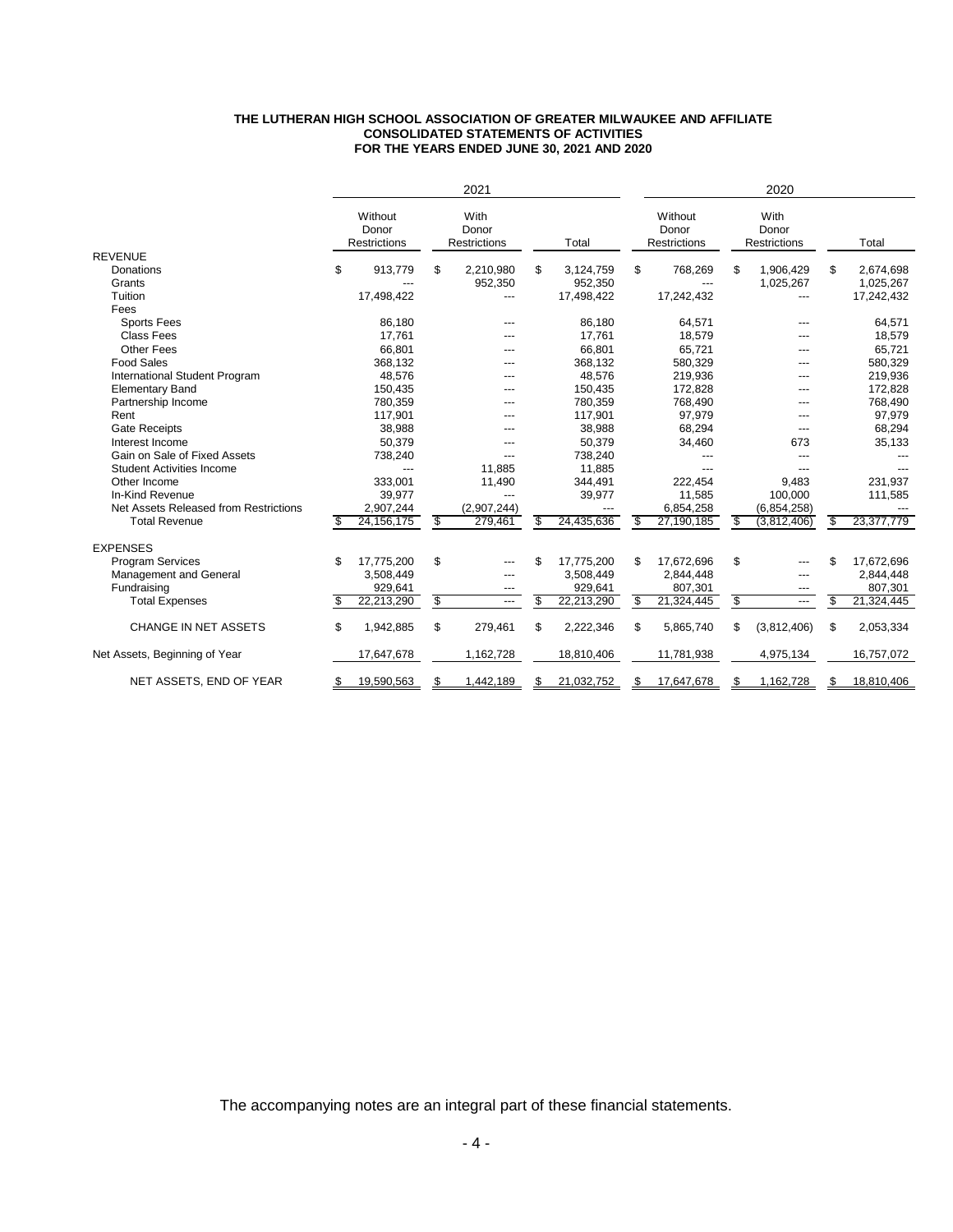#### **THE LUTHERAN HIGH SCHOOL ASSOCIATION OF GREATER MILWAUKEE AND AFFILIATE CONSOLIDATED STATEMENTS OF ACTIVITIES FOR THE YEARS ENDED JUNE 30, 2021 AND 2020**

|                                       | 2021 |                                  |    |                               | 2020 |            |    |                                  |                          |                               |     |            |
|---------------------------------------|------|----------------------------------|----|-------------------------------|------|------------|----|----------------------------------|--------------------------|-------------------------------|-----|------------|
|                                       |      | Without<br>Donor<br>Restrictions |    | With<br>Donor<br>Restrictions |      | Total      |    | Without<br>Donor<br>Restrictions |                          | With<br>Donor<br>Restrictions |     | Total      |
| <b>REVENUE</b>                        |      |                                  |    |                               |      |            |    |                                  |                          |                               |     |            |
| Donations                             | \$   | 913,779                          | \$ | 2,210,980                     | \$   | 3,124,759  | \$ | 768,269                          | \$.                      | 1,906,429                     | \$  | 2,674,698  |
| Grants                                |      |                                  |    | 952,350                       |      | 952,350    |    |                                  |                          | 1,025,267                     |     | 1,025,267  |
| Tuition                               |      | 17,498,422                       |    | ---                           |      | 17,498,422 |    | 17,242,432                       |                          | ---                           |     | 17,242,432 |
| Fees                                  |      |                                  |    |                               |      |            |    |                                  |                          |                               |     |            |
| <b>Sports Fees</b>                    |      | 86,180                           |    | ---                           |      | 86,180     |    | 64,571                           |                          | ---                           |     | 64,571     |
| <b>Class Fees</b>                     |      | 17,761                           |    |                               |      | 17,761     |    | 18,579                           |                          |                               |     | 18,579     |
| Other Fees                            |      | 66,801                           |    | ---                           |      | 66,801     |    | 65,721                           |                          | ---                           |     | 65,721     |
| <b>Food Sales</b>                     |      | 368,132                          |    |                               |      | 368,132    |    | 580,329                          |                          |                               |     | 580,329    |
| International Student Program         |      | 48,576                           |    |                               |      | 48,576     |    | 219,936                          |                          |                               |     | 219,936    |
| <b>Elementary Band</b>                |      | 150,435                          |    |                               |      | 150,435    |    | 172,828                          |                          |                               |     | 172,828    |
| Partnership Income                    |      | 780,359                          |    |                               |      | 780,359    |    | 768,490                          |                          |                               |     | 768,490    |
| Rent                                  |      | 117,901                          |    |                               |      | 117,901    |    | 97,979                           |                          |                               |     | 97,979     |
| <b>Gate Receipts</b>                  |      | 38,988                           |    |                               |      | 38,988     |    | 68,294                           |                          |                               |     | 68,294     |
| Interest Income                       |      | 50,379                           |    |                               |      | 50,379     |    | 34,460                           |                          | 673                           |     | 35,133     |
| Gain on Sale of Fixed Assets          |      | 738,240                          |    | $---$                         |      | 738,240    |    | $\overline{a}$                   |                          | ---                           |     |            |
| <b>Student Activities Income</b>      |      | $\overline{a}$                   |    | 11,885                        |      | 11,885     |    |                                  |                          |                               |     |            |
| Other Income                          |      | 333.001                          |    | 11,490                        |      | 344,491    |    | 222,454                          |                          | 9,483                         |     | 231,937    |
| In-Kind Revenue                       |      | 39,977                           |    | $---$                         |      | 39,977     |    | 11,585                           |                          | 100,000                       |     | 111,585    |
| Net Assets Released from Restrictions |      | 2,907,244                        |    | (2,907,244)                   |      |            |    | 6,854,258                        |                          | (6, 854, 258)                 |     |            |
| <b>Total Revenue</b>                  | \$   | 24, 156, 175                     | \$ | 279,461                       | \$   | 24,435,636 | \$ | 27,190,185                       | \$                       | (3,812,406)                   | \$  | 23,377,779 |
| <b>EXPENSES</b>                       |      |                                  |    |                               |      |            |    |                                  |                          |                               |     |            |
| <b>Program Services</b>               | \$   | 17,775,200                       | \$ |                               | \$   | 17,775,200 | \$ | 17,672,696                       | \$                       |                               | \$  | 17,672,696 |
| Management and General                |      | 3,508,449                        |    | $---$                         |      | 3,508,449  |    | 2,844,448                        |                          | ---                           |     | 2,844,448  |
| Fundraising                           |      | 929,641                          |    | $---$                         |      | 929,641    |    | 807,301                          |                          | $---$                         |     | 807,301    |
| <b>Total Expenses</b>                 | \$   | 22,213,290                       | \$ | $\overline{a}$                | \$   | 22,213,290 | \$ | 21,324,445                       | $\overline{\mathcal{S}}$ | $\overline{a}$                | \$  | 21,324,445 |
| <b>CHANGE IN NET ASSETS</b>           | \$   | 1,942,885                        | \$ | 279,461                       | \$   | 2,222,346  | \$ | 5,865,740                        | \$                       | (3,812,406)                   | \$  | 2,053,334  |
| Net Assets, Beginning of Year         |      | 17,647,678                       |    | 1,162,728                     |      | 18,810,406 |    | 11,781,938                       |                          | 4,975,134                     |     | 16,757,072 |
| NET ASSETS, END OF YEAR               | \$   | 19,590,563                       |    | 1,442,189                     | \$.  | 21,032,752 | S  | 17,647,678                       | S                        | 1,162,728                     | \$. | 18,810,406 |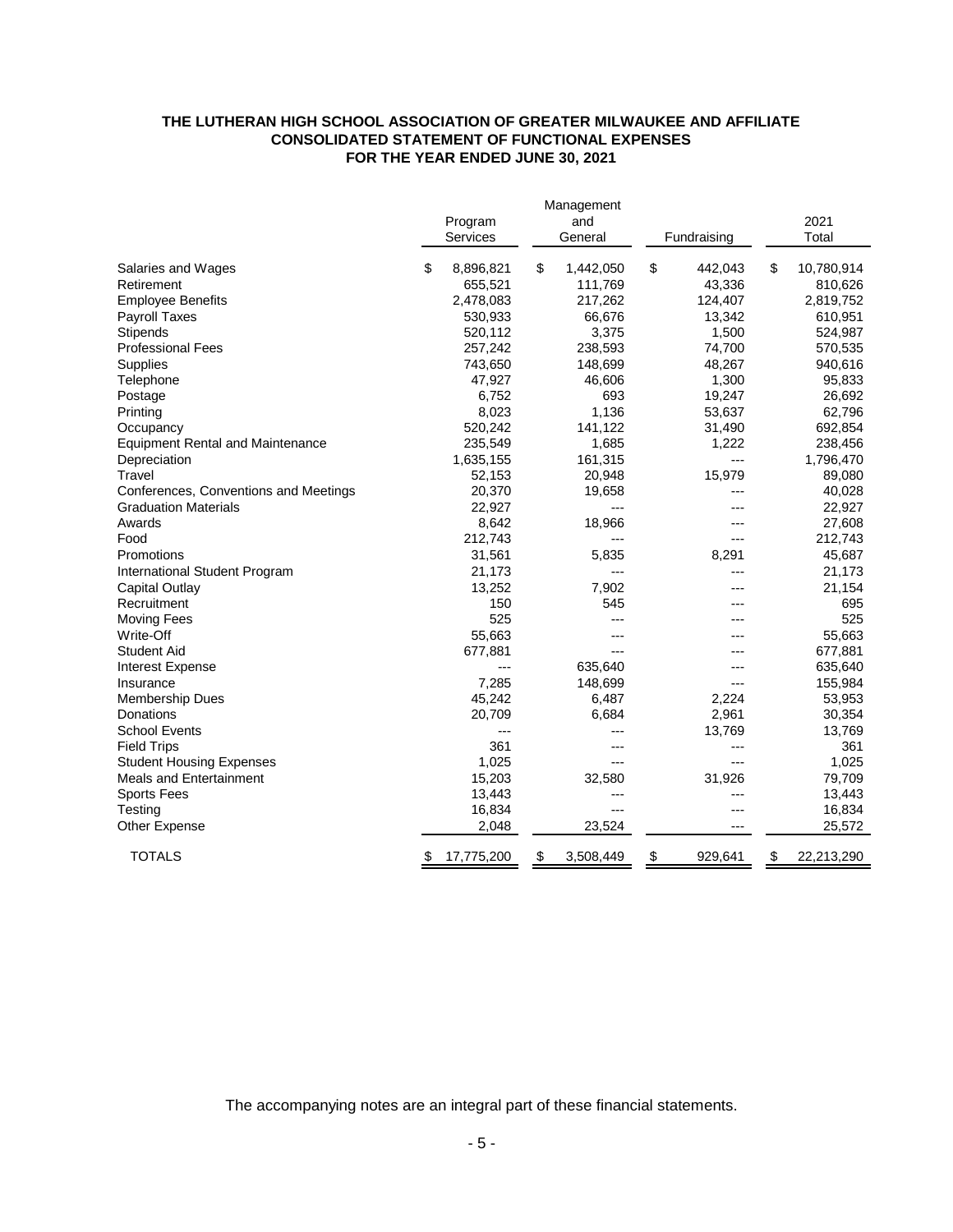#### **THE LUTHERAN HIGH SCHOOL ASSOCIATION OF GREATER MILWAUKEE AND AFFILIATE CONSOLIDATED STATEMENT OF FUNCTIONAL EXPENSES FOR THE YEAR ENDED JUNE 30, 2021**

|                                         | Program<br>Services | Management<br>and<br>General | Fundraising   | 2021<br>Total    |
|-----------------------------------------|---------------------|------------------------------|---------------|------------------|
| Salaries and Wages                      | \$<br>8,896,821     | \$<br>1,442,050              | \$<br>442,043 | \$<br>10,780,914 |
| Retirement                              | 655,521             | 111,769                      | 43,336        | 810,626          |
| <b>Employee Benefits</b>                | 2,478,083           | 217,262                      | 124,407       | 2,819,752        |
| Payroll Taxes                           | 530,933             | 66,676                       | 13,342        | 610,951          |
| Stipends                                | 520,112             | 3,375                        | 1,500         | 524,987          |
| <b>Professional Fees</b>                | 257,242             | 238,593                      | 74,700        | 570,535          |
| Supplies                                | 743,650             | 148,699                      | 48,267        | 940,616          |
| Telephone                               | 47,927              | 46,606                       | 1,300         | 95,833           |
| Postage                                 | 6,752               | 693                          | 19,247        | 26,692           |
| Printing                                | 8,023               | 1,136                        | 53,637        | 62,796           |
| Occupancy                               | 520,242             | 141,122                      | 31,490        | 692,854          |
| <b>Equipment Rental and Maintenance</b> | 235,549             | 1,685                        | 1,222         | 238,456          |
| Depreciation                            | 1,635,155           | 161,315                      | ---           | 1,796,470        |
| Travel                                  | 52,153              | 20,948                       | 15,979        | 89,080           |
| Conferences, Conventions and Meetings   | 20,370              | 19,658                       | ---           | 40,028           |
| <b>Graduation Materials</b>             | 22,927              | ---                          |               | 22,927           |
| Awards                                  | 8,642               | 18,966                       |               | 27,608           |
| Food                                    | 212,743             | ---                          | ---           | 212,743          |
| Promotions                              | 31,561              | 5,835                        | 8,291         | 45,687           |
| International Student Program           | 21,173              | ---                          | ---           | 21,173           |
| Capital Outlay                          | 13,252              | 7,902                        |               | 21,154           |
| Recruitment                             | 150                 | 545                          |               | 695              |
| Moving Fees                             | 525                 | ---                          |               | 525              |
| Write-Off                               | 55,663              |                              |               | 55,663           |
| Student Aid                             | 677,881             | ---                          |               | 677,881          |
| <b>Interest Expense</b>                 | ---                 | 635,640                      |               | 635,640          |
| Insurance                               | 7,285               | 148,699                      | ---           | 155,984          |
| Membership Dues                         | 45,242              | 6,487                        | 2,224         | 53,953           |
| Donations                               | 20,709              | 6,684                        | 2,961         | 30,354           |
| <b>School Events</b>                    | ---                 |                              | 13,769        | 13,769           |
| <b>Field Trips</b>                      | 361                 |                              | ---           | 361              |
| <b>Student Housing Expenses</b>         | 1,025               | ---                          | ---           | 1,025            |
| Meals and Entertainment                 | 15,203              | 32,580                       | 31,926        | 79,709           |
| <b>Sports Fees</b>                      | 13,443              | ---                          | ---           | 13,443           |
| Testing                                 | 16,834              | ---                          | ---           | 16,834           |
| <b>Other Expense</b>                    | 2,048               | 23,524                       | ---           | 25,572           |
| <b>TOTALS</b>                           | \$<br>17,775,200    | \$<br>3,508,449              | \$<br>929,641 | \$<br>22,213,290 |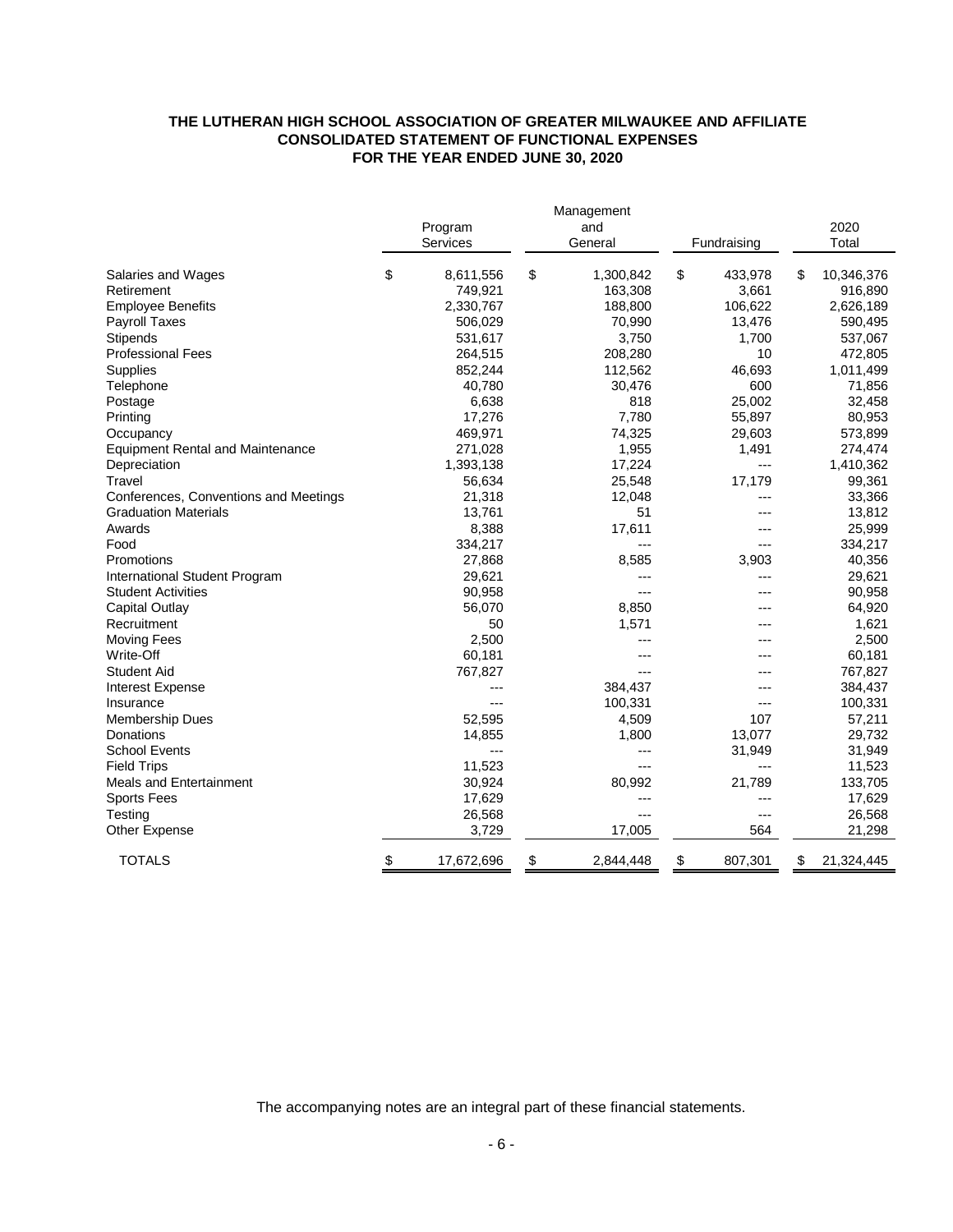#### **CONSOLIDATED STATEMENT OF FUNCTIONAL EXPENSES THE LUTHERAN HIGH SCHOOL ASSOCIATION OF GREATER MILWAUKEE AND AFFILIATE FOR THE YEAR ENDED JUNE 30, 2020**

|                                         |                  | Management      |               |                  |
|-----------------------------------------|------------------|-----------------|---------------|------------------|
|                                         | Program          | and             |               | 2020             |
|                                         | Services         | General         | Fundraising   | Total            |
| Salaries and Wages                      | \$<br>8,611,556  | \$<br>1,300,842 | \$<br>433,978 | \$<br>10,346,376 |
| Retirement                              | 749,921          | 163,308         | 3,661         | 916,890          |
| <b>Employee Benefits</b>                | 2,330,767        | 188,800         | 106,622       | 2,626,189        |
| <b>Payroll Taxes</b>                    | 506,029          | 70,990          | 13,476        | 590,495          |
| Stipends                                | 531,617          | 3,750           | 1,700         | 537,067          |
| <b>Professional Fees</b>                | 264,515          | 208,280         | 10            | 472,805          |
| <b>Supplies</b>                         | 852,244          | 112,562         | 46,693        | 1,011,499        |
| Telephone                               | 40,780           | 30,476          | 600           | 71,856           |
| Postage                                 | 6,638            | 818             | 25,002        | 32,458           |
| Printing                                | 17,276           | 7,780           | 55,897        | 80,953           |
| Occupancy                               | 469,971          | 74,325          | 29,603        | 573,899          |
| <b>Equipment Rental and Maintenance</b> | 271,028          | 1,955           | 1,491         | 274,474          |
| Depreciation                            | 1,393,138        | 17,224          | ---           | 1,410,362        |
| Travel                                  | 56,634           | 25,548          | 17,179        | 99,361           |
| Conferences, Conventions and Meetings   | 21,318           | 12,048          | ---           | 33,366           |
| <b>Graduation Materials</b>             | 13,761           | 51              |               | 13,812           |
| Awards                                  | 8,388            | 17,611          |               | 25,999           |
| Food                                    | 334,217          | $---$           | ---           | 334,217          |
| Promotions                              | 27,868           | 8,585           | 3,903         | 40,356           |
| International Student Program           | 29,621           | $---$           | ---           | 29,621           |
| <b>Student Activities</b>               | 90,958           | ---             | ---           | 90,958           |
| Capital Outlay                          | 56,070           | 8,850           |               | 64,920           |
| Recruitment                             | 50               | 1,571           |               | 1,621            |
| <b>Moving Fees</b>                      | 2,500            |                 |               | 2,500            |
| Write-Off                               | 60,181           |                 |               | 60,181           |
| <b>Student Aid</b>                      | 767,827          | $---$           |               | 767,827          |
| <b>Interest Expense</b>                 | $---$            | 384,437         |               | 384,437          |
| Insurance                               | $---$            | 100,331         | ---           | 100,331          |
| <b>Membership Dues</b>                  | 52,595           | 4,509           | 107           | 57,211           |
| Donations                               | 14,855           | 1,800           | 13,077        | 29,732           |
| <b>School Events</b>                    | ---              | $---$           | 31,949        | 31,949           |
| <b>Field Trips</b>                      | 11,523           | ---             | ---           | 11,523           |
| <b>Meals and Entertainment</b>          | 30,924           | 80,992          | 21,789        | 133,705          |
| <b>Sports Fees</b>                      | 17,629           | ---             | ---           | 17,629           |
| Testing                                 | 26,568           | $---$           | ---           | 26,568           |
| <b>Other Expense</b>                    | 3,729            | 17,005          | 564           | 21,298           |
| <b>TOTALS</b>                           | \$<br>17,672,696 | \$<br>2,844,448 | \$<br>807,301 | \$<br>21,324,445 |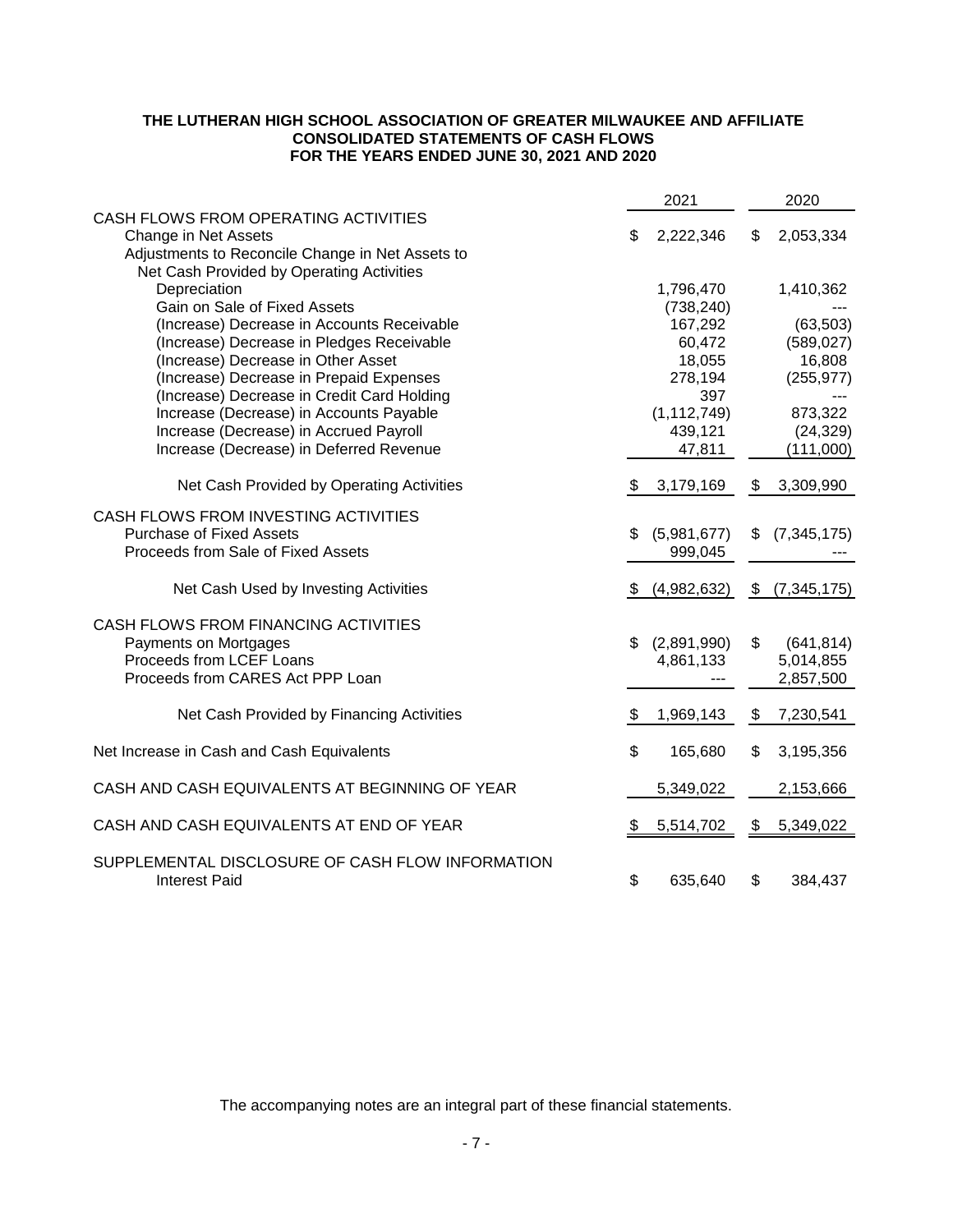#### **THE LUTHERAN HIGH SCHOOL ASSOCIATION OF GREATER MILWAUKEE AND AFFILIATE CONSOLIDATED STATEMENTS OF CASH FLOWS FOR THE YEARS ENDED JUNE 30, 2021 AND 2020**

|                                                                                                                                                               | 2021                               |                | 2020                                 |
|---------------------------------------------------------------------------------------------------------------------------------------------------------------|------------------------------------|----------------|--------------------------------------|
| CASH FLOWS FROM OPERATING ACTIVITIES<br>Change in Net Assets<br>Adjustments to Reconcile Change in Net Assets to<br>Net Cash Provided by Operating Activities | \$<br>2,222,346                    | \$             | 2,053,334                            |
| Depreciation<br>Gain on Sale of Fixed Assets                                                                                                                  | 1,796,470<br>(738, 240)            |                | 1,410,362                            |
| (Increase) Decrease in Accounts Receivable<br>(Increase) Decrease in Pledges Receivable<br>(Increase) Decrease in Other Asset                                 | 167,292<br>60,472<br>18,055        |                | (63, 503)<br>(589, 027)<br>16,808    |
| (Increase) Decrease in Prepaid Expenses<br>(Increase) Decrease in Credit Card Holding                                                                         | 278,194<br>397                     |                | (255, 977)                           |
| Increase (Decrease) in Accounts Payable<br>Increase (Decrease) in Accrued Payroll<br>Increase (Decrease) in Deferred Revenue                                  | (1, 112, 749)<br>439,121<br>47,811 |                | 873,322<br>(24, 329)<br>(111,000)    |
| Net Cash Provided by Operating Activities                                                                                                                     | 3,179,169                          | \$             | 3,309,990                            |
| CASH FLOWS FROM INVESTING ACTIVITIES<br><b>Purchase of Fixed Assets</b><br>Proceeds from Sale of Fixed Assets                                                 | \$<br>(5,981,677)<br>999,045       | \$.            | (7, 345, 175)                        |
| Net Cash Used by Investing Activities                                                                                                                         | (4,982,632)                        | \$             | (7, 345, 175)                        |
| CASH FLOWS FROM FINANCING ACTIVITIES<br>Payments on Mortgages<br>Proceeds from LCEF Loans<br>Proceeds from CARES Act PPP Loan                                 | \$ (2,891,990)<br>4,861,133        | $\mathfrak{S}$ | (641, 814)<br>5,014,855<br>2,857,500 |
| Net Cash Provided by Financing Activities                                                                                                                     | \$<br>1,969,143                    | \$             | 7,230,541                            |
| Net Increase in Cash and Cash Equivalents                                                                                                                     | \$<br>165,680                      | \$             | 3,195,356                            |
| CASH AND CASH EQUIVALENTS AT BEGINNING OF YEAR                                                                                                                | 5,349,022                          |                | 2,153,666                            |
| CASH AND CASH EQUIVALENTS AT END OF YEAR                                                                                                                      | \$<br>5,514,702                    | <u>\$</u>      | 5,349,022                            |
| SUPPLEMENTAL DISCLOSURE OF CASH FLOW INFORMATION<br><b>Interest Paid</b>                                                                                      | \$<br>635,640                      | \$             | 384,437                              |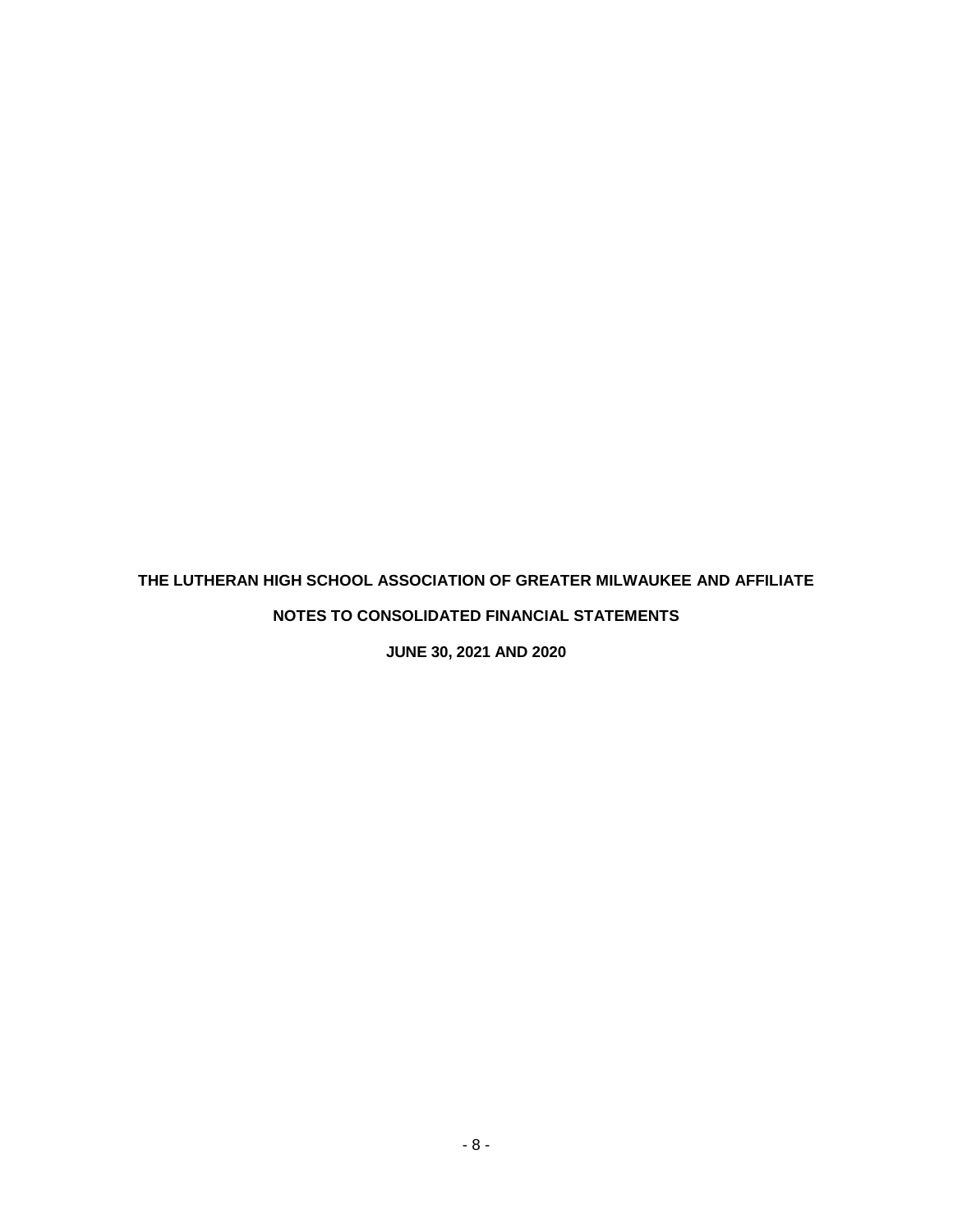### **THE LUTHERAN HIGH SCHOOL ASSOCIATION OF GREATER MILWAUKEE AND AFFILIATE**

**NOTES TO CONSOLIDATED FINANCIAL STATEMENTS**

**JUNE 30, 2021 AND 2020**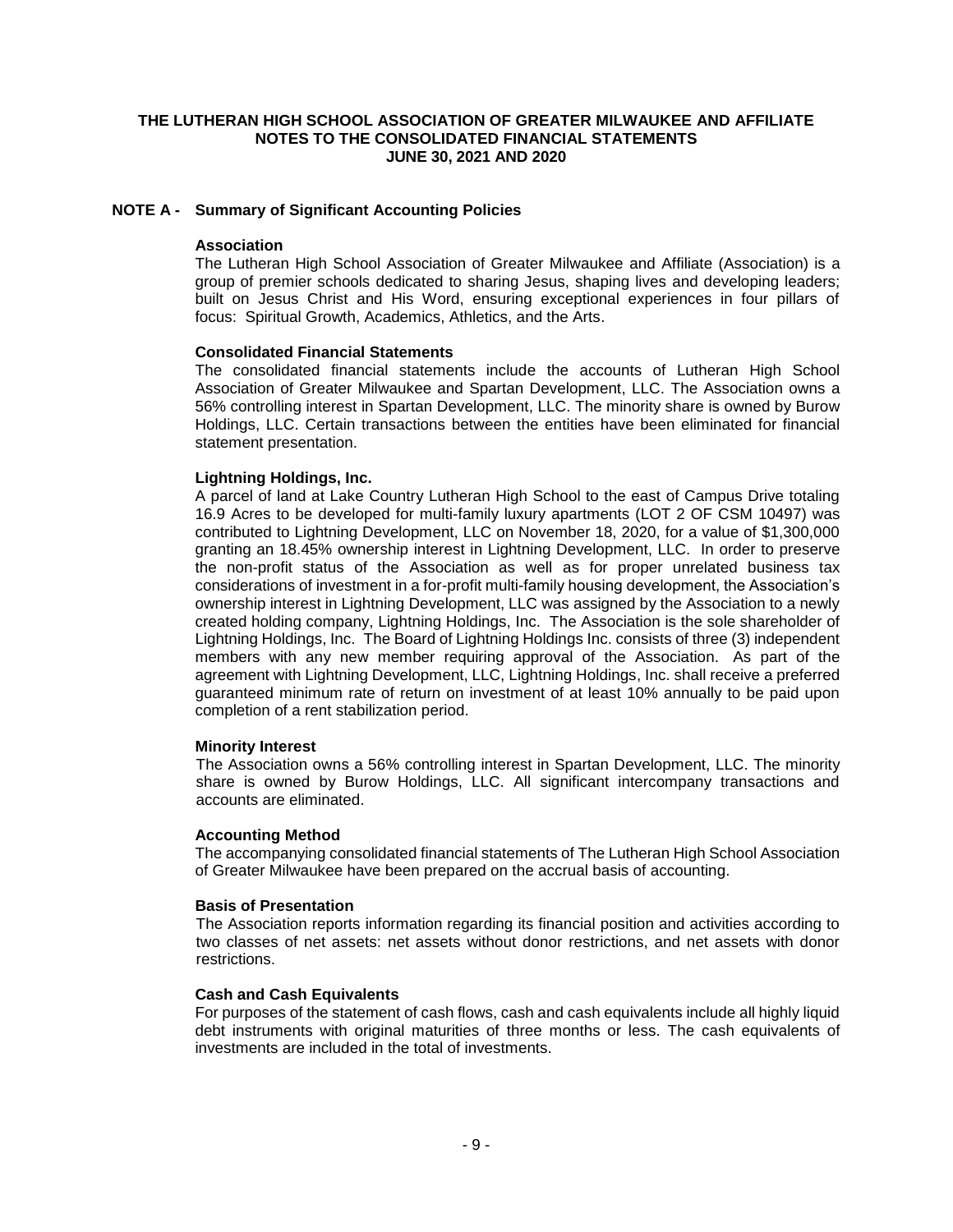#### **NOTE A - Summary of Significant Accounting Policies**

#### **Association**

The Lutheran High School Association of Greater Milwaukee and Affiliate (Association) is a group of premier schools dedicated to sharing Jesus, shaping lives and developing leaders; built on Jesus Christ and His Word, ensuring exceptional experiences in four pillars of focus: Spiritual Growth, Academics, Athletics, and the Arts.

#### **Consolidated Financial Statements**

The consolidated financial statements include the accounts of Lutheran High School Association of Greater Milwaukee and Spartan Development, LLC. The Association owns a 56% controlling interest in Spartan Development, LLC. The minority share is owned by Burow Holdings, LLC. Certain transactions between the entities have been eliminated for financial statement presentation.

#### **Lightning Holdings, Inc.**

A parcel of land at Lake Country Lutheran High School to the east of Campus Drive totaling 16.9 Acres to be developed for multi-family luxury apartments (LOT 2 OF CSM 10497) was contributed to Lightning Development, LLC on November 18, 2020, for a value of \$1,300,000 granting an 18.45% ownership interest in Lightning Development, LLC. In order to preserve the non-profit status of the Association as well as for proper unrelated business tax considerations of investment in a for-profit multi-family housing development, the Association's ownership interest in Lightning Development, LLC was assigned by the Association to a newly created holding company, Lightning Holdings, Inc. The Association is the sole shareholder of Lightning Holdings, Inc. The Board of Lightning Holdings Inc. consists of three (3) independent members with any new member requiring approval of the Association. As part of the agreement with Lightning Development, LLC, Lightning Holdings, Inc. shall receive a preferred guaranteed minimum rate of return on investment of at least 10% annually to be paid upon completion of a rent stabilization period.

#### **Minority Interest**

The Association owns a 56% controlling interest in Spartan Development, LLC. The minority share is owned by Burow Holdings, LLC. All significant intercompany transactions and accounts are eliminated.

#### **Accounting Method**

The accompanying consolidated financial statements of The Lutheran High School Association of Greater Milwaukee have been prepared on the accrual basis of accounting.

#### **Basis of Presentation**

The Association reports information regarding its financial position and activities according to two classes of net assets: net assets without donor restrictions, and net assets with donor restrictions.

#### **Cash and Cash Equivalents**

For purposes of the statement of cash flows, cash and cash equivalents include all highly liquid debt instruments with original maturities of three months or less. The cash equivalents of investments are included in the total of investments.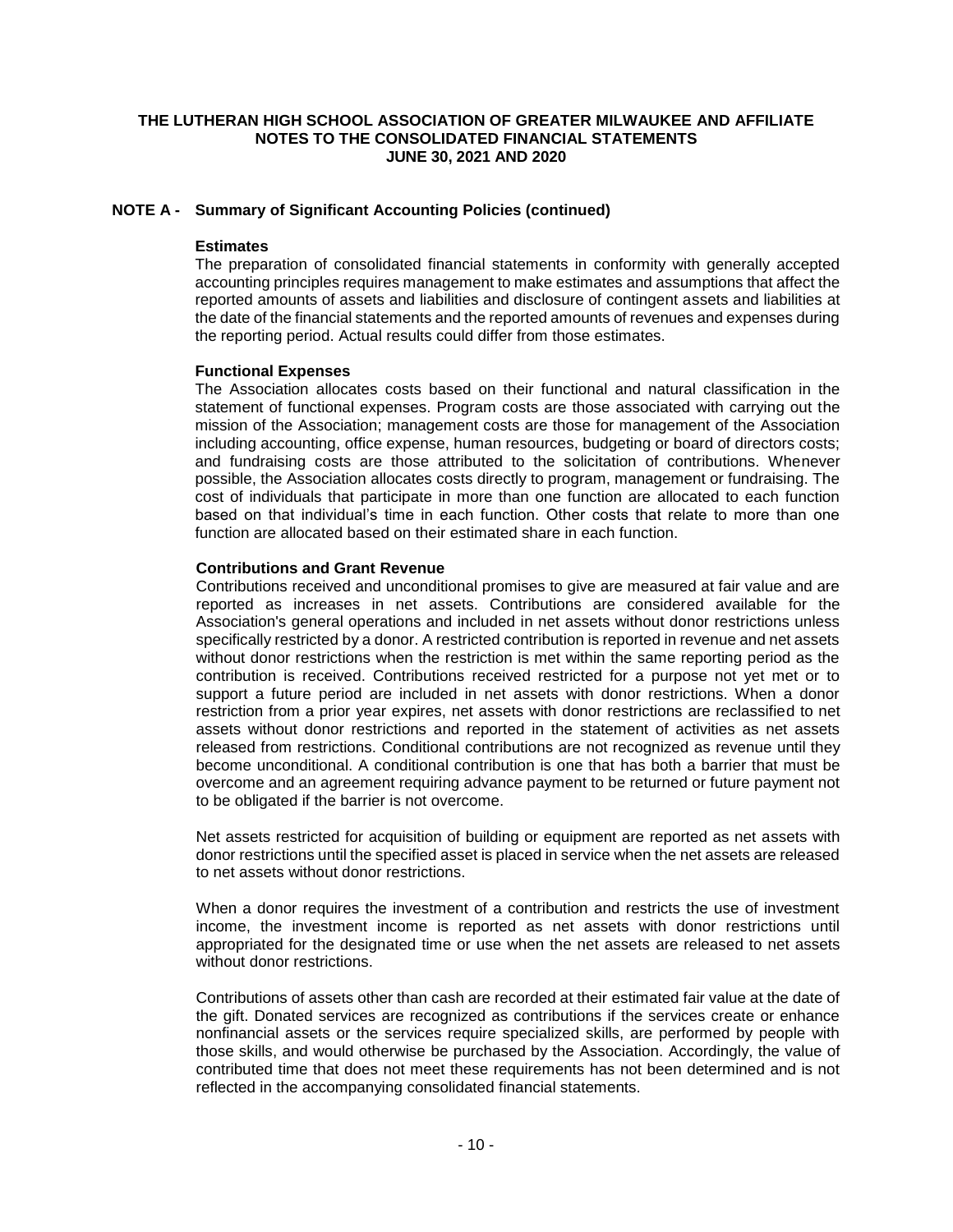### **NOTE A - Summary of Significant Accounting Policies (continued)**

#### **Estimates**

The preparation of consolidated financial statements in conformity with generally accepted accounting principles requires management to make estimates and assumptions that affect the reported amounts of assets and liabilities and disclosure of contingent assets and liabilities at the date of the financial statements and the reported amounts of revenues and expenses during the reporting period. Actual results could differ from those estimates.

#### **Functional Expenses**

The Association allocates costs based on their functional and natural classification in the statement of functional expenses. Program costs are those associated with carrying out the mission of the Association; management costs are those for management of the Association including accounting, office expense, human resources, budgeting or board of directors costs; and fundraising costs are those attributed to the solicitation of contributions. Whenever possible, the Association allocates costs directly to program, management or fundraising. The cost of individuals that participate in more than one function are allocated to each function based on that individual's time in each function. Other costs that relate to more than one function are allocated based on their estimated share in each function.

#### **Contributions and Grant Revenue**

Contributions received and unconditional promises to give are measured at fair value and are reported as increases in net assets. Contributions are considered available for the Association's general operations and included in net assets without donor restrictions unless specifically restricted by a donor. A restricted contribution is reported in revenue and net assets without donor restrictions when the restriction is met within the same reporting period as the contribution is received. Contributions received restricted for a purpose not yet met or to support a future period are included in net assets with donor restrictions. When a donor restriction from a prior year expires, net assets with donor restrictions are reclassified to net assets without donor restrictions and reported in the statement of activities as net assets released from restrictions. Conditional contributions are not recognized as revenue until they become unconditional. A conditional contribution is one that has both a barrier that must be overcome and an agreement requiring advance payment to be returned or future payment not to be obligated if the barrier is not overcome.

Net assets restricted for acquisition of building or equipment are reported as net assets with donor restrictions until the specified asset is placed in service when the net assets are released to net assets without donor restrictions.

When a donor requires the investment of a contribution and restricts the use of investment income, the investment income is reported as net assets with donor restrictions until appropriated for the designated time or use when the net assets are released to net assets without donor restrictions

Contributions of assets other than cash are recorded at their estimated fair value at the date of the gift. Donated services are recognized as contributions if the services create or enhance nonfinancial assets or the services require specialized skills, are performed by people with those skills, and would otherwise be purchased by the Association. Accordingly, the value of contributed time that does not meet these requirements has not been determined and is not reflected in the accompanying consolidated financial statements.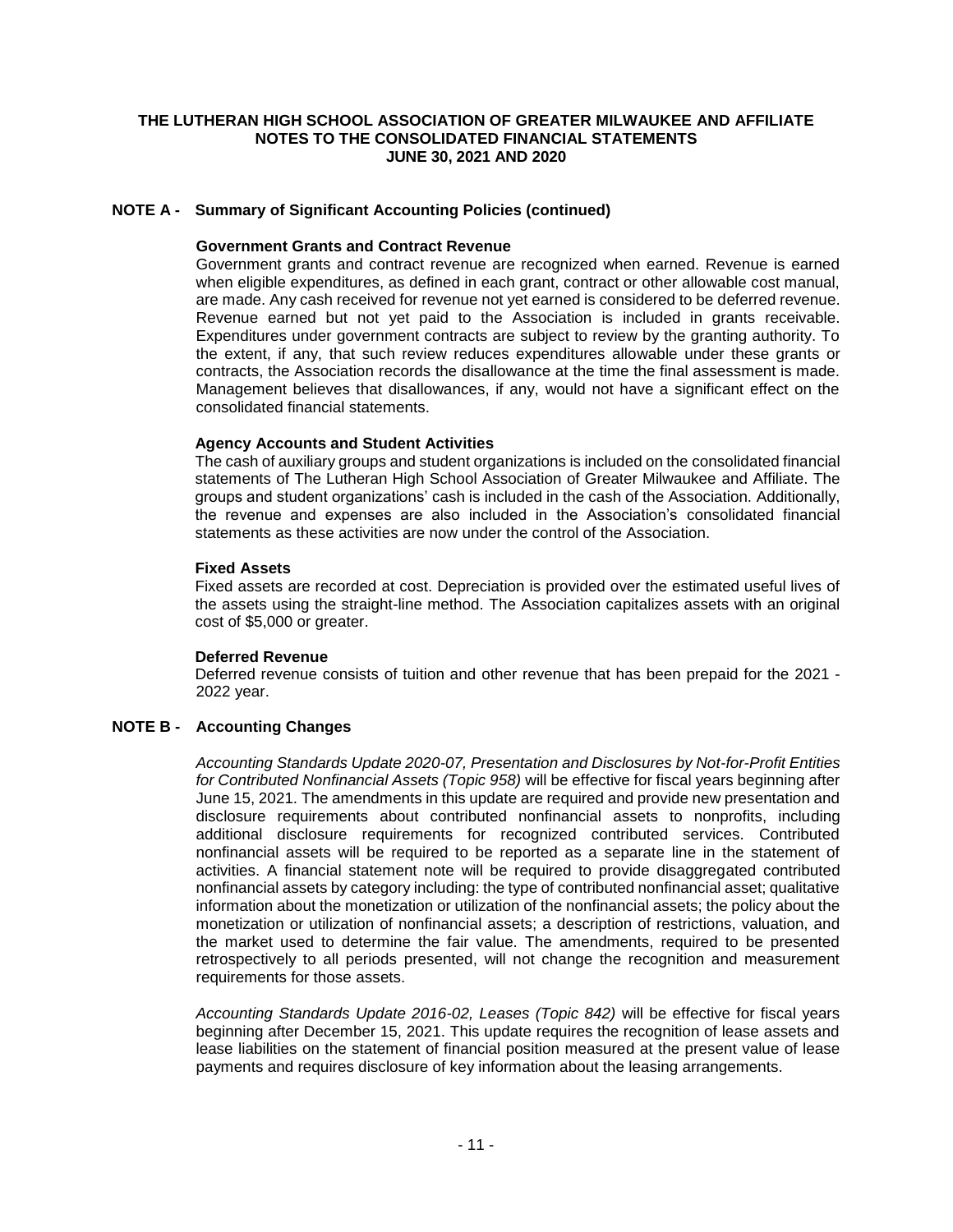#### **NOTE A - Summary of Significant Accounting Policies (continued)**

#### **Government Grants and Contract Revenue**

Government grants and contract revenue are recognized when earned. Revenue is earned when eligible expenditures, as defined in each grant, contract or other allowable cost manual, are made. Any cash received for revenue not yet earned is considered to be deferred revenue. Revenue earned but not yet paid to the Association is included in grants receivable. Expenditures under government contracts are subject to review by the granting authority. To the extent, if any, that such review reduces expenditures allowable under these grants or contracts, the Association records the disallowance at the time the final assessment is made. Management believes that disallowances, if any, would not have a significant effect on the consolidated financial statements.

#### **Agency Accounts and Student Activities**

The cash of auxiliary groups and student organizations is included on the consolidated financial statements of The Lutheran High School Association of Greater Milwaukee and Affiliate. The groups and student organizations' cash is included in the cash of the Association. Additionally, the revenue and expenses are also included in the Association's consolidated financial statements as these activities are now under the control of the Association.

#### **Fixed Assets**

Fixed assets are recorded at cost. Depreciation is provided over the estimated useful lives of the assets using the straight-line method. The Association capitalizes assets with an original cost of \$5,000 or greater.

#### **Deferred Revenue**

Deferred revenue consists of tuition and other revenue that has been prepaid for the 2021 - 2022 year.

### **NOTE B - Accounting Changes**

*Accounting Standards Update 2020-07, Presentation and Disclosures by Not-for-Profit Entities for Contributed Nonfinancial Assets (Topic 958)* will be effective for fiscal years beginning after June 15, 2021. The amendments in this update are required and provide new presentation and disclosure requirements about contributed nonfinancial assets to nonprofits, including additional disclosure requirements for recognized contributed services. Contributed nonfinancial assets will be required to be reported as a separate line in the statement of activities. A financial statement note will be required to provide disaggregated contributed nonfinancial assets by category including: the type of contributed nonfinancial asset; qualitative information about the monetization or utilization of the nonfinancial assets; the policy about the monetization or utilization of nonfinancial assets; a description of restrictions, valuation, and the market used to determine the fair value. The amendments, required to be presented retrospectively to all periods presented, will not change the recognition and measurement requirements for those assets.

*Accounting Standards Update 2016-02, Leases (Topic 842)* will be effective for fiscal years beginning after December 15, 2021. This update requires the recognition of lease assets and lease liabilities on the statement of financial position measured at the present value of lease payments and requires disclosure of key information about the leasing arrangements.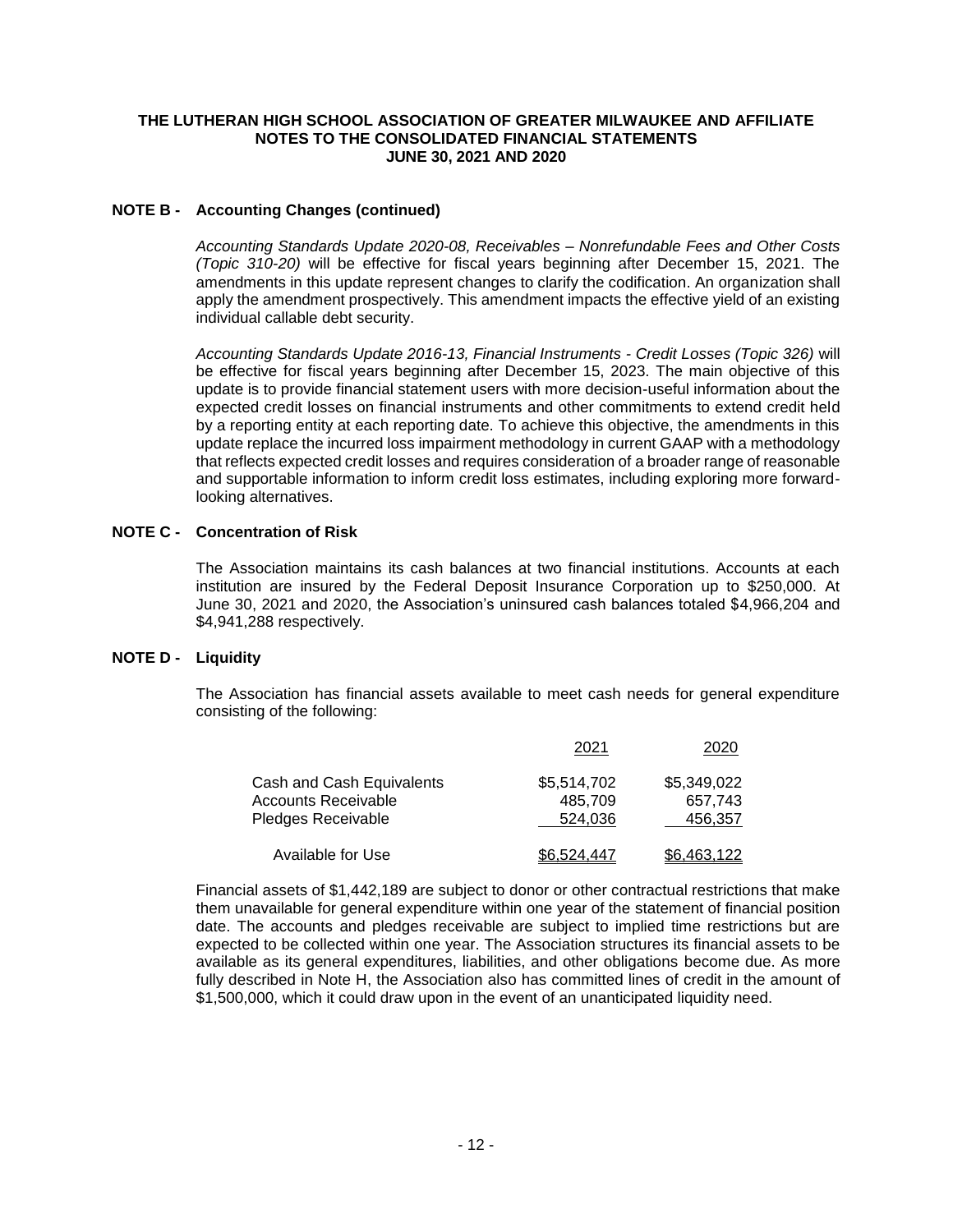### **NOTE B - Accounting Changes (continued)**

*Accounting Standards Update 2020-08, Receivables – Nonrefundable Fees and Other Costs (Topic 310-20)* will be effective for fiscal years beginning after December 15, 2021. The amendments in this update represent changes to clarify the codification. An organization shall apply the amendment prospectively. This amendment impacts the effective yield of an existing individual callable debt security.

*Accounting Standards Update 2016-13, Financial Instruments - Credit Losses (Topic 326)* will be effective for fiscal years beginning after December 15, 2023. The main objective of this update is to provide financial statement users with more decision-useful information about the expected credit losses on financial instruments and other commitments to extend credit held by a reporting entity at each reporting date. To achieve this objective, the amendments in this update replace the incurred loss impairment methodology in current GAAP with a methodology that reflects expected credit losses and requires consideration of a broader range of reasonable and supportable information to inform credit loss estimates, including exploring more forwardlooking alternatives.

#### **NOTE C - Concentration of Risk**

The Association maintains its cash balances at two financial institutions. Accounts at each institution are insured by the Federal Deposit Insurance Corporation up to \$250,000. At June 30, 2021 and 2020, the Association's uninsured cash balances totaled \$4,966,204 and \$4,941,288 respectively.

#### **NOTE D - Liquidity**

The Association has financial assets available to meet cash needs for general expenditure consisting of the following:

|                            | 2021        | 2020        |
|----------------------------|-------------|-------------|
| Cash and Cash Equivalents  | \$5,514,702 | \$5,349,022 |
| <b>Accounts Receivable</b> | 485.709     | 657,743     |
| Pledges Receivable         | 524.036     | 456,357     |
| Available for Use          | \$6,524,447 | \$6,463,122 |

Financial assets of \$1,442,189 are subject to donor or other contractual restrictions that make them unavailable for general expenditure within one year of the statement of financial position date. The accounts and pledges receivable are subject to implied time restrictions but are expected to be collected within one year. The Association structures its financial assets to be available as its general expenditures, liabilities, and other obligations become due. As more fully described in Note H, the Association also has committed lines of credit in the amount of \$1,500,000, which it could draw upon in the event of an unanticipated liquidity need.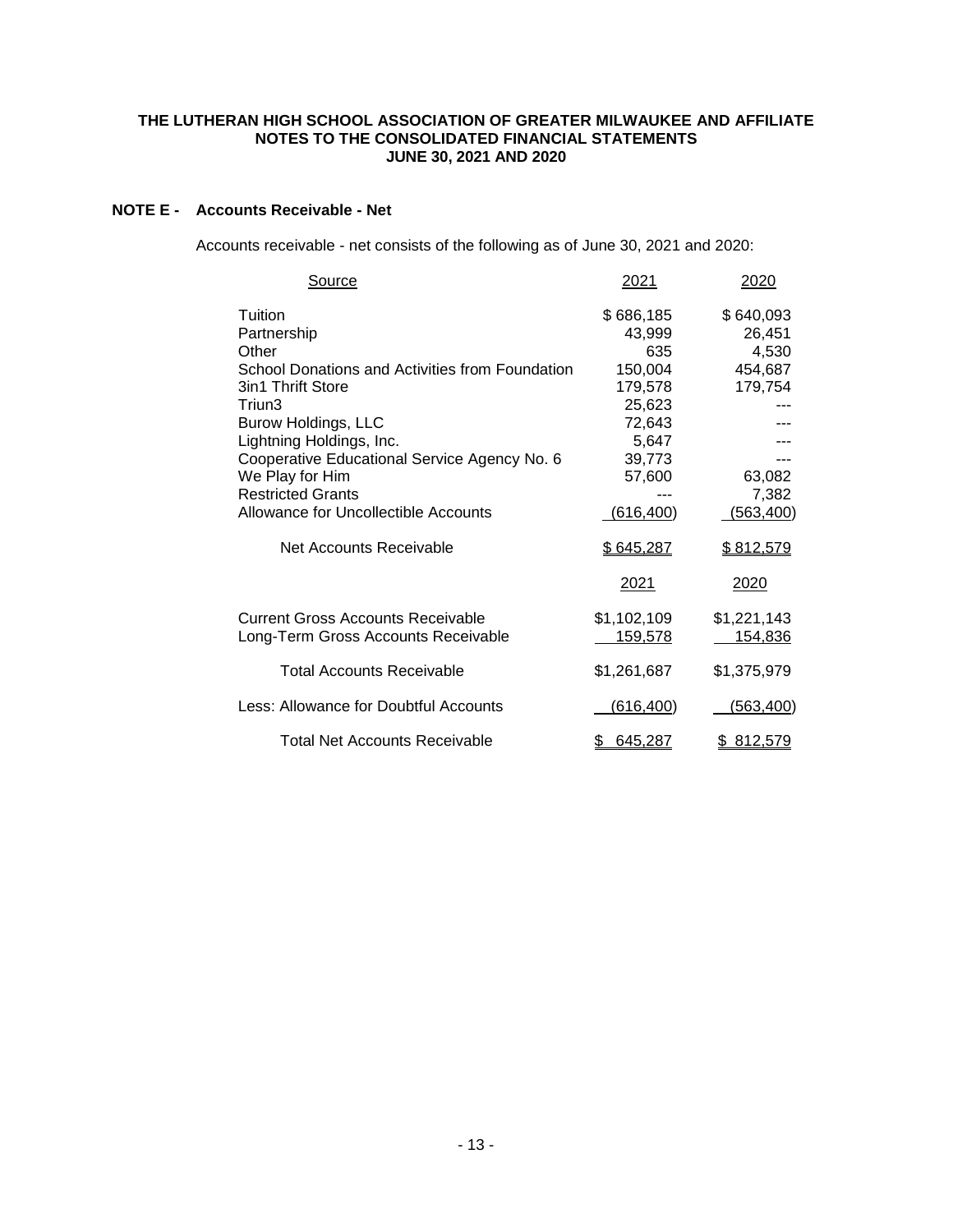### **NOTE E - Accounts Receivable - Net**

Accounts receivable - net consists of the following as of June 30, 2021 and 2020:

| Source                                                                                                                                                               | 2021                                                                          | 2020                                               |
|----------------------------------------------------------------------------------------------------------------------------------------------------------------------|-------------------------------------------------------------------------------|----------------------------------------------------|
| Tuition<br>Partnership<br>Other<br>School Donations and Activities from Foundation<br>3in1 Thrift Store<br>Triun3<br>Burow Holdings, LLC<br>Lightning Holdings, Inc. | \$686,185<br>43,999<br>635<br>150,004<br>179,578<br>25,623<br>72,643<br>5,647 | \$640,093<br>26,451<br>4,530<br>454,687<br>179,754 |
| Cooperative Educational Service Agency No. 6<br>We Play for Him<br><b>Restricted Grants</b><br>Allowance for Uncollectible Accounts                                  | 39,773<br>57,600<br>(616, 400)                                                | 63,082<br>7,382<br>(563,400)                       |
| Net Accounts Receivable                                                                                                                                              | \$645,287<br>2021                                                             | <u>\$812,579</u><br>2020                           |
| <b>Current Gross Accounts Receivable</b><br>Long-Term Gross Accounts Receivable                                                                                      | \$1,102,109<br><u>159,578</u>                                                 | \$1,221,143<br>154,836                             |
| <b>Total Accounts Receivable</b>                                                                                                                                     | \$1,261,687                                                                   | \$1,375,979                                        |
| Less: Allowance for Doubtful Accounts                                                                                                                                | (616, 400)                                                                    | (563, 400)                                         |
| <b>Total Net Accounts Receivable</b>                                                                                                                                 | 645,287<br>\$                                                                 | 812,579<br>\$                                      |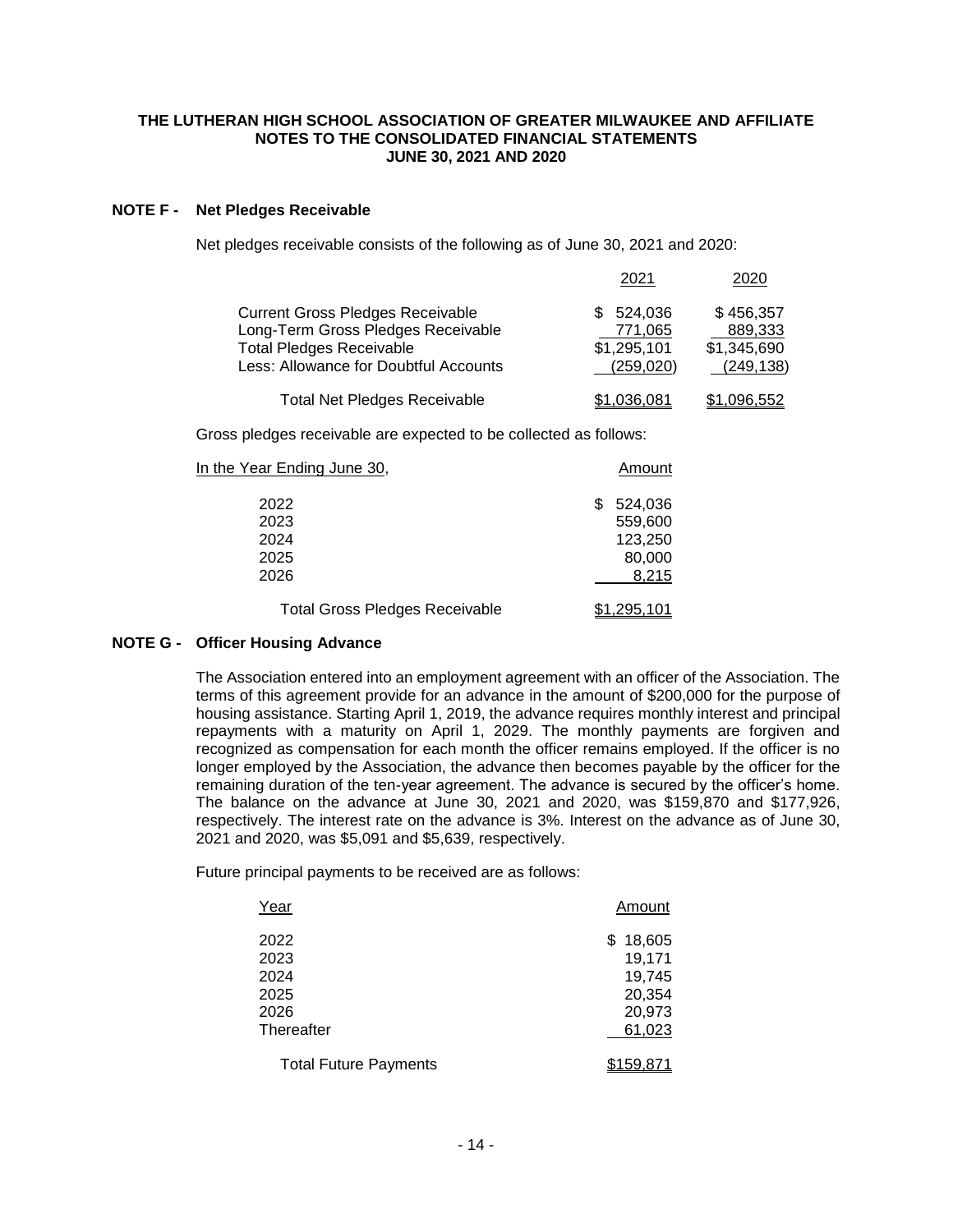#### **NOTE F - Net Pledges Receivable**

Net pledges receivable consists of the following as of June 30, 2021 and 2020:

|                                         | 2021 I      | ∠∪∠∪        |
|-----------------------------------------|-------------|-------------|
| <b>Current Gross Pledges Receivable</b> | 524,036     | \$456,357   |
| Long-Term Gross Pledges Receivable      | 771,065     | 889,333     |
| <b>Total Pledges Receivable</b>         | \$1,295,101 | \$1,345,690 |
| Less: Allowance for Doubtful Accounts   | (259, 020)  | (249, 138)  |
| <b>Total Net Pledges Receivable</b>     | \$1,036,081 | \$1,096,552 |

2021 2020

Gross pledges receivable are expected to be collected as follows:

| In the Year Ending June 30,           | Amount       |
|---------------------------------------|--------------|
| 2022                                  | 524,036<br>S |
| 2023                                  | 559,600      |
| 2024                                  | 123,250      |
| 2025                                  | 80,000       |
| 2026                                  | 8,215        |
| <b>Total Gross Pledges Receivable</b> | .295.101     |

#### **NOTE G - Officer Housing Advance**

The Association entered into an employment agreement with an officer of the Association. The terms of this agreement provide for an advance in the amount of \$200,000 for the purpose of housing assistance. Starting April 1, 2019, the advance requires monthly interest and principal repayments with a maturity on April 1, 2029. The monthly payments are forgiven and recognized as compensation for each month the officer remains employed. If the officer is no longer employed by the Association, the advance then becomes payable by the officer for the remaining duration of the ten-year agreement. The advance is secured by the officer's home. The balance on the advance at June 30, 2021 and 2020, was \$159,870 and \$177,926, respectively. The interest rate on the advance is 3%. Interest on the advance as of June 30, 2021 and 2020, was \$5,091 and \$5,639, respectively.

Future principal payments to be received are as follows:

| Year                         | Amount    |
|------------------------------|-----------|
| 2022                         | \$18,605  |
| 2023                         | 19,171    |
| 2024                         | 19,745    |
| 2025                         | 20,354    |
| 2026                         | 20,973    |
| Thereafter                   | 61,023    |
| <b>Total Future Payments</b> | \$159.871 |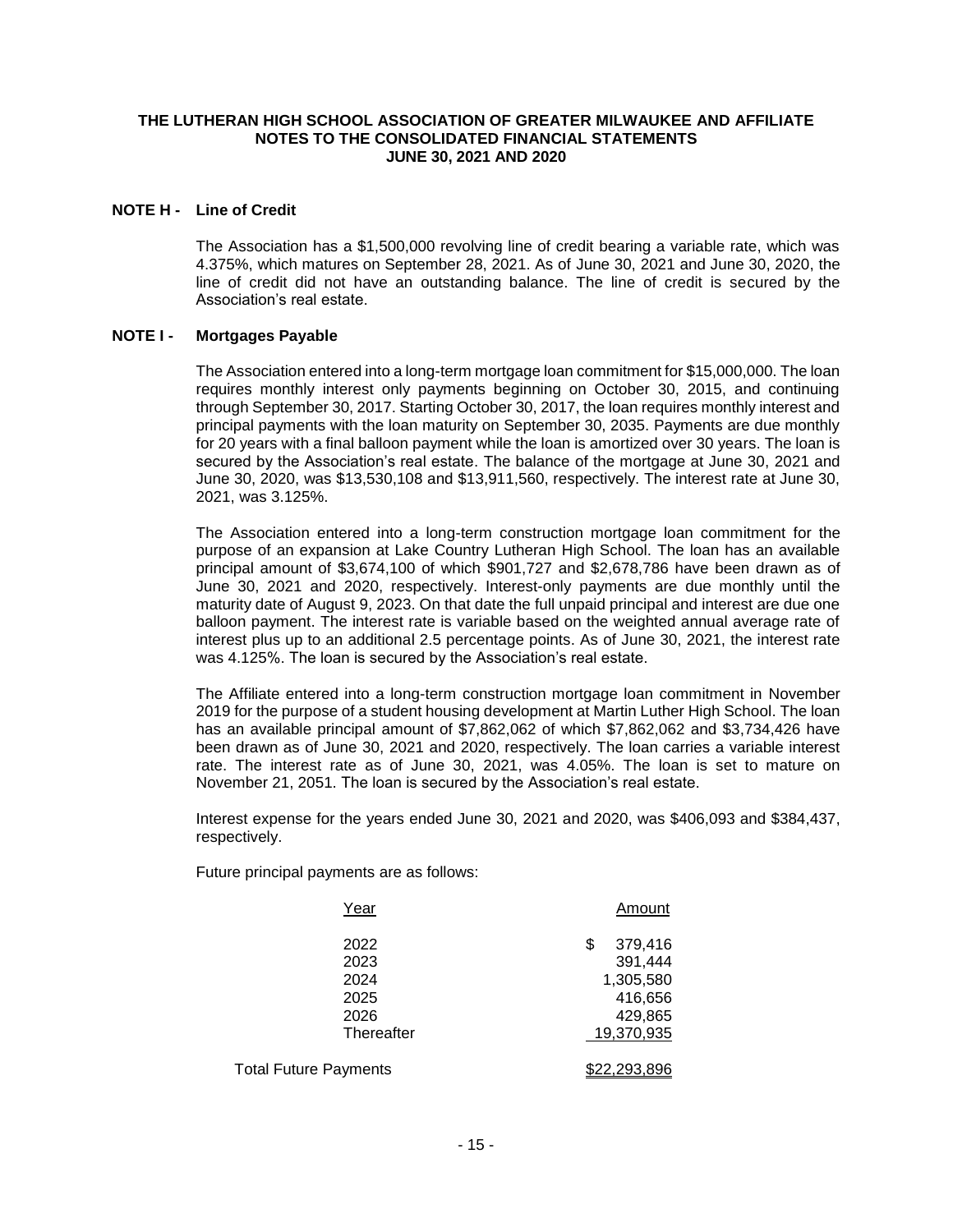#### **NOTE H - Line of Credit**

The Association has a \$1,500,000 revolving line of credit bearing a variable rate, which was 4.375%, which matures on September 28, 2021. As of June 30, 2021 and June 30, 2020, the line of credit did not have an outstanding balance. The line of credit is secured by the Association's real estate.

#### **NOTE I - Mortgages Payable**

The Association entered into a long-term mortgage loan commitment for \$15,000,000. The loan requires monthly interest only payments beginning on October 30, 2015, and continuing through September 30, 2017. Starting October 30, 2017, the loan requires monthly interest and principal payments with the loan maturity on September 30, 2035. Payments are due monthly for 20 years with a final balloon payment while the loan is amortized over 30 years. The loan is secured by the Association's real estate. The balance of the mortgage at June 30, 2021 and June 30, 2020, was \$13,530,108 and \$13,911,560, respectively. The interest rate at June 30, 2021, was 3.125%.

The Association entered into a long-term construction mortgage loan commitment for the purpose of an expansion at Lake Country Lutheran High School. The loan has an available principal amount of \$3,674,100 of which \$901,727 and \$2,678,786 have been drawn as of June 30, 2021 and 2020, respectively. Interest-only payments are due monthly until the maturity date of August 9, 2023. On that date the full unpaid principal and interest are due one balloon payment. The interest rate is variable based on the weighted annual average rate of interest plus up to an additional 2.5 percentage points. As of June 30, 2021, the interest rate was 4.125%. The loan is secured by the Association's real estate.

The Affiliate entered into a long-term construction mortgage loan commitment in November 2019 for the purpose of a student housing development at Martin Luther High School. The loan has an available principal amount of \$7,862,062 of which \$7,862,062 and \$3,734,426 have been drawn as of June 30, 2021 and 2020, respectively. The loan carries a variable interest rate. The interest rate as of June 30, 2021, was 4.05%. The loan is set to mature on November 21, 2051. The loan is secured by the Association's real estate.

Interest expense for the years ended June 30, 2021 and 2020, was \$406,093 and \$384,437, respectively.

Future principal payments are as follows:

| Year                                               | Amount                                                                    |
|----------------------------------------------------|---------------------------------------------------------------------------|
| 2022<br>2023<br>2024<br>2025<br>2026<br>Thereafter | 379,416<br>\$<br>391,444<br>1,305,580<br>416,656<br>429,865<br>19,370,935 |
| <b>Total Future Payments</b>                       | \$22,293,896                                                              |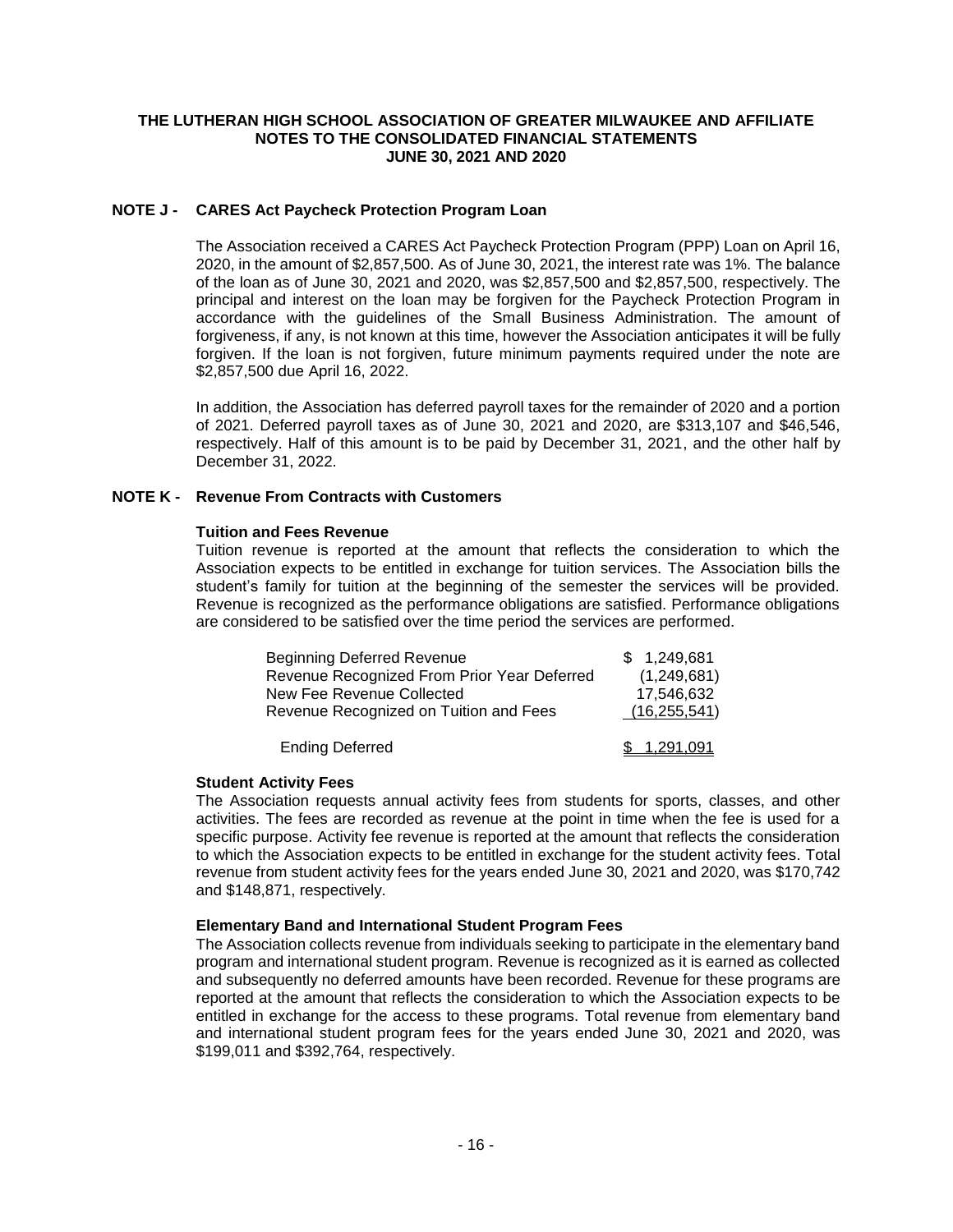### **NOTE J - CARES Act Paycheck Protection Program Loan**

The Association received a CARES Act Paycheck Protection Program (PPP) Loan on April 16, 2020, in the amount of \$2,857,500. As of June 30, 2021, the interest rate was 1%. The balance of the loan as of June 30, 2021 and 2020, was \$2,857,500 and \$2,857,500, respectively. The principal and interest on the loan may be forgiven for the Paycheck Protection Program in accordance with the guidelines of the Small Business Administration. The amount of forgiveness, if any, is not known at this time, however the Association anticipates it will be fully forgiven. If the loan is not forgiven, future minimum payments required under the note are \$2,857,500 due April 16, 2022.

In addition, the Association has deferred payroll taxes for the remainder of 2020 and a portion of 2021. Deferred payroll taxes as of June 30, 2021 and 2020, are \$313,107 and \$46,546, respectively. Half of this amount is to be paid by December 31, 2021, and the other half by December 31, 2022.

### **NOTE K - Revenue From Contracts with Customers**

#### **Tuition and Fees Revenue**

Tuition revenue is reported at the amount that reflects the consideration to which the Association expects to be entitled in exchange for tuition services. The Association bills the student's family for tuition at the beginning of the semester the services will be provided. Revenue is recognized as the performance obligations are satisfied. Performance obligations are considered to be satisfied over the time period the services are performed.

| <b>Beginning Deferred Revenue</b>           | \$1,249,681    |
|---------------------------------------------|----------------|
| Revenue Recognized From Prior Year Deferred | (1,249,681)    |
| New Fee Revenue Collected                   | 17.546.632     |
| Revenue Recognized on Tuition and Fees      | (16, 255, 541) |
| <b>Ending Deferred</b>                      | \$ 1.291.091   |

#### **Student Activity Fees**

The Association requests annual activity fees from students for sports, classes, and other activities. The fees are recorded as revenue at the point in time when the fee is used for a specific purpose. Activity fee revenue is reported at the amount that reflects the consideration to which the Association expects to be entitled in exchange for the student activity fees. Total revenue from student activity fees for the years ended June 30, 2021 and 2020, was \$170,742 and \$148,871, respectively.

#### **Elementary Band and International Student Program Fees**

The Association collects revenue from individuals seeking to participate in the elementary band program and international student program. Revenue is recognized as it is earned as collected and subsequently no deferred amounts have been recorded. Revenue for these programs are reported at the amount that reflects the consideration to which the Association expects to be entitled in exchange for the access to these programs. Total revenue from elementary band and international student program fees for the years ended June 30, 2021 and 2020, was \$199,011 and \$392,764, respectively.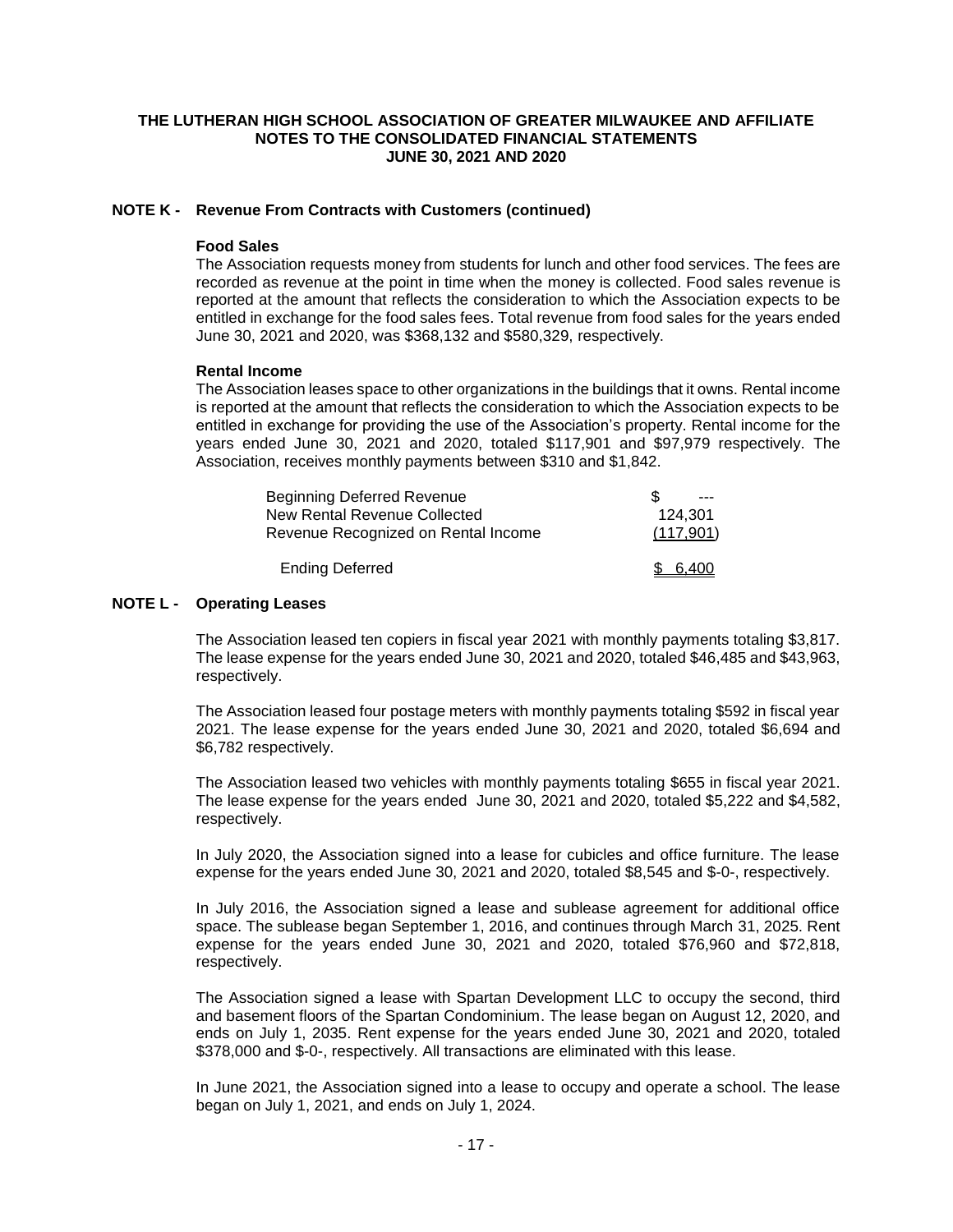#### **NOTE K - Revenue From Contracts with Customers (continued)**

#### **Food Sales**

The Association requests money from students for lunch and other food services. The fees are recorded as revenue at the point in time when the money is collected. Food sales revenue is reported at the amount that reflects the consideration to which the Association expects to be entitled in exchange for the food sales fees. Total revenue from food sales for the years ended June 30, 2021 and 2020, was \$368,132 and \$580,329, respectively.

#### **Rental Income**

The Association leases space to other organizations in the buildings that it owns. Rental income is reported at the amount that reflects the consideration to which the Association expects to be entitled in exchange for providing the use of the Association's property. Rental income for the years ended June 30, 2021 and 2020, totaled \$117,901 and \$97,979 respectively. The Association, receives monthly payments between \$310 and \$1,842.

| Beginning Deferred Revenue          | $---$      |
|-------------------------------------|------------|
| New Rental Revenue Collected        | 124.301    |
| Revenue Recognized on Rental Income | (117, 901) |
|                                     |            |

| <b>Ending Deferred</b> | \$6,400 |
|------------------------|---------|
|------------------------|---------|

#### **NOTE L - Operating Leases**

The Association leased ten copiers in fiscal year 2021 with monthly payments totaling \$3,817. The lease expense for the years ended June 30, 2021 and 2020, totaled \$46,485 and \$43,963, respectively.

The Association leased four postage meters with monthly payments totaling \$592 in fiscal year 2021. The lease expense for the years ended June 30, 2021 and 2020, totaled \$6,694 and \$6,782 respectively.

The Association leased two vehicles with monthly payments totaling \$655 in fiscal year 2021. The lease expense for the years ended June 30, 2021 and 2020, totaled \$5,222 and \$4,582, respectively.

In July 2020, the Association signed into a lease for cubicles and office furniture. The lease expense for the years ended June 30, 2021 and 2020, totaled \$8,545 and \$-0-, respectively.

In July 2016, the Association signed a lease and sublease agreement for additional office space. The sublease began September 1, 2016, and continues through March 31, 2025. Rent expense for the years ended June 30, 2021 and 2020, totaled \$76,960 and \$72,818, respectively.

The Association signed a lease with Spartan Development LLC to occupy the second, third and basement floors of the Spartan Condominium. The lease began on August 12, 2020, and ends on July 1, 2035. Rent expense for the years ended June 30, 2021 and 2020, totaled \$378,000 and \$-0-, respectively. All transactions are eliminated with this lease.

In June 2021, the Association signed into a lease to occupy and operate a school. The lease began on July 1, 2021, and ends on July 1, 2024.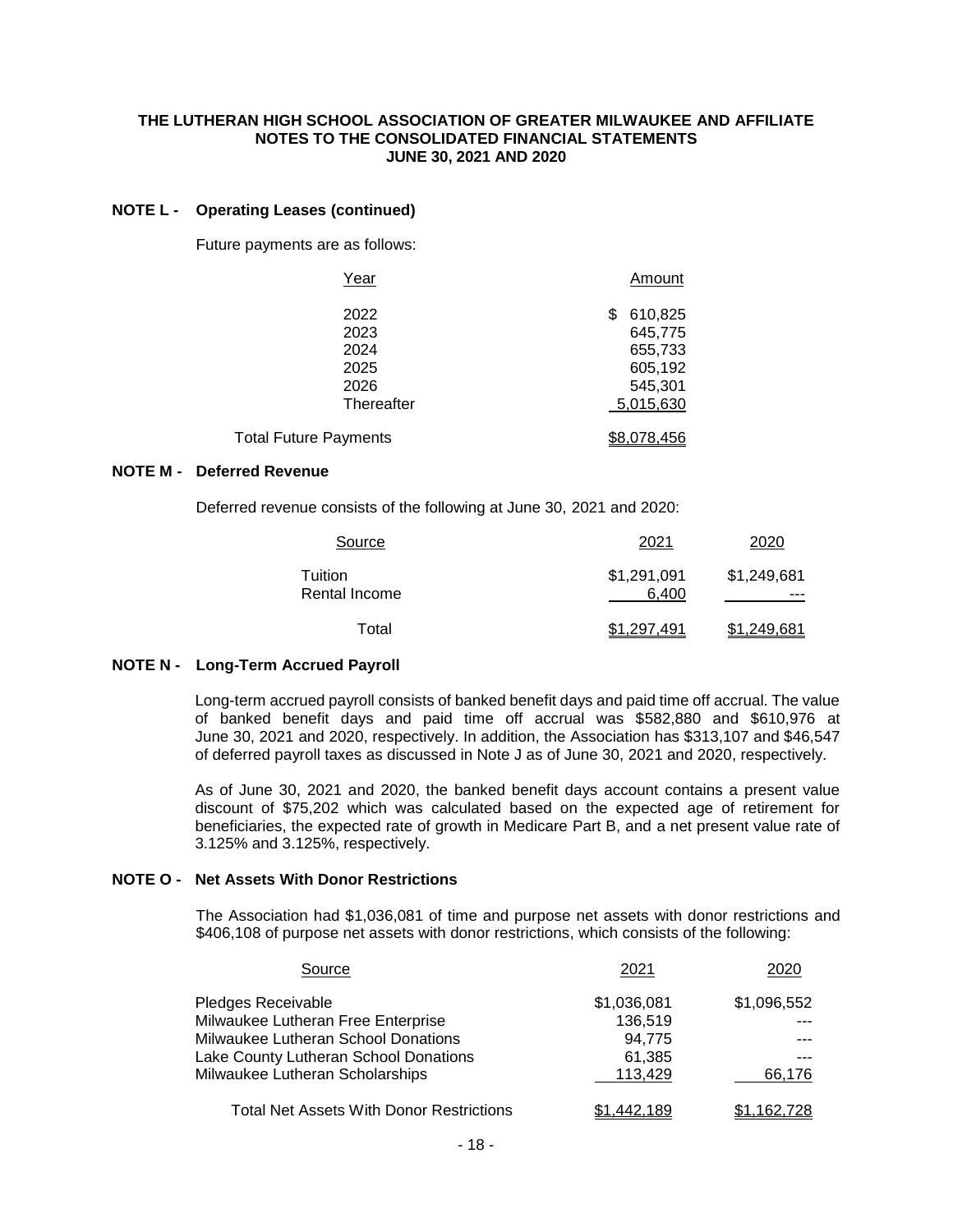#### **NOTE L - Operating Leases (continued)**

Future payments are as follows:

| Year                                               | Amount                                                                |
|----------------------------------------------------|-----------------------------------------------------------------------|
| 2022<br>2023<br>2024<br>2025<br>2026<br>Thereafter | 610,825<br>S<br>645,775<br>655,733<br>605,192<br>545,301<br>5,015,630 |
| <b>Total Future Payments</b>                       | \$8,078,456                                                           |

### **NOTE M - Deferred Revenue**

Deferred revenue consists of the following at June 30, 2021 and 2020:

| Source                   | 2021                 | 2020        |
|--------------------------|----------------------|-------------|
| Tuition<br>Rental Income | \$1,291,091<br>6.400 | \$1,249,681 |
| Total                    | \$1.297.491          | \$1.249.681 |

#### **NOTE N - Long-Term Accrued Payroll**

Long-term accrued payroll consists of banked benefit days and paid time off accrual. The value of banked benefit days and paid time off accrual was \$582,880 and \$610,976 at June 30, 2021 and 2020, respectively. In addition, the Association has \$313,107 and \$46,547 of deferred payroll taxes as discussed in Note J as of June 30, 2021 and 2020, respectively.

As of June 30, 2021 and 2020, the banked benefit days account contains a present value discount of \$75,202 which was calculated based on the expected age of retirement for beneficiaries, the expected rate of growth in Medicare Part B, and a net present value rate of 3.125% and 3.125%, respectively.

#### **NOTE O - Net Assets With Donor Restrictions**

The Association had \$1,036,081 of time and purpose net assets with donor restrictions and \$406,108 of purpose net assets with donor restrictions, which consists of the following:

| Source                                          | 2021        | 2020        |
|-------------------------------------------------|-------------|-------------|
| Pledges Receivable                              | \$1,036,081 | \$1,096,552 |
| Milwaukee Lutheran Free Enterprise              | 136,519     |             |
| Milwaukee Lutheran School Donations             | 94,775      |             |
| Lake County Lutheran School Donations           | 61,385      |             |
| Milwaukee Lutheran Scholarships                 | 113,429     | 66,176      |
| <b>Total Net Assets With Donor Restrictions</b> | \$1.442.189 | \$1,162,728 |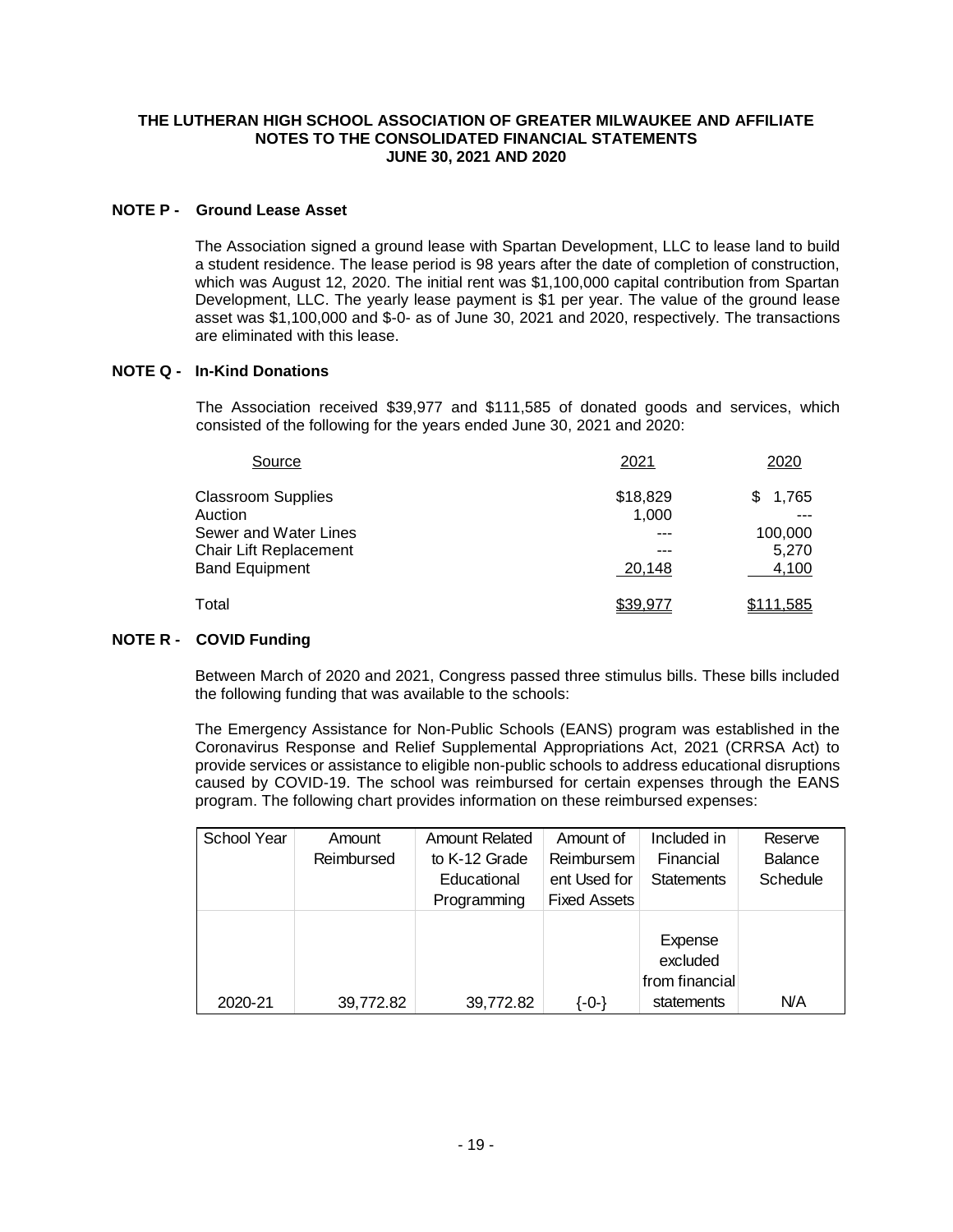### **NOTE P - Ground Lease Asset**

The Association signed a ground lease with Spartan Development, LLC to lease land to build a student residence. The lease period is 98 years after the date of completion of construction, which was August 12, 2020. The initial rent was \$1,100,000 capital contribution from Spartan Development, LLC. The yearly lease payment is \$1 per year. The value of the ground lease asset was \$1,100,000 and \$-0- as of June 30, 2021 and 2020, respectively. The transactions are eliminated with this lease.

### **NOTE Q - In-Kind Donations**

The Association received \$39,977 and \$111,585 of donated goods and services, which consisted of the following for the years ended June 30, 2021 and 2020:

| Source                    | 2021     | 2020      |
|---------------------------|----------|-----------|
| <b>Classroom Supplies</b> | \$18,829 | \$1,765   |
| Auction                   | 1,000    |           |
| Sewer and Water Lines     | ---      | 100,000   |
| Chair Lift Replacement    |          | 5.270     |
| <b>Band Equipment</b>     | 20.148   | 4,100     |
| Total                     | \$39.977 | \$111,585 |

#### **NOTE R - COVID Funding**

Between March of 2020 and 2021, Congress passed three stimulus bills. These bills included the following funding that was available to the schools:

The Emergency Assistance for Non-Public Schools (EANS) program was established in the Coronavirus Response and Relief Supplemental Appropriations Act, 2021 (CRRSA Act) to provide services or assistance to eligible non-public schools to address educational disruptions caused by COVID-19. The school was reimbursed for certain expenses through the EANS program. The following chart provides information on these reimbursed expenses:

| <b>School Year</b> | Amount     | <b>Amount Related</b> | Amount of           | Included in       | Reserve        |
|--------------------|------------|-----------------------|---------------------|-------------------|----------------|
|                    | Reimbursed | to K-12 Grade         | Reimbursem          | Financial         | <b>Balance</b> |
|                    |            | Educational           | ent Used for        | <b>Statements</b> | Schedule       |
|                    |            | Programming           | <b>Fixed Assets</b> |                   |                |
|                    |            |                       |                     |                   |                |
|                    |            |                       |                     | Expense           |                |
|                    |            |                       |                     | excluded          |                |
|                    |            |                       |                     | from financial    |                |
| 2020-21            | 39,772.82  | 39,772.82             | {-0-}               | statements        | <b>N/A</b>     |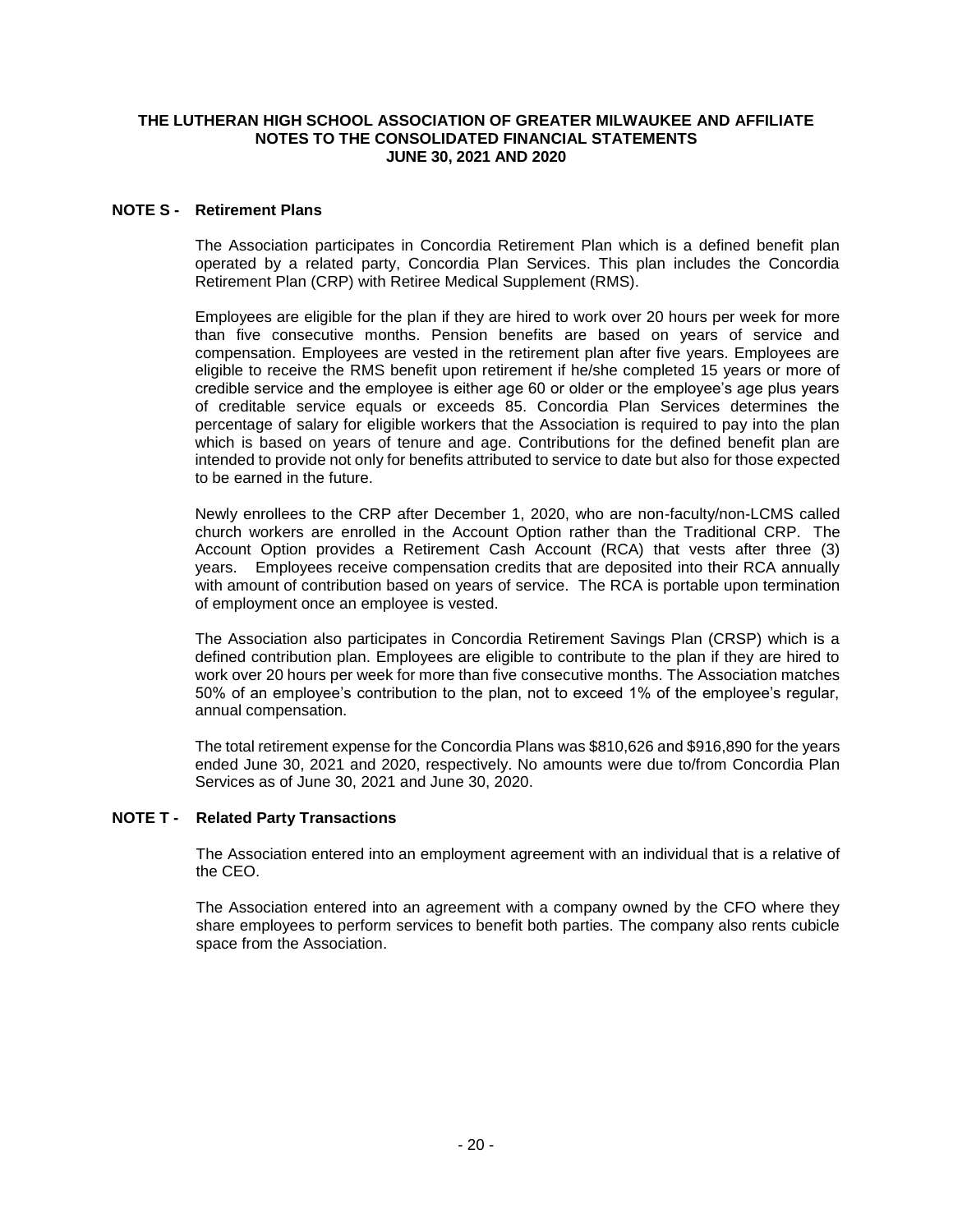#### **NOTE S - Retirement Plans**

The Association participates in Concordia Retirement Plan which is a defined benefit plan operated by a related party, Concordia Plan Services. This plan includes the Concordia Retirement Plan (CRP) with Retiree Medical Supplement (RMS).

Employees are eligible for the plan if they are hired to work over 20 hours per week for more than five consecutive months. Pension benefits are based on years of service and compensation. Employees are vested in the retirement plan after five years. Employees are eligible to receive the RMS benefit upon retirement if he/she completed 15 years or more of credible service and the employee is either age 60 or older or the employee's age plus years of creditable service equals or exceeds 85. Concordia Plan Services determines the percentage of salary for eligible workers that the Association is required to pay into the plan which is based on years of tenure and age. Contributions for the defined benefit plan are intended to provide not only for benefits attributed to service to date but also for those expected to be earned in the future.

Newly enrollees to the CRP after December 1, 2020, who are non-faculty/non-LCMS called church workers are enrolled in the Account Option rather than the Traditional CRP. The Account Option provides a Retirement Cash Account (RCA) that vests after three (3) years. Employees receive compensation credits that are deposited into their RCA annually with amount of contribution based on years of service. The RCA is portable upon termination of employment once an employee is vested.

The Association also participates in Concordia Retirement Savings Plan (CRSP) which is a defined contribution plan. Employees are eligible to contribute to the plan if they are hired to work over 20 hours per week for more than five consecutive months. The Association matches 50% of an employee's contribution to the plan, not to exceed 1% of the employee's regular, annual compensation.

The total retirement expense for the Concordia Plans was \$810,626 and \$916,890 for the years ended June 30, 2021 and 2020, respectively. No amounts were due to/from Concordia Plan Services as of June 30, 2021 and June 30, 2020.

#### **NOTE T - Related Party Transactions**

The Association entered into an employment agreement with an individual that is a relative of the CEO.

The Association entered into an agreement with a company owned by the CFO where they share employees to perform services to benefit both parties. The company also rents cubicle space from the Association.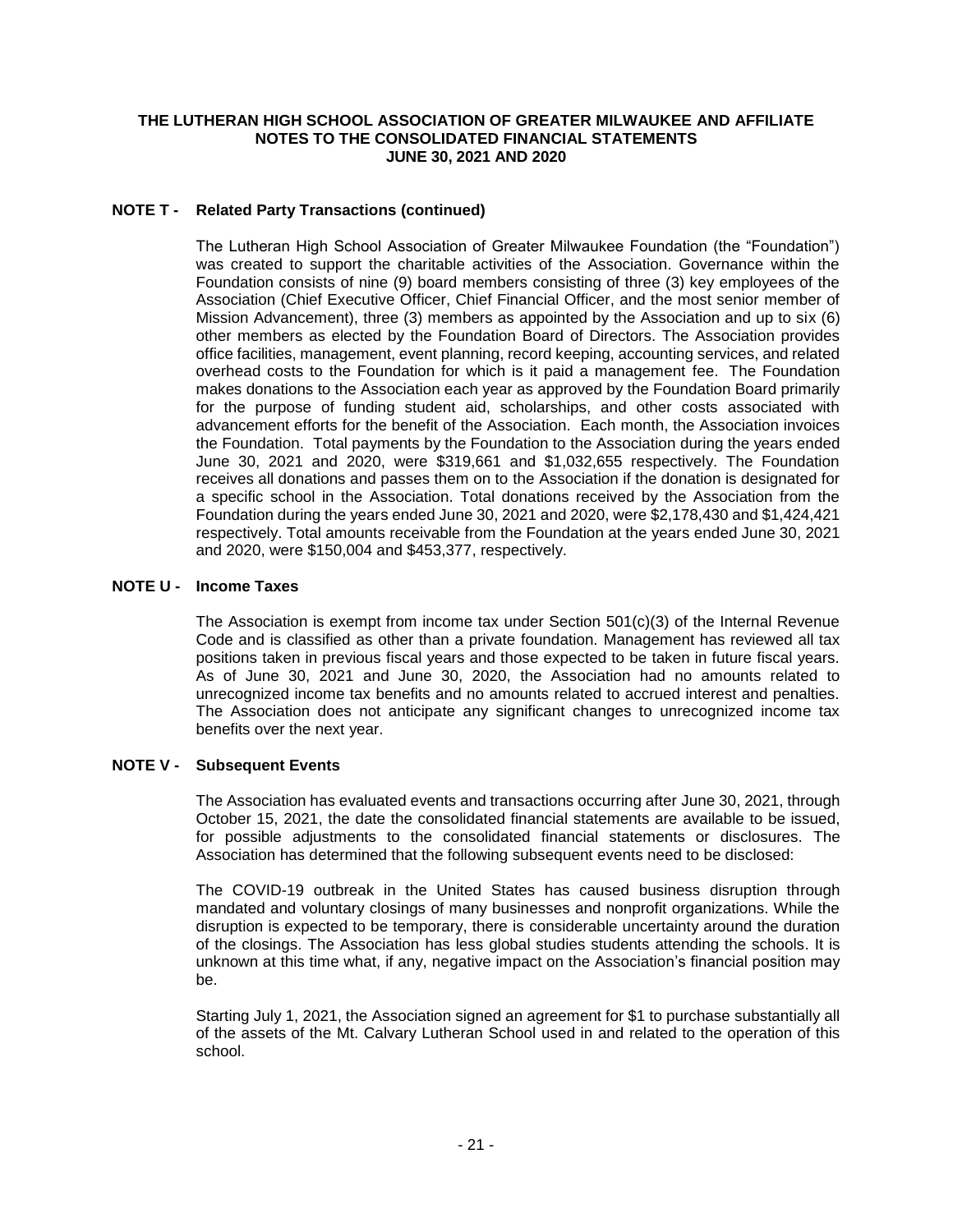### **NOTE T - Related Party Transactions (continued)**

The Lutheran High School Association of Greater Milwaukee Foundation (the "Foundation") was created to support the charitable activities of the Association. Governance within the Foundation consists of nine (9) board members consisting of three (3) key employees of the Association (Chief Executive Officer, Chief Financial Officer, and the most senior member of Mission Advancement), three (3) members as appointed by the Association and up to six (6) other members as elected by the Foundation Board of Directors. The Association provides office facilities, management, event planning, record keeping, accounting services, and related overhead costs to the Foundation for which is it paid a management fee. The Foundation makes donations to the Association each year as approved by the Foundation Board primarily for the purpose of funding student aid, scholarships, and other costs associated with advancement efforts for the benefit of the Association. Each month, the Association invoices the Foundation. Total payments by the Foundation to the Association during the years ended June 30, 2021 and 2020, were \$319,661 and \$1,032,655 respectively. The Foundation receives all donations and passes them on to the Association if the donation is designated for a specific school in the Association. Total donations received by the Association from the Foundation during the years ended June 30, 2021 and 2020, were \$2,178,430 and \$1,424,421 respectively. Total amounts receivable from the Foundation at the years ended June 30, 2021 and 2020, were \$150,004 and \$453,377, respectively.

### **NOTE U - Income Taxes**

The Association is exempt from income tax under Section  $501(c)(3)$  of the Internal Revenue Code and is classified as other than a private foundation. Management has reviewed all tax positions taken in previous fiscal years and those expected to be taken in future fiscal years. As of June 30, 2021 and June 30, 2020, the Association had no amounts related to unrecognized income tax benefits and no amounts related to accrued interest and penalties. The Association does not anticipate any significant changes to unrecognized income tax benefits over the next year.

### **NOTE V - Subsequent Events**

The Association has evaluated events and transactions occurring after June 30, 2021, through October 15, 2021, the date the consolidated financial statements are available to be issued, for possible adjustments to the consolidated financial statements or disclosures. The Association has determined that the following subsequent events need to be disclosed:

The COVID-19 outbreak in the United States has caused business disruption through mandated and voluntary closings of many businesses and nonprofit organizations. While the disruption is expected to be temporary, there is considerable uncertainty around the duration of the closings. The Association has less global studies students attending the schools. It is unknown at this time what, if any, negative impact on the Association's financial position may be.

Starting July 1, 2021, the Association signed an agreement for \$1 to purchase substantially all of the assets of the Mt. Calvary Lutheran School used in and related to the operation of this school.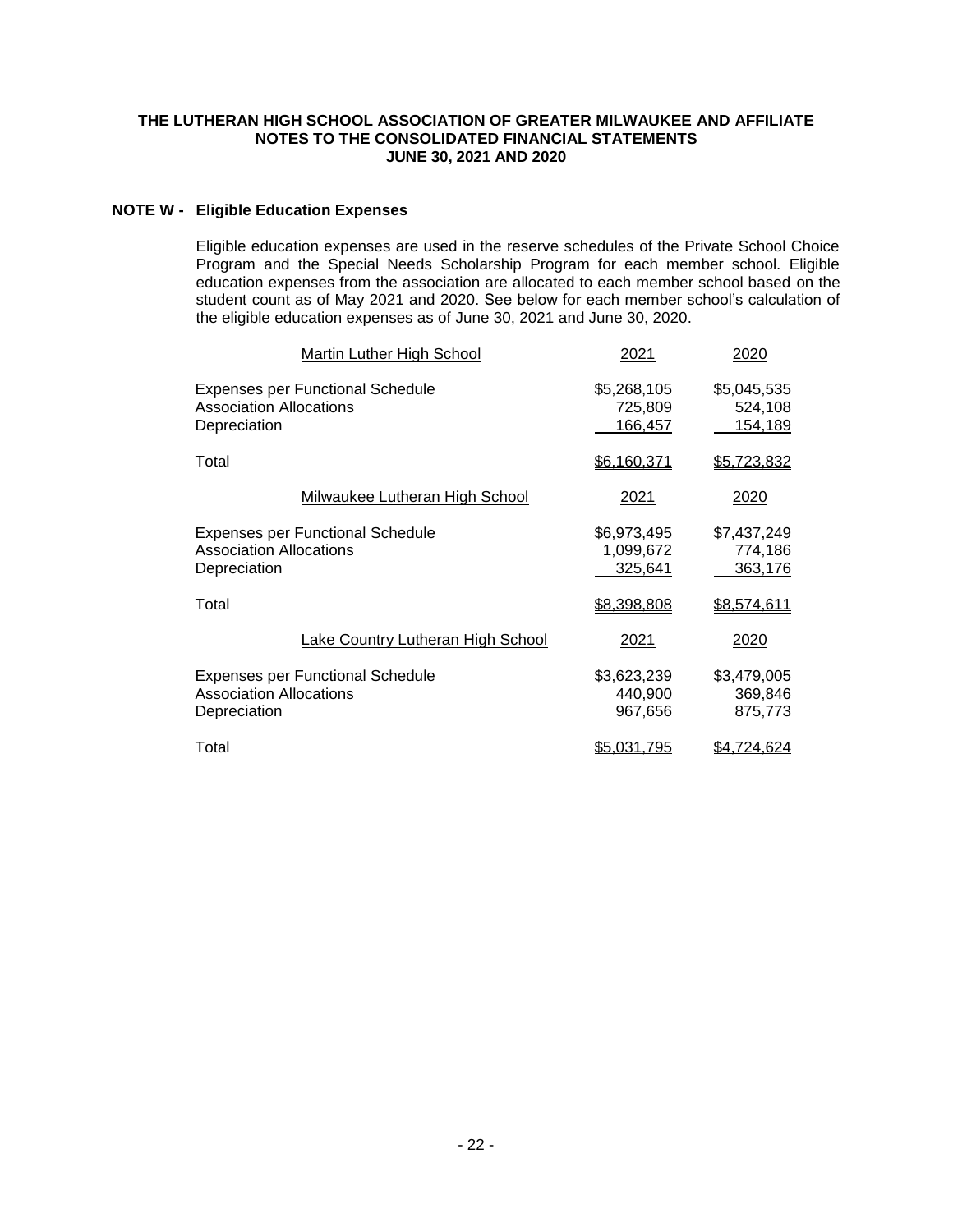#### **NOTE W - Eligible Education Expenses**

Eligible education expenses are used in the reserve schedules of the Private School Choice Program and the Special Needs Scholarship Program for each member school. Eligible education expenses from the association are allocated to each member school based on the student count as of May 2021 and 2020. See below for each member school's calculation of the eligible education expenses as of June 30, 2021 and June 30, 2020.

| Martin Luther High School                                                                 | 2021                                | 2020                              |
|-------------------------------------------------------------------------------------------|-------------------------------------|-----------------------------------|
| <b>Expenses per Functional Schedule</b><br><b>Association Allocations</b><br>Depreciation | \$5,268,105<br>725,809<br>166,457   | \$5,045,535<br>524,108<br>154,189 |
| Total                                                                                     | \$6,160,371                         | \$5,723,832                       |
| Milwaukee Lutheran High School                                                            | 2021                                | 2020                              |
| <b>Expenses per Functional Schedule</b><br><b>Association Allocations</b><br>Depreciation | \$6,973,495<br>1,099,672<br>325,641 | \$7,437,249<br>774,186<br>363,176 |
| Total                                                                                     | \$8,398,808                         | \$8,574,611                       |
| Lake Country Lutheran High School                                                         | 2021                                | 2020                              |
| <b>Expenses per Functional Schedule</b><br><b>Association Allocations</b><br>Depreciation | \$3,623,239<br>440,900<br>967,656   | \$3,479,005<br>369,846<br>875,773 |
| Total                                                                                     | \$5,031,795                         | \$4,724,624                       |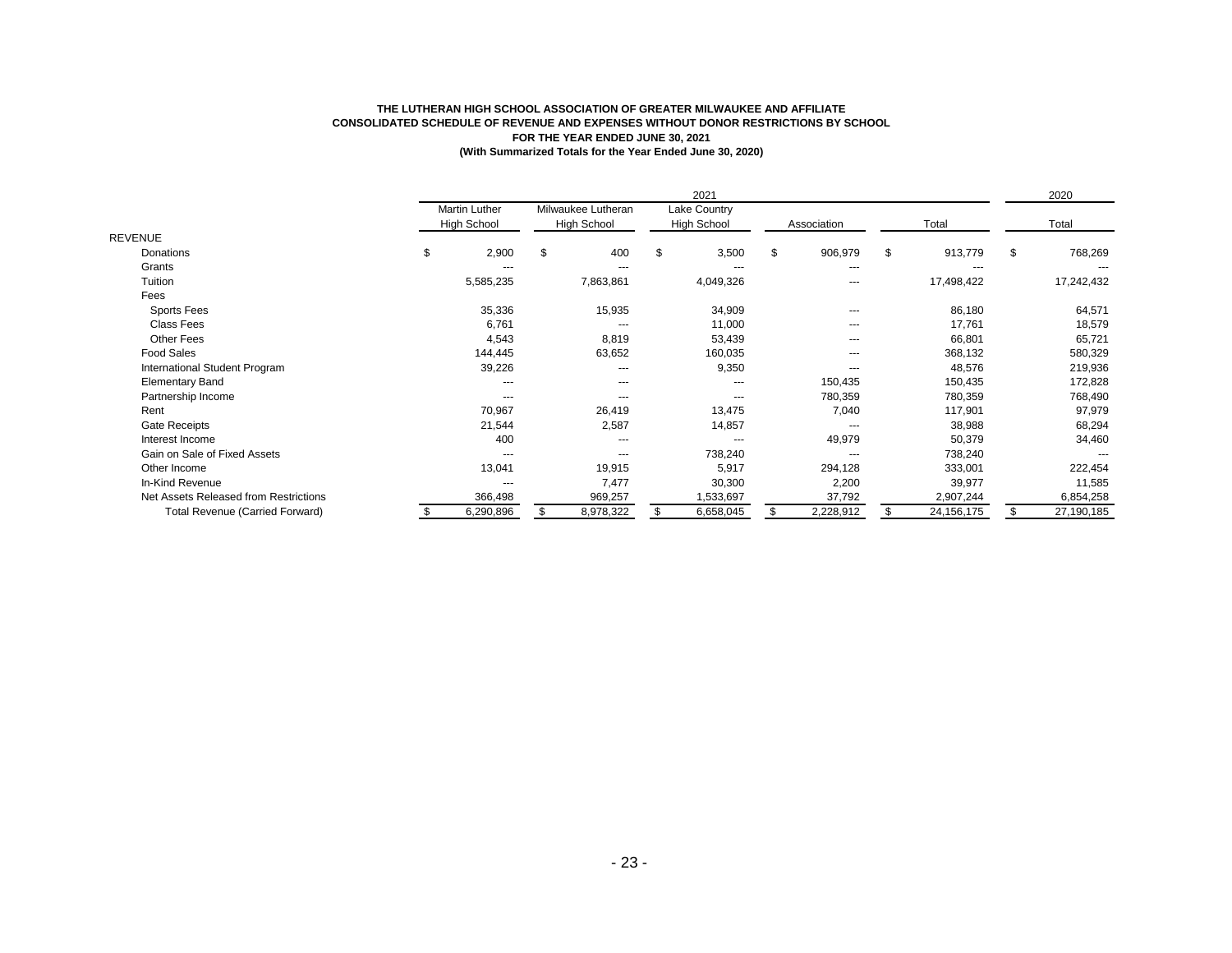#### **THE LUTHERAN HIGH SCHOOL ASSOCIATION OF GREATER MILWAUKEE AND AFFILIATE CONSOLIDATED SCHEDULE OF REVENUE AND EXPENSES WITHOUT DONOR RESTRICTIONS BY SCHOOL FOR THE YEAR ENDED JUNE 30, 2021 (With Summarized Totals for the Year Ended June 30, 2020)**

|                                        | 2021 |                                            |        |                                          |         |                                           |          |             |         |            | 2020    |            |
|----------------------------------------|------|--------------------------------------------|--------|------------------------------------------|---------|-------------------------------------------|----------|-------------|---------|------------|---------|------------|
|                                        |      | <b>Martin Luther</b><br><b>High School</b> |        | Milwaukee Lutheran<br><b>High School</b> |         | <b>Lake Country</b><br><b>High School</b> |          | Association |         | Total      | Total   |            |
| REVENUE                                |      |                                            |        |                                          |         |                                           |          |             |         |            |         |            |
| Donations                              | \$   | 2,900                                      | \$     | 400                                      | \$.     | 3,500                                     | \$       | 906,979     | \$      | 913,779    | \$      | 768,269    |
| Grants                                 |      | ---                                        |        | $---$                                    |         | ---                                       |          | $\cdots$    |         | ---        |         | $\cdots$   |
| Tuition                                |      | 5,585,235                                  |        | 7,863,861                                |         | 4,049,326                                 |          | $\cdots$    |         | 17,498,422 |         | 17,242,432 |
| Fees                                   |      |                                            |        |                                          |         |                                           |          |             |         |            |         |            |
| Sports Fees                            |      | 35,336                                     |        | 15,935                                   |         | 34,909                                    |          | $\cdots$    |         | 86,180     |         | 64,571     |
| Class Fees                             |      | 6,761                                      |        | $---$                                    |         | 11,000                                    |          | $\cdots$    |         | 17,761     |         | 18,579     |
| <b>Other Fees</b>                      |      | 4,543                                      |        | 8,819                                    |         | 53,439                                    |          | $\cdots$    |         | 66,801     |         | 65,721     |
| Food Sales                             |      | 144,445                                    | 63,652 |                                          | 160,035 |                                           | $\cdots$ |             | 368,132 |            | 580,329 |            |
| International Student Program          |      | 39,226                                     |        | $---$                                    |         | 9,350                                     |          | $\cdots$    |         | 48,576     |         | 219,936    |
| <b>Elementary Band</b>                 |      | ---                                        |        | $---$                                    |         | ---                                       |          | 150,435     |         | 150,435    |         | 172,828    |
| Partnership Income                     |      | ---                                        |        | $---$                                    |         | ---                                       |          | 780,359     |         | 780,359    |         | 768,490    |
| Rent                                   |      | 70,967                                     |        | 26,419                                   |         | 13,475                                    |          | 7,040       |         | 117,901    |         | 97,979     |
| <b>Gate Receipts</b>                   |      | 21,544                                     |        | 2,587                                    |         | 14,857                                    |          | $\cdots$    |         | 38,988     |         | 68,294     |
| Interest Income                        |      | 400                                        |        | $---$                                    |         | ---                                       |          | 49,979      |         | 50,379     |         | 34,460     |
| Gain on Sale of Fixed Assets           |      | ---                                        |        | $---$                                    |         | 738,240                                   |          | $\cdots$    |         | 738,240    |         | $\cdots$   |
| Other Income                           |      | 13,041                                     |        | 19,915                                   |         | 5,917                                     |          | 294,128     |         | 333,001    |         | 222,454    |
| In-Kind Revenue                        |      | ---                                        |        | 7,477                                    |         | 30,300                                    |          | 2,200       |         | 39,977     |         | 11,585     |
| Net Assets Released from Restrictions  |      | 366,498                                    |        | 969,257                                  |         | 1,533,697                                 |          | 37,792      |         | 2,907,244  |         | 6,854,258  |
| <b>Total Revenue (Carried Forward)</b> |      | 6,290,896                                  |        | 8,978,322                                |         | 6,658,045                                 |          | 2,228,912   |         | 24,156,175 |         | 27,190,185 |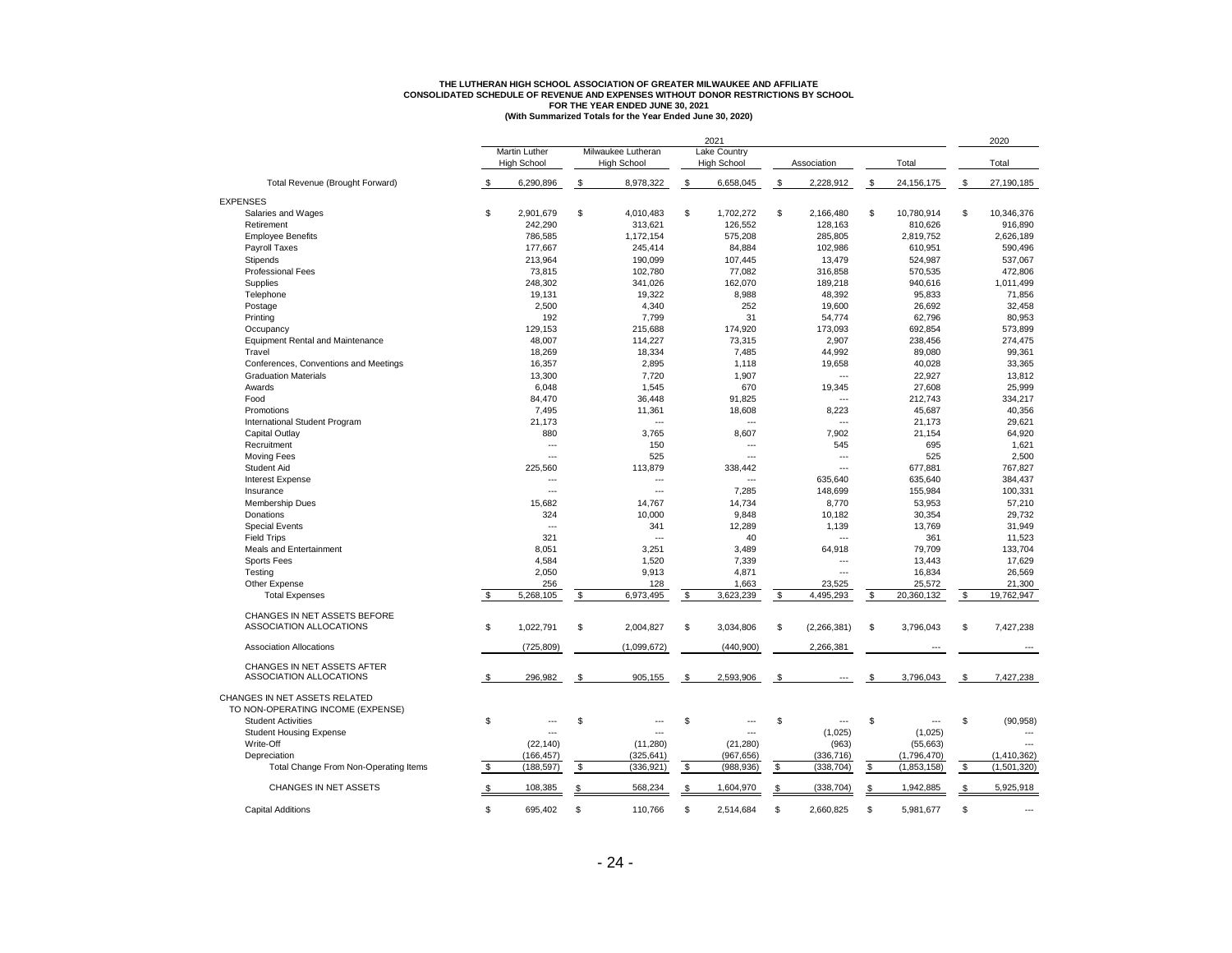#### **THE LUTHERAN HIGH SCHOOL ASSOCIATION OF GREATER MILWAUKEE AND AFFILIATE FOR THE YEAR ENDED JUNE 30, 2021 CONSOLIDATED SCHEDULE OF REVENUE AND EXPENSES WITHOUT DONOR RESTRICTIONS BY SCHOOL**

**(With Summarized Totals for the Year Ended June 30, 2020)**

|                                         |    |                                     |              |                    |     | 2021                |            |                |              |                          |                | 2020        |  |
|-----------------------------------------|----|-------------------------------------|--------------|--------------------|-----|---------------------|------------|----------------|--------------|--------------------------|----------------|-------------|--|
|                                         |    | Martin Luther<br>Milwaukee Lutheran |              |                    |     | <b>Lake Country</b> |            |                |              |                          |                |             |  |
|                                         |    | <b>High School</b>                  |              | <b>High School</b> |     | <b>High School</b>  |            | Association    |              | Total                    |                | Total       |  |
| Total Revenue (Brought Forward)         | \$ | 6,290,896                           | \$           | 8,978,322          | \$  | 6,658,045           | \$         | 2,228,912      | \$           | 24, 156, 175             | $\mathfrak{s}$ | 27,190,185  |  |
| <b>EXPENSES</b>                         |    |                                     |              |                    |     |                     |            |                |              |                          |                |             |  |
| Salaries and Wages                      | \$ | 2,901,679                           | \$           | 4,010,483          | \$  | 1,702,272           | \$         | 2,166,480      | \$           | 10,780,914               | s.             | 10,346,376  |  |
| Retirement                              |    | 242,290                             |              | 313,621            |     | 126.552             |            | 128,163        |              | 810,626                  |                | 916.890     |  |
| <b>Employee Benefits</b>                |    | 786,585                             |              | 1,172,154          |     | 575,208             |            | 285,805        |              | 2,819,752                |                | 2,626,189   |  |
| Payroll Taxes                           |    | 177,667                             |              | 245,414            |     | 84,884              |            | 102,986        |              | 610,951                  |                | 590,496     |  |
| Stipends                                |    | 213,964                             |              | 190,099            |     | 107,445             |            | 13,479         |              | 524,987                  |                | 537,067     |  |
| Professional Fees                       |    | 73,815                              |              | 102,780            |     | 77,082              |            | 316,858        |              | 570,535                  |                | 472,806     |  |
|                                         |    | 248,302                             |              | 341,026            |     | 162,070             |            | 189,218        |              | 940,616                  |                |             |  |
| Supplies                                |    |                                     |              |                    |     |                     |            |                |              |                          |                | 1,011,499   |  |
| Telephone                               |    | 19,131                              |              | 19,322             |     | 8,988               |            | 48,392         |              | 95,833                   |                | 71,856      |  |
| Postage                                 |    | 2,500                               |              | 4,340              |     | 252                 |            | 19,600         |              | 26,692                   |                | 32,458      |  |
| Printing                                |    | 192                                 |              | 7,799              |     | 31                  |            | 54,774         |              | 62,796                   |                | 80,953      |  |
| Occupancy                               |    | 129,153                             |              | 215,688            |     | 174,920             |            | 173,093        |              | 692,854                  |                | 573,899     |  |
| <b>Equipment Rental and Maintenance</b> |    | 48,007                              |              | 114,227            |     | 73,315              |            | 2,907          |              | 238,456                  |                | 274,475     |  |
| Travel                                  |    | 18,269                              |              | 18,334             |     | 7,485               |            | 44,992         |              | 89,080                   |                | 99,361      |  |
| Conferences, Conventions and Meetings   |    | 16,357                              |              | 2,895              |     | 1,118               |            | 19,658         |              | 40,028                   |                | 33,365      |  |
| <b>Graduation Materials</b>             |    | 13,300                              |              | 7,720              |     | 1,907               |            | $\overline{a}$ |              | 22,927                   |                | 13,812      |  |
| Awards                                  |    | 6,048                               |              | 1,545              |     | 670                 |            | 19,345         |              | 27,608                   |                | 25,999      |  |
| Food                                    |    | 84,470                              |              | 36,448             |     | 91,825              |            |                |              | 212,743                  |                | 334,217     |  |
| Promotions                              |    | 7,495                               |              | 11,361             |     | 18,608              |            | 8,223          |              | 45,687                   |                | 40,356      |  |
| International Student Program           |    | 21,173                              |              | $\overline{a}$     |     | ---                 |            | $\overline{a}$ |              | 21,173                   |                | 29,621      |  |
| Capital Outlay                          |    | 880                                 |              | 3,765              |     | 8,607               |            | 7,902          |              | 21,154                   |                | 64,920      |  |
| Recruitment                             |    | $\overline{a}$                      |              | 150                |     | $\overline{a}$      |            | 545            |              | 695                      |                | 1,621       |  |
| <b>Moving Fees</b>                      |    | $\sim$                              |              | 525                |     | ---                 |            | $\overline{a}$ |              | 525                      |                | 2,500       |  |
| Student Aid                             |    | 225,560                             |              | 113,879            |     | 338,442             |            | ---            |              | 677,881                  |                | 767,827     |  |
| <b>Interest Expense</b>                 |    | ---                                 |              | ---                |     |                     |            | 635,640        |              | 635,640                  |                | 384,437     |  |
| Insurance                               |    | $\overline{a}$                      |              | $\overline{a}$     |     | 7,285               |            | 148,699        |              | 155,984                  |                | 100,331     |  |
| Membership Dues                         |    | 15,682                              |              | 14,767             |     | 14,734              |            | 8,770          |              | 53,953                   |                | 57,210      |  |
| Donations                               |    | 324                                 |              | 10,000             |     | 9,848               |            | 10,182         |              | 30,354                   |                | 29,732      |  |
| <b>Special Events</b>                   |    | $\overline{a}$                      |              | 341                |     |                     |            | 1,139          |              |                          |                | 31,949      |  |
|                                         |    |                                     |              |                    |     | 12,289              |            |                |              | 13,769                   |                |             |  |
| <b>Field Trips</b>                      |    | 321                                 |              | $\overline{a}$     |     | 40                  |            | $\overline{a}$ |              | 361                      |                | 11,523      |  |
| Meals and Entertainment                 |    | 8,051                               |              | 3,251              |     | 3,489               |            | 64,918         |              | 79,709                   |                | 133,704     |  |
| Sports Fees                             |    | 4,584                               |              | 1,520              |     | 7,339               |            | ---            |              | 13,443                   |                | 17,629      |  |
| Testing                                 |    | 2,050                               |              | 9,913              |     | 4,871               |            | $\sim$         |              | 16,834                   |                | 26,569      |  |
| Other Expense                           |    | 256                                 |              | 128                |     | 1,663               |            | 23,525         |              | 25,572                   |                | 21,300      |  |
| <b>Total Expenses</b>                   | \$ | 5,268,105                           | $\sqrt{2}$   | 6,973,495          | \$  | 3,623,239           | $\sqrt{3}$ | 4,495,293      | $\mathbb{S}$ | 20,360,132               | \$             | 19,762,947  |  |
| CHANGES IN NET ASSETS BEFORE            |    |                                     |              |                    |     |                     |            |                |              |                          |                |             |  |
| ASSOCIATION ALLOCATIONS                 | S  | 1,022,791                           | \$           | 2,004,827          | S   | 3,034,806           | \$         | (2,266,381)    | \$           | 3,796,043                | \$             | 7,427,238   |  |
| <b>Association Allocations</b>          |    | (725, 809)                          |              | (1,099,672)        |     | (440,900)           |            | 2,266,381      |              |                          |                | ---         |  |
| CHANGES IN NET ASSETS AFTER             |    |                                     |              |                    |     |                     |            |                |              |                          |                |             |  |
| ASSOCIATION ALLOCATIONS                 | £. | 296,982                             | \$           | 905,155            | -\$ | 2,593,906           | \$         |                | - \$         | 3,796,043                | \$             | 7,427,238   |  |
|                                         |    |                                     |              |                    |     |                     |            |                |              |                          |                |             |  |
| CHANGES IN NET ASSETS RELATED           |    |                                     |              |                    |     |                     |            |                |              |                          |                |             |  |
| TO NON-OPERATING INCOME (EXPENSE)       |    |                                     |              |                    |     |                     |            |                |              |                          |                |             |  |
| <b>Student Activities</b>               | \$ | $\overline{a}$                      | \$           | $\overline{a}$     | \$  |                     | \$         | ---            | \$           | $\overline{\phantom{a}}$ | \$             | (90, 958)   |  |
| <b>Student Housing Expense</b>          |    | $\overline{a}$                      |              | $\overline{a}$     |     | ---                 |            | (1,025)        |              | (1,025)                  |                |             |  |
| Write-Off                               |    | (22, 140)                           |              | (11, 280)          |     | (21, 280)           |            | (963)          |              | (55,663)                 |                |             |  |
| Depreciation                            |    | (166, 457)                          |              | (325, 641)         |     | (967, 656)          |            | (336, 716)     |              | (1,796,470)              |                | (1,410,362) |  |
| Total Change From Non-Operating Items   | \$ | (188, 597)                          | $\mathbb{S}$ | (336, 921)         | \$  | (988, 936)          | \$         | (338, 704)     | \$           | (1,853,158)              | \$             | (1,501,320) |  |
| <b>CHANGES IN NET ASSETS</b>            |    | 108,385                             |              | 568,234            |     | 1,604,970           |            | (338, 704)     |              | 1,942,885                |                | 5,925,918   |  |
|                                         |    |                                     |              |                    |     |                     |            |                |              |                          |                |             |  |
| <b>Capital Additions</b>                | \$ | 695,402                             | \$           | 110,766            | \$  | 2,514,684           | \$         | 2,660,825      | \$           | 5,981,677                | \$             |             |  |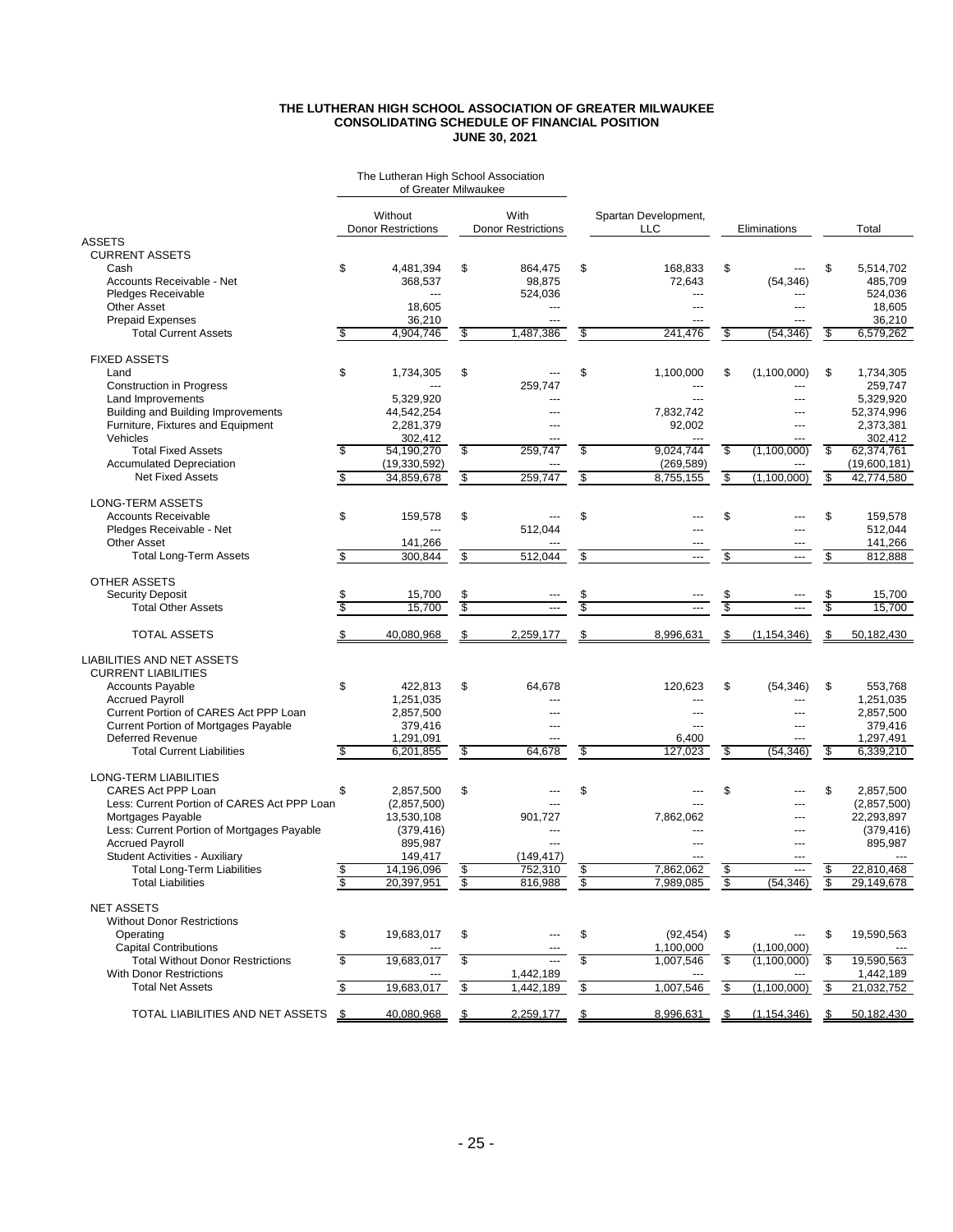#### **THE LUTHERAN HIGH SCHOOL ASSOCIATION OF GREATER MILWAUKEE CONSOLIDATING SCHEDULE OF FINANCIAL POSITION JUNE 30, 2021**

of Greater Milwaukee The Lutheran High School Association

| <b>CURRENT ASSETS</b><br>\$<br>\$<br>\$<br>Cash<br>4,481,394<br>\$<br>864,475<br>168,833<br>\$<br>5,514,702<br>98,875<br>485,709<br>Accounts Receivable - Net<br>368.537<br>72,643<br>(54.346)<br>524,036<br>Pledges Receivable<br>524,036<br>---<br>$---$<br><b>Other Asset</b><br>18,605<br>18,605<br>$---$<br>$---$<br>$\overline{a}$<br>36,210<br><b>Prepaid Expenses</b><br>36,210<br>---<br><b>Total Current Assets</b><br>\$<br>\$<br>241,476<br>\$<br>6,579,262<br>4,904,746<br>\$<br>1,487,386<br>(54, 346)<br>\$<br><b>FIXED ASSETS</b><br>\$<br>\$<br>Land<br>1,734,305<br>\$<br>1,100,000<br>\$<br>(1,100,000)<br>\$<br>1,734,305<br><b>Construction in Progress</b><br>259,747<br>259,747<br>$---$<br>---<br>Land Improvements<br>5,329,920<br>5,329,920<br>$\overline{a}$<br>---<br><b>Building and Building Improvements</b><br>44,542,254<br>7,832,742<br>52,374,996<br>---<br>Furniture, Fixtures and Equipment<br>92,002<br>2,373,381<br>2,281,379<br>---<br>Vehicles<br>302,412<br>302,412<br>---<br>\$<br>\$<br>9,024,744<br>\$<br>$\overline{\mathcal{S}}$<br><b>Total Fixed Assets</b><br>54,190,270<br>\$<br>259,747<br>(1,100,000)<br>62,374,761<br><b>Accumulated Depreciation</b><br>(19,330,592)<br>(269, 589)<br>(19,600,181)<br>$\mathsf{\$}$<br>\$<br>259,747<br>\$<br><b>Net Fixed Assets</b><br>\$<br>34,859,678<br>8,755,155<br>(1,100,000)<br>\$<br>42,774,580<br><b>LONG-TERM ASSETS</b><br>\$<br>\$<br>\$<br><b>Accounts Receivable</b><br>159,578<br>\$<br>\$<br>159,578<br>512,044<br>Pledges Receivable - Net<br>512,044<br>$---$<br>$---$<br><b>Other Asset</b><br>141,266<br>141,266<br>\$<br>\$<br><b>Total Long-Term Assets</b><br>300,844<br>\$<br>512,044<br>\$<br>\$<br>812,888<br>$---$<br>$---$<br><b>OTHER ASSETS</b><br>\$<br><b>Security Deposit</b><br>\$<br>15,700<br>$rac{1}{3}$<br>\$<br>15,700<br>\$<br>\$<br>\$<br>\$<br>S<br>15,700<br>15.700<br><b>Total Other Assets</b><br>$\overline{a}$<br>$-$<br>$-$<br><b>TOTAL ASSETS</b><br>\$<br>2,259,177<br>8,996,631<br>40,080,968<br>\$<br>\$<br>\$<br>(1, 154, 346)<br>\$<br>50,182,430<br><b>LIABILITIES AND NET ASSETS</b><br><b>CURRENT LIABILITIES</b><br>\$<br>422,813<br>\$<br>\$<br>553,768<br><b>Accounts Payable</b><br>64,678<br>120,623<br>(54, 346)<br>\$<br><b>Accrued Payroll</b><br>1,251,035<br>1,251,035<br>$---$<br>---<br>Current Portion of CARES Act PPP Loan<br>2,857,500<br>2,857,500<br>$---$<br>---<br><b>Current Portion of Mortgages Payable</b><br>379,416<br>379,416<br>$\overline{a}$<br>$---$<br>$---$<br>Deferred Revenue<br>1,291,091<br>6,400<br>1,297,491<br>\$<br>\$<br>64,678<br>S<br>\$<br>S<br>6,339,210<br><b>Total Current Liabilities</b><br>6,201,855<br>127.023<br>(54, 346)<br>LONG-TERM LIABILITIES<br>CARES Act PPP Loan<br>\$<br>\$<br>\$<br>\$<br>2,857,500<br>\$<br>2,857,500<br>---<br>---<br>Less: Current Portion of CARES Act PPP Loan<br>(2,857,500)<br>(2,857,500)<br>$---$<br>---<br>Mortgages Payable<br>13,530,108<br>901,727<br>7,862,062<br>22,293,897<br>---<br>Less: Current Portion of Mortgages Payable<br>(379, 416)<br>(379, 416)<br>$---$<br>$---$<br>---<br><b>Accrued Payroll</b><br>895,987<br>895,987<br>---<br>$---$<br>---<br>Student Activities - Auxiliary<br>149,417<br>(149, 417)<br>$\overline{a}$<br>---<br>22.810.468<br><b>Total Long-Term Liabilities</b><br>\$<br>14,196,096<br>\$<br>752,310<br>\$<br>7,862,062<br>\$<br>$\overline{a}$<br>\$<br>\$<br>\$<br>\$<br>\$<br>20,397,951<br>\$<br>7,989,085<br>29,149,678<br><b>Total Liabilities</b><br>816,988<br>(54, 346)<br><b>NET ASSETS</b><br><b>Without Donor Restrictions</b><br>\$<br>\$<br>(92, 454)<br>Operating<br>19,683,017<br>\$<br>\$<br>\$<br>19,590,563<br>---<br><b>Capital Contributions</b><br>1,100,000<br>(1,100,000)<br>s<br>\$<br>1,007,546<br>S<br>S<br><b>Total Without Donor Restrictions</b><br>19,683,017<br>\$<br>(1,100,000)<br>19,590,563<br><b>With Donor Restrictions</b><br>1,442,189<br>1,442,189<br><b>Total Net Assets</b><br>\$<br>\$<br>\$<br>\$<br>21,032,752<br>19,683,017<br>1,442,189<br>1,007,546<br>(1,100,000)<br>\$<br>2,259,177<br>8,996,631<br>TOTAL LIABILITIES AND NET ASSETS<br>\$<br>40,080,968<br>(1, 154, 346)<br>50,182,430<br>- \$<br>\$<br>\$<br>- \$ |               | Without<br><b>Donor Restrictions</b> | With<br><b>Donor Restrictions</b> | Spartan Development,<br><b>LLC</b> | Eliminations | Total |
|--------------------------------------------------------------------------------------------------------------------------------------------------------------------------------------------------------------------------------------------------------------------------------------------------------------------------------------------------------------------------------------------------------------------------------------------------------------------------------------------------------------------------------------------------------------------------------------------------------------------------------------------------------------------------------------------------------------------------------------------------------------------------------------------------------------------------------------------------------------------------------------------------------------------------------------------------------------------------------------------------------------------------------------------------------------------------------------------------------------------------------------------------------------------------------------------------------------------------------------------------------------------------------------------------------------------------------------------------------------------------------------------------------------------------------------------------------------------------------------------------------------------------------------------------------------------------------------------------------------------------------------------------------------------------------------------------------------------------------------------------------------------------------------------------------------------------------------------------------------------------------------------------------------------------------------------------------------------------------------------------------------------------------------------------------------------------------------------------------------------------------------------------------------------------------------------------------------------------------------------------------------------------------------------------------------------------------------------------------------------------------------------------------------------------------------------------------------------------------------------------------------------------------------------------------------------------------------------------------------------------------------------------------------------------------------------------------------------------------------------------------------------------------------------------------------------------------------------------------------------------------------------------------------------------------------------------------------------------------------------------------------------------------------------------------------------------------------------------------------------------------------------------------------------------------------------------------------------------------------------------------------------------------------------------------------------------------------------------------------------------------------------------------------------------------------------------------------------------------------------------------------------------------------------------------------------------------------------------------------------------------------------------------------------------------------------------------------------------------------------------------------------------------------------------------------------------------------------------------------------------------------------------------------------------------------------------------------------------------------------------------------------------------------------------------------------------------------------------------------------------------------------------------------------------------------------------------------------------------------------------------------|---------------|--------------------------------------|-----------------------------------|------------------------------------|--------------|-------|
|                                                                                                                                                                                                                                                                                                                                                                                                                                                                                                                                                                                                                                                                                                                                                                                                                                                                                                                                                                                                                                                                                                                                                                                                                                                                                                                                                                                                                                                                                                                                                                                                                                                                                                                                                                                                                                                                                                                                                                                                                                                                                                                                                                                                                                                                                                                                                                                                                                                                                                                                                                                                                                                                                                                                                                                                                                                                                                                                                                                                                                                                                                                                                                                                                                                                                                                                                                                                                                                                                                                                                                                                                                                                                                                                                                                                                                                                                                                                                                                                                                                                                                                                                                                                                                                              | <b>ASSETS</b> |                                      |                                   |                                    |              |       |
|                                                                                                                                                                                                                                                                                                                                                                                                                                                                                                                                                                                                                                                                                                                                                                                                                                                                                                                                                                                                                                                                                                                                                                                                                                                                                                                                                                                                                                                                                                                                                                                                                                                                                                                                                                                                                                                                                                                                                                                                                                                                                                                                                                                                                                                                                                                                                                                                                                                                                                                                                                                                                                                                                                                                                                                                                                                                                                                                                                                                                                                                                                                                                                                                                                                                                                                                                                                                                                                                                                                                                                                                                                                                                                                                                                                                                                                                                                                                                                                                                                                                                                                                                                                                                                                              |               |                                      |                                   |                                    |              |       |
|                                                                                                                                                                                                                                                                                                                                                                                                                                                                                                                                                                                                                                                                                                                                                                                                                                                                                                                                                                                                                                                                                                                                                                                                                                                                                                                                                                                                                                                                                                                                                                                                                                                                                                                                                                                                                                                                                                                                                                                                                                                                                                                                                                                                                                                                                                                                                                                                                                                                                                                                                                                                                                                                                                                                                                                                                                                                                                                                                                                                                                                                                                                                                                                                                                                                                                                                                                                                                                                                                                                                                                                                                                                                                                                                                                                                                                                                                                                                                                                                                                                                                                                                                                                                                                                              |               |                                      |                                   |                                    |              |       |
|                                                                                                                                                                                                                                                                                                                                                                                                                                                                                                                                                                                                                                                                                                                                                                                                                                                                                                                                                                                                                                                                                                                                                                                                                                                                                                                                                                                                                                                                                                                                                                                                                                                                                                                                                                                                                                                                                                                                                                                                                                                                                                                                                                                                                                                                                                                                                                                                                                                                                                                                                                                                                                                                                                                                                                                                                                                                                                                                                                                                                                                                                                                                                                                                                                                                                                                                                                                                                                                                                                                                                                                                                                                                                                                                                                                                                                                                                                                                                                                                                                                                                                                                                                                                                                                              |               |                                      |                                   |                                    |              |       |
|                                                                                                                                                                                                                                                                                                                                                                                                                                                                                                                                                                                                                                                                                                                                                                                                                                                                                                                                                                                                                                                                                                                                                                                                                                                                                                                                                                                                                                                                                                                                                                                                                                                                                                                                                                                                                                                                                                                                                                                                                                                                                                                                                                                                                                                                                                                                                                                                                                                                                                                                                                                                                                                                                                                                                                                                                                                                                                                                                                                                                                                                                                                                                                                                                                                                                                                                                                                                                                                                                                                                                                                                                                                                                                                                                                                                                                                                                                                                                                                                                                                                                                                                                                                                                                                              |               |                                      |                                   |                                    |              |       |
|                                                                                                                                                                                                                                                                                                                                                                                                                                                                                                                                                                                                                                                                                                                                                                                                                                                                                                                                                                                                                                                                                                                                                                                                                                                                                                                                                                                                                                                                                                                                                                                                                                                                                                                                                                                                                                                                                                                                                                                                                                                                                                                                                                                                                                                                                                                                                                                                                                                                                                                                                                                                                                                                                                                                                                                                                                                                                                                                                                                                                                                                                                                                                                                                                                                                                                                                                                                                                                                                                                                                                                                                                                                                                                                                                                                                                                                                                                                                                                                                                                                                                                                                                                                                                                                              |               |                                      |                                   |                                    |              |       |
|                                                                                                                                                                                                                                                                                                                                                                                                                                                                                                                                                                                                                                                                                                                                                                                                                                                                                                                                                                                                                                                                                                                                                                                                                                                                                                                                                                                                                                                                                                                                                                                                                                                                                                                                                                                                                                                                                                                                                                                                                                                                                                                                                                                                                                                                                                                                                                                                                                                                                                                                                                                                                                                                                                                                                                                                                                                                                                                                                                                                                                                                                                                                                                                                                                                                                                                                                                                                                                                                                                                                                                                                                                                                                                                                                                                                                                                                                                                                                                                                                                                                                                                                                                                                                                                              |               |                                      |                                   |                                    |              |       |
|                                                                                                                                                                                                                                                                                                                                                                                                                                                                                                                                                                                                                                                                                                                                                                                                                                                                                                                                                                                                                                                                                                                                                                                                                                                                                                                                                                                                                                                                                                                                                                                                                                                                                                                                                                                                                                                                                                                                                                                                                                                                                                                                                                                                                                                                                                                                                                                                                                                                                                                                                                                                                                                                                                                                                                                                                                                                                                                                                                                                                                                                                                                                                                                                                                                                                                                                                                                                                                                                                                                                                                                                                                                                                                                                                                                                                                                                                                                                                                                                                                                                                                                                                                                                                                                              |               |                                      |                                   |                                    |              |       |
|                                                                                                                                                                                                                                                                                                                                                                                                                                                                                                                                                                                                                                                                                                                                                                                                                                                                                                                                                                                                                                                                                                                                                                                                                                                                                                                                                                                                                                                                                                                                                                                                                                                                                                                                                                                                                                                                                                                                                                                                                                                                                                                                                                                                                                                                                                                                                                                                                                                                                                                                                                                                                                                                                                                                                                                                                                                                                                                                                                                                                                                                                                                                                                                                                                                                                                                                                                                                                                                                                                                                                                                                                                                                                                                                                                                                                                                                                                                                                                                                                                                                                                                                                                                                                                                              |               |                                      |                                   |                                    |              |       |
|                                                                                                                                                                                                                                                                                                                                                                                                                                                                                                                                                                                                                                                                                                                                                                                                                                                                                                                                                                                                                                                                                                                                                                                                                                                                                                                                                                                                                                                                                                                                                                                                                                                                                                                                                                                                                                                                                                                                                                                                                                                                                                                                                                                                                                                                                                                                                                                                                                                                                                                                                                                                                                                                                                                                                                                                                                                                                                                                                                                                                                                                                                                                                                                                                                                                                                                                                                                                                                                                                                                                                                                                                                                                                                                                                                                                                                                                                                                                                                                                                                                                                                                                                                                                                                                              |               |                                      |                                   |                                    |              |       |
|                                                                                                                                                                                                                                                                                                                                                                                                                                                                                                                                                                                                                                                                                                                                                                                                                                                                                                                                                                                                                                                                                                                                                                                                                                                                                                                                                                                                                                                                                                                                                                                                                                                                                                                                                                                                                                                                                                                                                                                                                                                                                                                                                                                                                                                                                                                                                                                                                                                                                                                                                                                                                                                                                                                                                                                                                                                                                                                                                                                                                                                                                                                                                                                                                                                                                                                                                                                                                                                                                                                                                                                                                                                                                                                                                                                                                                                                                                                                                                                                                                                                                                                                                                                                                                                              |               |                                      |                                   |                                    |              |       |
|                                                                                                                                                                                                                                                                                                                                                                                                                                                                                                                                                                                                                                                                                                                                                                                                                                                                                                                                                                                                                                                                                                                                                                                                                                                                                                                                                                                                                                                                                                                                                                                                                                                                                                                                                                                                                                                                                                                                                                                                                                                                                                                                                                                                                                                                                                                                                                                                                                                                                                                                                                                                                                                                                                                                                                                                                                                                                                                                                                                                                                                                                                                                                                                                                                                                                                                                                                                                                                                                                                                                                                                                                                                                                                                                                                                                                                                                                                                                                                                                                                                                                                                                                                                                                                                              |               |                                      |                                   |                                    |              |       |
|                                                                                                                                                                                                                                                                                                                                                                                                                                                                                                                                                                                                                                                                                                                                                                                                                                                                                                                                                                                                                                                                                                                                                                                                                                                                                                                                                                                                                                                                                                                                                                                                                                                                                                                                                                                                                                                                                                                                                                                                                                                                                                                                                                                                                                                                                                                                                                                                                                                                                                                                                                                                                                                                                                                                                                                                                                                                                                                                                                                                                                                                                                                                                                                                                                                                                                                                                                                                                                                                                                                                                                                                                                                                                                                                                                                                                                                                                                                                                                                                                                                                                                                                                                                                                                                              |               |                                      |                                   |                                    |              |       |
|                                                                                                                                                                                                                                                                                                                                                                                                                                                                                                                                                                                                                                                                                                                                                                                                                                                                                                                                                                                                                                                                                                                                                                                                                                                                                                                                                                                                                                                                                                                                                                                                                                                                                                                                                                                                                                                                                                                                                                                                                                                                                                                                                                                                                                                                                                                                                                                                                                                                                                                                                                                                                                                                                                                                                                                                                                                                                                                                                                                                                                                                                                                                                                                                                                                                                                                                                                                                                                                                                                                                                                                                                                                                                                                                                                                                                                                                                                                                                                                                                                                                                                                                                                                                                                                              |               |                                      |                                   |                                    |              |       |
|                                                                                                                                                                                                                                                                                                                                                                                                                                                                                                                                                                                                                                                                                                                                                                                                                                                                                                                                                                                                                                                                                                                                                                                                                                                                                                                                                                                                                                                                                                                                                                                                                                                                                                                                                                                                                                                                                                                                                                                                                                                                                                                                                                                                                                                                                                                                                                                                                                                                                                                                                                                                                                                                                                                                                                                                                                                                                                                                                                                                                                                                                                                                                                                                                                                                                                                                                                                                                                                                                                                                                                                                                                                                                                                                                                                                                                                                                                                                                                                                                                                                                                                                                                                                                                                              |               |                                      |                                   |                                    |              |       |
|                                                                                                                                                                                                                                                                                                                                                                                                                                                                                                                                                                                                                                                                                                                                                                                                                                                                                                                                                                                                                                                                                                                                                                                                                                                                                                                                                                                                                                                                                                                                                                                                                                                                                                                                                                                                                                                                                                                                                                                                                                                                                                                                                                                                                                                                                                                                                                                                                                                                                                                                                                                                                                                                                                                                                                                                                                                                                                                                                                                                                                                                                                                                                                                                                                                                                                                                                                                                                                                                                                                                                                                                                                                                                                                                                                                                                                                                                                                                                                                                                                                                                                                                                                                                                                                              |               |                                      |                                   |                                    |              |       |
|                                                                                                                                                                                                                                                                                                                                                                                                                                                                                                                                                                                                                                                                                                                                                                                                                                                                                                                                                                                                                                                                                                                                                                                                                                                                                                                                                                                                                                                                                                                                                                                                                                                                                                                                                                                                                                                                                                                                                                                                                                                                                                                                                                                                                                                                                                                                                                                                                                                                                                                                                                                                                                                                                                                                                                                                                                                                                                                                                                                                                                                                                                                                                                                                                                                                                                                                                                                                                                                                                                                                                                                                                                                                                                                                                                                                                                                                                                                                                                                                                                                                                                                                                                                                                                                              |               |                                      |                                   |                                    |              |       |
|                                                                                                                                                                                                                                                                                                                                                                                                                                                                                                                                                                                                                                                                                                                                                                                                                                                                                                                                                                                                                                                                                                                                                                                                                                                                                                                                                                                                                                                                                                                                                                                                                                                                                                                                                                                                                                                                                                                                                                                                                                                                                                                                                                                                                                                                                                                                                                                                                                                                                                                                                                                                                                                                                                                                                                                                                                                                                                                                                                                                                                                                                                                                                                                                                                                                                                                                                                                                                                                                                                                                                                                                                                                                                                                                                                                                                                                                                                                                                                                                                                                                                                                                                                                                                                                              |               |                                      |                                   |                                    |              |       |
|                                                                                                                                                                                                                                                                                                                                                                                                                                                                                                                                                                                                                                                                                                                                                                                                                                                                                                                                                                                                                                                                                                                                                                                                                                                                                                                                                                                                                                                                                                                                                                                                                                                                                                                                                                                                                                                                                                                                                                                                                                                                                                                                                                                                                                                                                                                                                                                                                                                                                                                                                                                                                                                                                                                                                                                                                                                                                                                                                                                                                                                                                                                                                                                                                                                                                                                                                                                                                                                                                                                                                                                                                                                                                                                                                                                                                                                                                                                                                                                                                                                                                                                                                                                                                                                              |               |                                      |                                   |                                    |              |       |
|                                                                                                                                                                                                                                                                                                                                                                                                                                                                                                                                                                                                                                                                                                                                                                                                                                                                                                                                                                                                                                                                                                                                                                                                                                                                                                                                                                                                                                                                                                                                                                                                                                                                                                                                                                                                                                                                                                                                                                                                                                                                                                                                                                                                                                                                                                                                                                                                                                                                                                                                                                                                                                                                                                                                                                                                                                                                                                                                                                                                                                                                                                                                                                                                                                                                                                                                                                                                                                                                                                                                                                                                                                                                                                                                                                                                                                                                                                                                                                                                                                                                                                                                                                                                                                                              |               |                                      |                                   |                                    |              |       |
|                                                                                                                                                                                                                                                                                                                                                                                                                                                                                                                                                                                                                                                                                                                                                                                                                                                                                                                                                                                                                                                                                                                                                                                                                                                                                                                                                                                                                                                                                                                                                                                                                                                                                                                                                                                                                                                                                                                                                                                                                                                                                                                                                                                                                                                                                                                                                                                                                                                                                                                                                                                                                                                                                                                                                                                                                                                                                                                                                                                                                                                                                                                                                                                                                                                                                                                                                                                                                                                                                                                                                                                                                                                                                                                                                                                                                                                                                                                                                                                                                                                                                                                                                                                                                                                              |               |                                      |                                   |                                    |              |       |
|                                                                                                                                                                                                                                                                                                                                                                                                                                                                                                                                                                                                                                                                                                                                                                                                                                                                                                                                                                                                                                                                                                                                                                                                                                                                                                                                                                                                                                                                                                                                                                                                                                                                                                                                                                                                                                                                                                                                                                                                                                                                                                                                                                                                                                                                                                                                                                                                                                                                                                                                                                                                                                                                                                                                                                                                                                                                                                                                                                                                                                                                                                                                                                                                                                                                                                                                                                                                                                                                                                                                                                                                                                                                                                                                                                                                                                                                                                                                                                                                                                                                                                                                                                                                                                                              |               |                                      |                                   |                                    |              |       |
|                                                                                                                                                                                                                                                                                                                                                                                                                                                                                                                                                                                                                                                                                                                                                                                                                                                                                                                                                                                                                                                                                                                                                                                                                                                                                                                                                                                                                                                                                                                                                                                                                                                                                                                                                                                                                                                                                                                                                                                                                                                                                                                                                                                                                                                                                                                                                                                                                                                                                                                                                                                                                                                                                                                                                                                                                                                                                                                                                                                                                                                                                                                                                                                                                                                                                                                                                                                                                                                                                                                                                                                                                                                                                                                                                                                                                                                                                                                                                                                                                                                                                                                                                                                                                                                              |               |                                      |                                   |                                    |              |       |
|                                                                                                                                                                                                                                                                                                                                                                                                                                                                                                                                                                                                                                                                                                                                                                                                                                                                                                                                                                                                                                                                                                                                                                                                                                                                                                                                                                                                                                                                                                                                                                                                                                                                                                                                                                                                                                                                                                                                                                                                                                                                                                                                                                                                                                                                                                                                                                                                                                                                                                                                                                                                                                                                                                                                                                                                                                                                                                                                                                                                                                                                                                                                                                                                                                                                                                                                                                                                                                                                                                                                                                                                                                                                                                                                                                                                                                                                                                                                                                                                                                                                                                                                                                                                                                                              |               |                                      |                                   |                                    |              |       |
|                                                                                                                                                                                                                                                                                                                                                                                                                                                                                                                                                                                                                                                                                                                                                                                                                                                                                                                                                                                                                                                                                                                                                                                                                                                                                                                                                                                                                                                                                                                                                                                                                                                                                                                                                                                                                                                                                                                                                                                                                                                                                                                                                                                                                                                                                                                                                                                                                                                                                                                                                                                                                                                                                                                                                                                                                                                                                                                                                                                                                                                                                                                                                                                                                                                                                                                                                                                                                                                                                                                                                                                                                                                                                                                                                                                                                                                                                                                                                                                                                                                                                                                                                                                                                                                              |               |                                      |                                   |                                    |              |       |
|                                                                                                                                                                                                                                                                                                                                                                                                                                                                                                                                                                                                                                                                                                                                                                                                                                                                                                                                                                                                                                                                                                                                                                                                                                                                                                                                                                                                                                                                                                                                                                                                                                                                                                                                                                                                                                                                                                                                                                                                                                                                                                                                                                                                                                                                                                                                                                                                                                                                                                                                                                                                                                                                                                                                                                                                                                                                                                                                                                                                                                                                                                                                                                                                                                                                                                                                                                                                                                                                                                                                                                                                                                                                                                                                                                                                                                                                                                                                                                                                                                                                                                                                                                                                                                                              |               |                                      |                                   |                                    |              |       |
|                                                                                                                                                                                                                                                                                                                                                                                                                                                                                                                                                                                                                                                                                                                                                                                                                                                                                                                                                                                                                                                                                                                                                                                                                                                                                                                                                                                                                                                                                                                                                                                                                                                                                                                                                                                                                                                                                                                                                                                                                                                                                                                                                                                                                                                                                                                                                                                                                                                                                                                                                                                                                                                                                                                                                                                                                                                                                                                                                                                                                                                                                                                                                                                                                                                                                                                                                                                                                                                                                                                                                                                                                                                                                                                                                                                                                                                                                                                                                                                                                                                                                                                                                                                                                                                              |               |                                      |                                   |                                    |              |       |
|                                                                                                                                                                                                                                                                                                                                                                                                                                                                                                                                                                                                                                                                                                                                                                                                                                                                                                                                                                                                                                                                                                                                                                                                                                                                                                                                                                                                                                                                                                                                                                                                                                                                                                                                                                                                                                                                                                                                                                                                                                                                                                                                                                                                                                                                                                                                                                                                                                                                                                                                                                                                                                                                                                                                                                                                                                                                                                                                                                                                                                                                                                                                                                                                                                                                                                                                                                                                                                                                                                                                                                                                                                                                                                                                                                                                                                                                                                                                                                                                                                                                                                                                                                                                                                                              |               |                                      |                                   |                                    |              |       |
|                                                                                                                                                                                                                                                                                                                                                                                                                                                                                                                                                                                                                                                                                                                                                                                                                                                                                                                                                                                                                                                                                                                                                                                                                                                                                                                                                                                                                                                                                                                                                                                                                                                                                                                                                                                                                                                                                                                                                                                                                                                                                                                                                                                                                                                                                                                                                                                                                                                                                                                                                                                                                                                                                                                                                                                                                                                                                                                                                                                                                                                                                                                                                                                                                                                                                                                                                                                                                                                                                                                                                                                                                                                                                                                                                                                                                                                                                                                                                                                                                                                                                                                                                                                                                                                              |               |                                      |                                   |                                    |              |       |
|                                                                                                                                                                                                                                                                                                                                                                                                                                                                                                                                                                                                                                                                                                                                                                                                                                                                                                                                                                                                                                                                                                                                                                                                                                                                                                                                                                                                                                                                                                                                                                                                                                                                                                                                                                                                                                                                                                                                                                                                                                                                                                                                                                                                                                                                                                                                                                                                                                                                                                                                                                                                                                                                                                                                                                                                                                                                                                                                                                                                                                                                                                                                                                                                                                                                                                                                                                                                                                                                                                                                                                                                                                                                                                                                                                                                                                                                                                                                                                                                                                                                                                                                                                                                                                                              |               |                                      |                                   |                                    |              |       |
|                                                                                                                                                                                                                                                                                                                                                                                                                                                                                                                                                                                                                                                                                                                                                                                                                                                                                                                                                                                                                                                                                                                                                                                                                                                                                                                                                                                                                                                                                                                                                                                                                                                                                                                                                                                                                                                                                                                                                                                                                                                                                                                                                                                                                                                                                                                                                                                                                                                                                                                                                                                                                                                                                                                                                                                                                                                                                                                                                                                                                                                                                                                                                                                                                                                                                                                                                                                                                                                                                                                                                                                                                                                                                                                                                                                                                                                                                                                                                                                                                                                                                                                                                                                                                                                              |               |                                      |                                   |                                    |              |       |
|                                                                                                                                                                                                                                                                                                                                                                                                                                                                                                                                                                                                                                                                                                                                                                                                                                                                                                                                                                                                                                                                                                                                                                                                                                                                                                                                                                                                                                                                                                                                                                                                                                                                                                                                                                                                                                                                                                                                                                                                                                                                                                                                                                                                                                                                                                                                                                                                                                                                                                                                                                                                                                                                                                                                                                                                                                                                                                                                                                                                                                                                                                                                                                                                                                                                                                                                                                                                                                                                                                                                                                                                                                                                                                                                                                                                                                                                                                                                                                                                                                                                                                                                                                                                                                                              |               |                                      |                                   |                                    |              |       |
|                                                                                                                                                                                                                                                                                                                                                                                                                                                                                                                                                                                                                                                                                                                                                                                                                                                                                                                                                                                                                                                                                                                                                                                                                                                                                                                                                                                                                                                                                                                                                                                                                                                                                                                                                                                                                                                                                                                                                                                                                                                                                                                                                                                                                                                                                                                                                                                                                                                                                                                                                                                                                                                                                                                                                                                                                                                                                                                                                                                                                                                                                                                                                                                                                                                                                                                                                                                                                                                                                                                                                                                                                                                                                                                                                                                                                                                                                                                                                                                                                                                                                                                                                                                                                                                              |               |                                      |                                   |                                    |              |       |
|                                                                                                                                                                                                                                                                                                                                                                                                                                                                                                                                                                                                                                                                                                                                                                                                                                                                                                                                                                                                                                                                                                                                                                                                                                                                                                                                                                                                                                                                                                                                                                                                                                                                                                                                                                                                                                                                                                                                                                                                                                                                                                                                                                                                                                                                                                                                                                                                                                                                                                                                                                                                                                                                                                                                                                                                                                                                                                                                                                                                                                                                                                                                                                                                                                                                                                                                                                                                                                                                                                                                                                                                                                                                                                                                                                                                                                                                                                                                                                                                                                                                                                                                                                                                                                                              |               |                                      |                                   |                                    |              |       |
|                                                                                                                                                                                                                                                                                                                                                                                                                                                                                                                                                                                                                                                                                                                                                                                                                                                                                                                                                                                                                                                                                                                                                                                                                                                                                                                                                                                                                                                                                                                                                                                                                                                                                                                                                                                                                                                                                                                                                                                                                                                                                                                                                                                                                                                                                                                                                                                                                                                                                                                                                                                                                                                                                                                                                                                                                                                                                                                                                                                                                                                                                                                                                                                                                                                                                                                                                                                                                                                                                                                                                                                                                                                                                                                                                                                                                                                                                                                                                                                                                                                                                                                                                                                                                                                              |               |                                      |                                   |                                    |              |       |
|                                                                                                                                                                                                                                                                                                                                                                                                                                                                                                                                                                                                                                                                                                                                                                                                                                                                                                                                                                                                                                                                                                                                                                                                                                                                                                                                                                                                                                                                                                                                                                                                                                                                                                                                                                                                                                                                                                                                                                                                                                                                                                                                                                                                                                                                                                                                                                                                                                                                                                                                                                                                                                                                                                                                                                                                                                                                                                                                                                                                                                                                                                                                                                                                                                                                                                                                                                                                                                                                                                                                                                                                                                                                                                                                                                                                                                                                                                                                                                                                                                                                                                                                                                                                                                                              |               |                                      |                                   |                                    |              |       |
|                                                                                                                                                                                                                                                                                                                                                                                                                                                                                                                                                                                                                                                                                                                                                                                                                                                                                                                                                                                                                                                                                                                                                                                                                                                                                                                                                                                                                                                                                                                                                                                                                                                                                                                                                                                                                                                                                                                                                                                                                                                                                                                                                                                                                                                                                                                                                                                                                                                                                                                                                                                                                                                                                                                                                                                                                                                                                                                                                                                                                                                                                                                                                                                                                                                                                                                                                                                                                                                                                                                                                                                                                                                                                                                                                                                                                                                                                                                                                                                                                                                                                                                                                                                                                                                              |               |                                      |                                   |                                    |              |       |
|                                                                                                                                                                                                                                                                                                                                                                                                                                                                                                                                                                                                                                                                                                                                                                                                                                                                                                                                                                                                                                                                                                                                                                                                                                                                                                                                                                                                                                                                                                                                                                                                                                                                                                                                                                                                                                                                                                                                                                                                                                                                                                                                                                                                                                                                                                                                                                                                                                                                                                                                                                                                                                                                                                                                                                                                                                                                                                                                                                                                                                                                                                                                                                                                                                                                                                                                                                                                                                                                                                                                                                                                                                                                                                                                                                                                                                                                                                                                                                                                                                                                                                                                                                                                                                                              |               |                                      |                                   |                                    |              |       |
|                                                                                                                                                                                                                                                                                                                                                                                                                                                                                                                                                                                                                                                                                                                                                                                                                                                                                                                                                                                                                                                                                                                                                                                                                                                                                                                                                                                                                                                                                                                                                                                                                                                                                                                                                                                                                                                                                                                                                                                                                                                                                                                                                                                                                                                                                                                                                                                                                                                                                                                                                                                                                                                                                                                                                                                                                                                                                                                                                                                                                                                                                                                                                                                                                                                                                                                                                                                                                                                                                                                                                                                                                                                                                                                                                                                                                                                                                                                                                                                                                                                                                                                                                                                                                                                              |               |                                      |                                   |                                    |              |       |
|                                                                                                                                                                                                                                                                                                                                                                                                                                                                                                                                                                                                                                                                                                                                                                                                                                                                                                                                                                                                                                                                                                                                                                                                                                                                                                                                                                                                                                                                                                                                                                                                                                                                                                                                                                                                                                                                                                                                                                                                                                                                                                                                                                                                                                                                                                                                                                                                                                                                                                                                                                                                                                                                                                                                                                                                                                                                                                                                                                                                                                                                                                                                                                                                                                                                                                                                                                                                                                                                                                                                                                                                                                                                                                                                                                                                                                                                                                                                                                                                                                                                                                                                                                                                                                                              |               |                                      |                                   |                                    |              |       |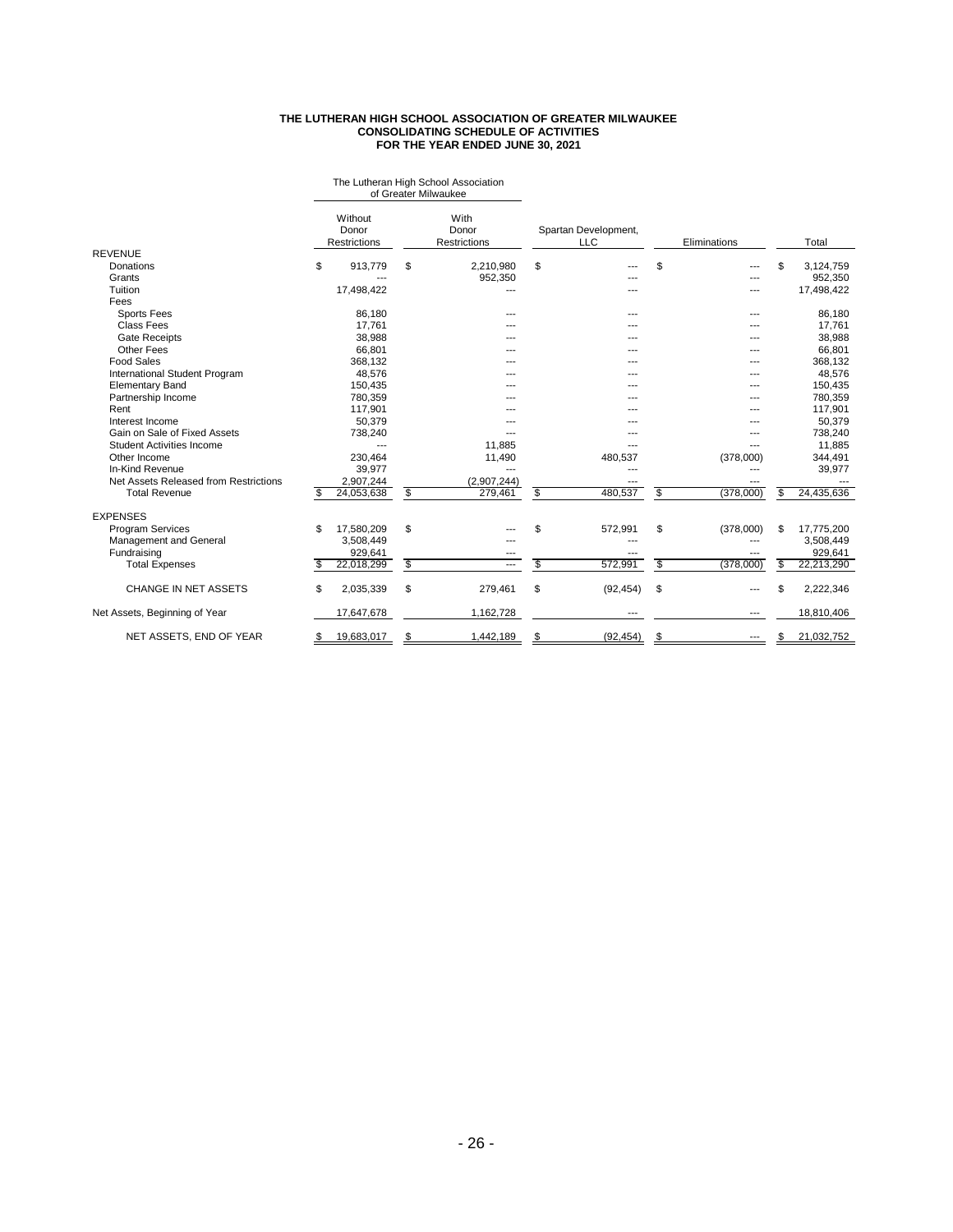#### **THE LUTHERAN HIGH SCHOOL ASSOCIATION OF GREATER MILWAUKEE CONSOLIDATING SCHEDULE OF ACTIVITIES FOR THE YEAR ENDED JUNE 30, 2021**

|                                       |                                  | of Greater Milwaukee                 |    |                                    |    |              |     |            |
|---------------------------------------|----------------------------------|--------------------------------------|----|------------------------------------|----|--------------|-----|------------|
|                                       | Without<br>Donor<br>Restrictions | With<br>Donor<br><b>Restrictions</b> |    | Spartan Development,<br><b>LLC</b> |    | Eliminations |     | Total      |
| <b>REVENUE</b>                        |                                  |                                      |    |                                    |    |              |     |            |
| Donations                             | \$<br>913,779                    | \$<br>2,210,980                      | \$ | $- - -$                            | \$ | $- - -$      | \$  | 3,124,759  |
| Grants                                | ---                              | 952,350                              |    | ---                                |    | ---          |     | 952,350    |
| Tuition                               | 17,498,422                       | ---                                  |    | ---                                |    | $---$        |     | 17,498,422 |
| Fees                                  |                                  |                                      |    |                                    |    |              |     |            |
| <b>Sports Fees</b>                    | 86,180                           | ---                                  |    | ---                                |    | $---$        |     | 86,180     |
| <b>Class Fees</b>                     | 17,761                           |                                      |    |                                    |    |              |     | 17,761     |
| <b>Gate Receipts</b>                  | 38,988                           |                                      |    |                                    |    |              |     | 38,988     |
| Other Fees                            | 66,801                           |                                      |    | ---                                |    | ---          |     | 66,801     |
| <b>Food Sales</b>                     | 368,132                          |                                      |    | ---                                |    | $---$        |     | 368,132    |
| International Student Program         | 48,576                           |                                      |    |                                    |    | ---          |     | 48,576     |
| <b>Elementary Band</b>                | 150,435                          |                                      |    |                                    |    |              |     | 150,435    |
| Partnership Income                    | 780,359                          |                                      |    |                                    |    |              |     | 780,359    |
| Rent                                  | 117,901                          |                                      |    |                                    |    |              |     | 117,901    |
| Interest Income                       | 50,379                           |                                      |    | ---                                |    | ---          |     | 50,379     |
| Gain on Sale of Fixed Assets          | 738,240                          | ---                                  |    |                                    |    | ---          |     | 738,240    |
| <b>Student Activities Income</b>      | ---                              | 11,885                               |    |                                    |    | ---          |     | 11,885     |
| Other Income                          | 230.464                          | 11,490                               |    | 480,537                            |    | (378,000)    |     | 344,491    |
| In-Kind Revenue                       | 39,977                           | ---                                  |    | ---                                |    | $---$        |     | 39,977     |
| Net Assets Released from Restrictions | 2,907,244                        | (2,907,244)                          |    |                                    |    |              |     |            |
| <b>Total Revenue</b>                  | 24,053,638                       | \$<br>279,461                        | \$ | 480,537                            | \$ | (378,000)    | \$. | 24,435,636 |
| <b>EXPENSES</b>                       |                                  |                                      |    |                                    |    |              |     |            |
| <b>Program Services</b>               | \$<br>17,580,209                 | \$                                   | \$ | 572,991                            | \$ | (378,000)    | S   | 17,775,200 |
| Management and General                | 3,508,449                        | ---                                  |    | ---                                |    | ---          |     | 3,508,449  |
| Fundraising                           | 929,641                          | ---                                  |    |                                    |    |              |     | 929,641    |
| <b>Total Expenses</b>                 | 22,018,299                       | \$<br>$---$                          | S  | 572,991                            | S  | (378,000)    | \$  | 22,213,290 |
| <b>CHANGE IN NET ASSETS</b>           | \$<br>2,035,339                  | \$<br>279,461                        | \$ | (92, 454)                          | \$ |              | \$  | 2,222,346  |
| Net Assets, Beginning of Year         | 17,647,678                       | 1,162,728                            |    |                                    |    | $---$        |     | 18,810,406 |
| NET ASSETS, END OF YEAR               | \$<br>19,683,017                 | \$<br>1,442,189                      | \$ | (92, 454)                          | \$ | $---$        | \$  | 21,032,752 |

The Lutheran High School Association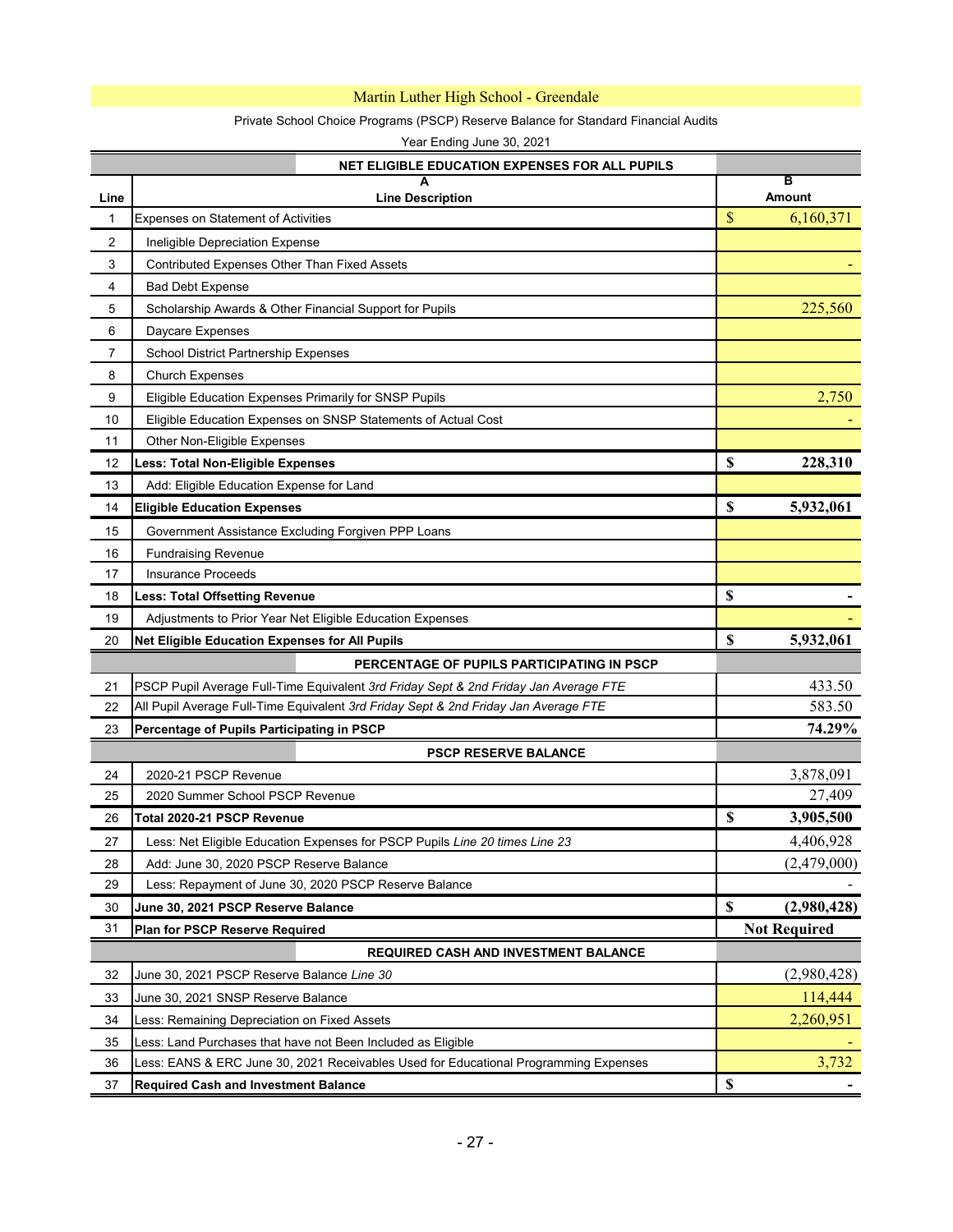# Martin Luther High School - Greendale

# Private School Choice Programs (PSCP) Reserve Balance for Standard Financial Audits

|              | Private Scribol Choice Programs (PSCP) Reserve Balance for Standard Pinancial Addits<br>Year Ending June 30, 2021 |                           |                     |
|--------------|-------------------------------------------------------------------------------------------------------------------|---------------------------|---------------------|
|              | NET ELIGIBLE EDUCATION EXPENSES FOR ALL PUPILS                                                                    |                           |                     |
|              | A                                                                                                                 |                           | в                   |
| Line         | <b>Line Description</b>                                                                                           |                           | Amount              |
| $\mathbf{1}$ | <b>Expenses on Statement of Activities</b>                                                                        | $\boldsymbol{\mathsf{S}}$ | 6,160,371           |
| 2            | Ineligible Depreciation Expense                                                                                   |                           |                     |
| 3            | Contributed Expenses Other Than Fixed Assets                                                                      |                           |                     |
| 4            | <b>Bad Debt Expense</b>                                                                                           |                           |                     |
| 5            | Scholarship Awards & Other Financial Support for Pupils                                                           |                           | 225,560             |
| 6            | Daycare Expenses                                                                                                  |                           |                     |
| 7            | School District Partnership Expenses                                                                              |                           |                     |
| 8            | <b>Church Expenses</b>                                                                                            |                           |                     |
| 9            | Eligible Education Expenses Primarily for SNSP Pupils                                                             |                           | 2,750               |
| 10           | Eligible Education Expenses on SNSP Statements of Actual Cost                                                     |                           |                     |
| 11           | Other Non-Eligible Expenses                                                                                       |                           |                     |
| 12           | <b>Less: Total Non-Eligible Expenses</b>                                                                          | \$                        | 228,310             |
| 13           | Add: Eligible Education Expense for Land                                                                          |                           |                     |
| 14           | <b>Eligible Education Expenses</b>                                                                                | \$                        | 5,932,061           |
| 15           | Government Assistance Excluding Forgiven PPP Loans                                                                |                           |                     |
| 16           | <b>Fundraising Revenue</b>                                                                                        |                           |                     |
| 17           | <b>Insurance Proceeds</b>                                                                                         |                           |                     |
| 18           | <b>Less: Total Offsetting Revenue</b>                                                                             | \$                        |                     |
| 19           | Adjustments to Prior Year Net Eligible Education Expenses                                                         |                           |                     |
| 20           | <b>Net Eligible Education Expenses for All Pupils</b>                                                             | S                         | 5,932,061           |
|              | PERCENTAGE OF PUPILS PARTICIPATING IN PSCP                                                                        |                           |                     |
| 21           | PSCP Pupil Average Full-Time Equivalent 3rd Friday Sept & 2nd Friday Jan Average FTE                              |                           | 433.50              |
| 22           | All Pupil Average Full-Time Equivalent 3rd Friday Sept & 2nd Friday Jan Average FTE                               |                           | 583.50              |
| 23           | Percentage of Pupils Participating in PSCP                                                                        |                           | 74.29%              |
|              | <b>PSCP RESERVE BALANCE</b>                                                                                       |                           |                     |
| 24           | 2020-21 PSCP Revenue                                                                                              |                           | 3,878,091           |
| 25           | 2020 Summer School PSCP Revenue                                                                                   |                           | 27,409              |
| 26           | Total 2020-21 PSCP Revenue                                                                                        | $\mathbb S$               | 3,905,500           |
| 27           | Less: Net Eligible Education Expenses for PSCP Pupils Line 20 times Line 23                                       |                           | 4,406,928           |
| 28           | Add: June 30, 2020 PSCP Reserve Balance                                                                           |                           | (2,479,000)         |
| 29           | Less: Repayment of June 30, 2020 PSCP Reserve Balance                                                             |                           |                     |
| 30           | June 30, 2021 PSCP Reserve Balance                                                                                | $\mathbb S$               | (2,980,428)         |
| 31           | <b>Plan for PSCP Reserve Required</b>                                                                             |                           | <b>Not Required</b> |
|              | REQUIRED CASH AND INVESTMENT BALANCE                                                                              |                           |                     |
| 32           | June 30, 2021 PSCP Reserve Balance Line 30                                                                        |                           | (2,980,428)         |
| 33           | June 30, 2021 SNSP Reserve Balance                                                                                |                           | 114,444             |
| 34           | Less: Remaining Depreciation on Fixed Assets                                                                      |                           | 2,260,951           |
| 35           | Less: Land Purchases that have not Been Included as Eligible                                                      |                           |                     |
| 36           | Less: EANS & ERC June 30, 2021 Receivables Used for Educational Programming Expenses                              |                           | 3,732               |

37 **\$ - Required Cash and Investment Balance**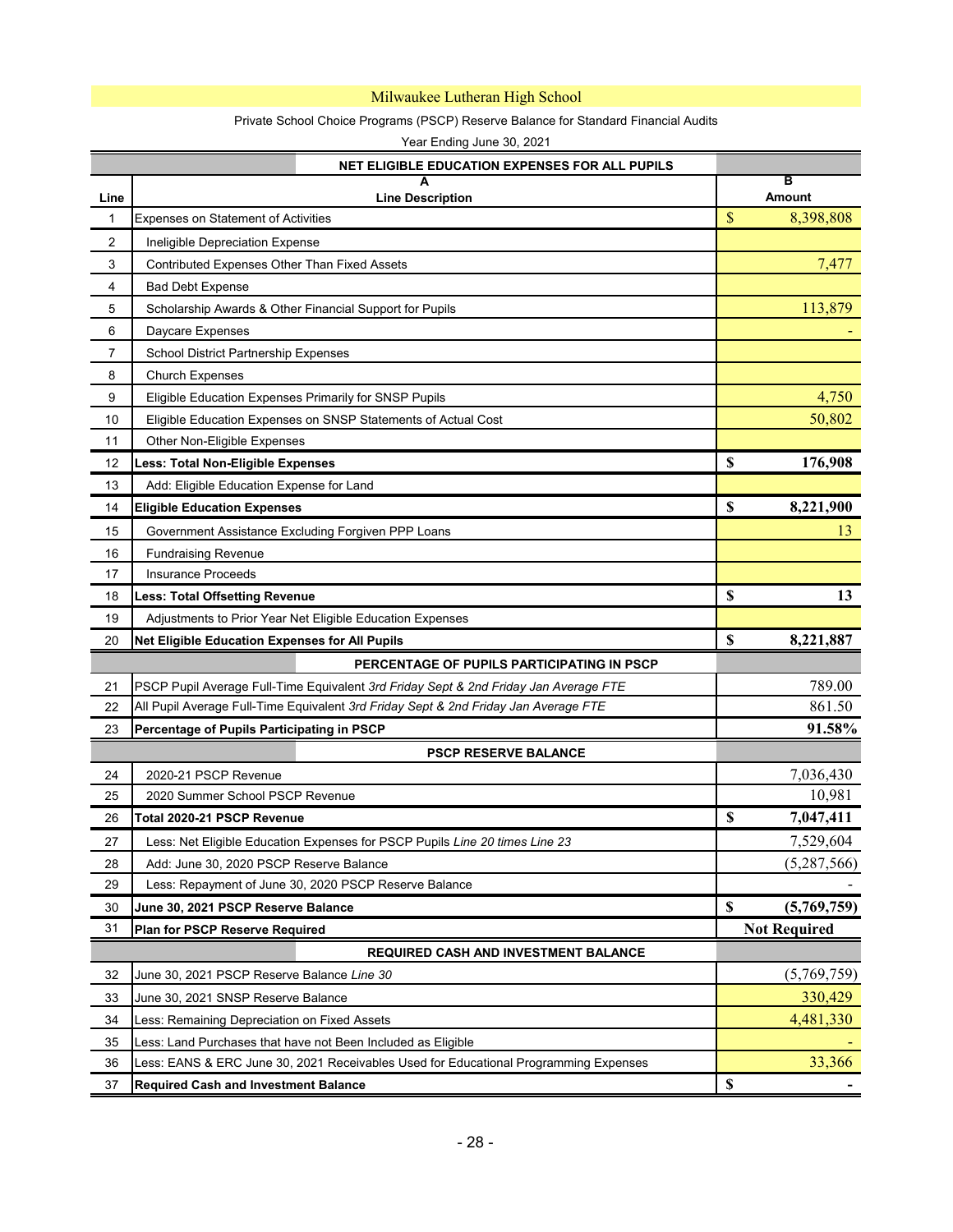# Milwaukee Lutheran High School

### Private School Choice Programs (PSCP) Reserve Balance for Standard Financial Audits

|      | Year Ending June 30, 2021                                                            |                           |                     |
|------|--------------------------------------------------------------------------------------|---------------------------|---------------------|
|      | <b>NET ELIGIBLE EDUCATION EXPENSES FOR ALL PUPILS</b>                                |                           |                     |
| Line | <b>Line Description</b>                                                              |                           | в<br><b>Amount</b>  |
| 1    | <b>Expenses on Statement of Activities</b>                                           | \$                        | 8,398,808           |
| 2    | Ineligible Depreciation Expense                                                      |                           |                     |
| 3    | Contributed Expenses Other Than Fixed Assets                                         |                           | 7,477               |
| 4    | <b>Bad Debt Expense</b>                                                              |                           |                     |
| 5    | Scholarship Awards & Other Financial Support for Pupils                              |                           | 113,879             |
| 6    | Daycare Expenses                                                                     |                           |                     |
| 7    | <b>School District Partnership Expenses</b>                                          |                           |                     |
| 8    | <b>Church Expenses</b>                                                               |                           |                     |
| 9    | Eligible Education Expenses Primarily for SNSP Pupils                                |                           | 4,750               |
| 10   | Eligible Education Expenses on SNSP Statements of Actual Cost                        |                           | 50,802              |
| 11   | Other Non-Eligible Expenses                                                          |                           |                     |
| 12   | Less: Total Non-Eligible Expenses                                                    | \$                        | 176,908             |
| 13   | Add: Eligible Education Expense for Land                                             |                           |                     |
| 14   | <b>Eligible Education Expenses</b>                                                   | $\boldsymbol{\mathsf{S}}$ | 8,221,900           |
| 15   | Government Assistance Excluding Forgiven PPP Loans                                   |                           | 13                  |
| 16   | <b>Fundraising Revenue</b>                                                           |                           |                     |
| 17   | <b>Insurance Proceeds</b>                                                            |                           |                     |
| 18   | <b>Less: Total Offsetting Revenue</b>                                                | $\boldsymbol{\mathsf{S}}$ | 13                  |
| 19   | Adjustments to Prior Year Net Eligible Education Expenses                            |                           |                     |
| 20   | Net Eligible Education Expenses for All Pupils                                       | $\boldsymbol{\mathsf{S}}$ | 8,221,887           |
|      | PERCENTAGE OF PUPILS PARTICIPATING IN PSCP                                           |                           |                     |
| 21   | PSCP Pupil Average Full-Time Equivalent 3rd Friday Sept & 2nd Friday Jan Average FTE |                           | 789.00              |
| 22   | All Pupil Average Full-Time Equivalent 3rd Friday Sept & 2nd Friday Jan Average FTE  |                           | 861.50              |
| 23   | Percentage of Pupils Participating in PSCP                                           |                           | 91.58%              |
|      | <b>PSCP RESERVE BALANCE</b>                                                          |                           |                     |
| 24   | 2020-21 PSCP Revenue                                                                 |                           | 7,036,430           |
| 25   | 2020 Summer School PSCP Revenue                                                      |                           | 10,981              |
| 26   | Total 2020-21 PSCP Revenue                                                           | \$                        | 7,047,411           |
| 27   | Less: Net Eligible Education Expenses for PSCP Pupils Line 20 times Line 23          |                           | 7,529,604           |
| 28   | Add: June 30, 2020 PSCP Reserve Balance                                              |                           | (5,287,566)         |
| 29   | Less: Repayment of June 30, 2020 PSCP Reserve Balance                                |                           |                     |
| 30   | June 30, 2021 PSCP Reserve Balance                                                   | $\mathbf S$               | (5,769,759)         |
| 31   | <b>Plan for PSCP Reserve Required</b>                                                |                           | <b>Not Required</b> |
|      | REQUIRED CASH AND INVESTMENT BALANCE                                                 |                           |                     |
| 32   | June 30, 2021 PSCP Reserve Balance Line 30                                           |                           | (5,769,759)         |
| 33   | June 30, 2021 SNSP Reserve Balance                                                   |                           | 330,429             |
| 34   | Less: Remaining Depreciation on Fixed Assets                                         |                           | 4,481,330           |
| 35   | Less: Land Purchases that have not Been Included as Eligible                         |                           |                     |
| 36   | Less: EANS & ERC June 30, 2021 Receivables Used for Educational Programming Expenses |                           | 33,366              |
| 37   | <b>Required Cash and Investment Balance</b>                                          | $\mathbb S$               |                     |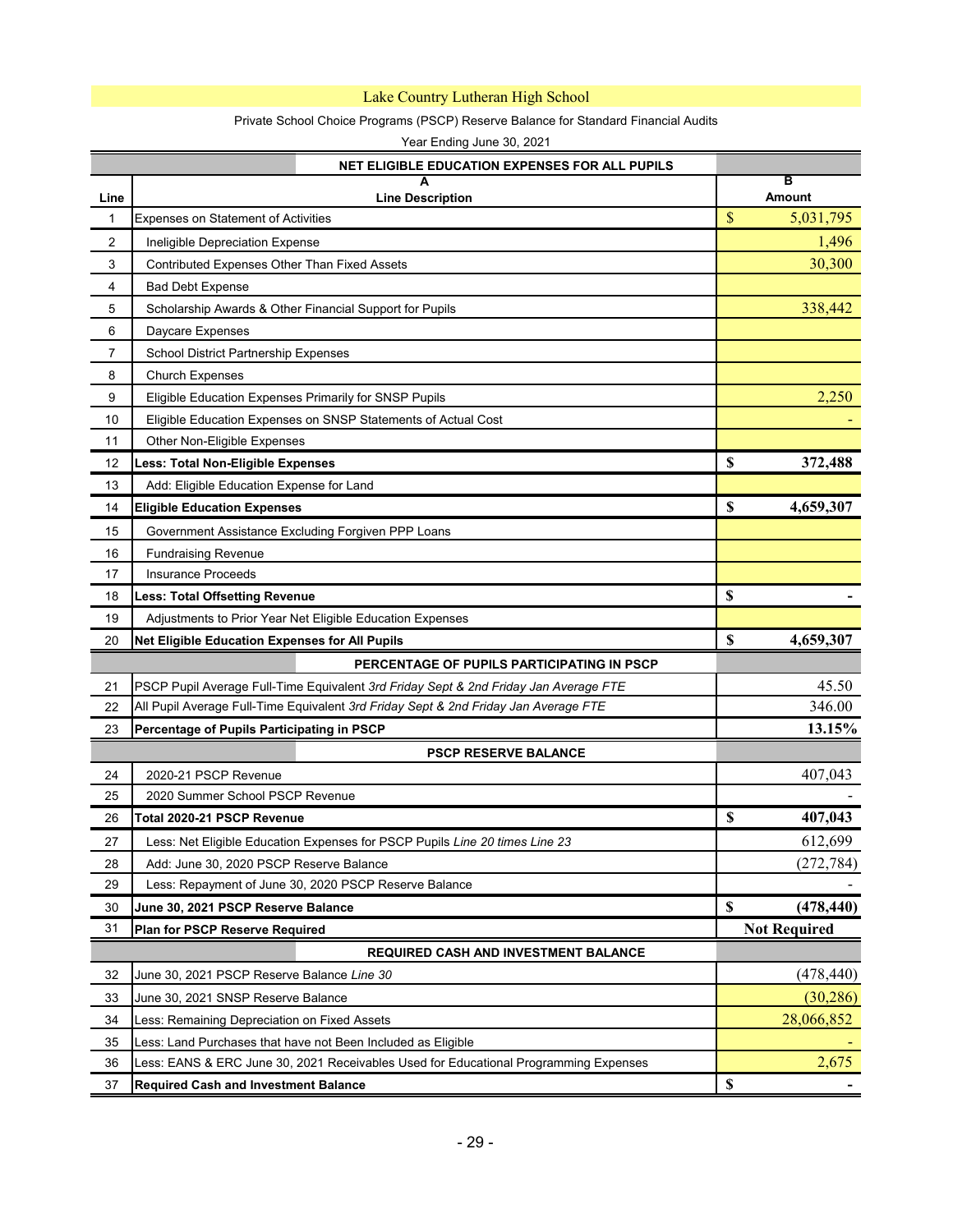# Lake Country Lutheran High School

### Private School Choice Programs (PSCP) Reserve Balance for Standard Financial Audits

|              | Year Ending June 30, 2021                                                            |                           |                     |
|--------------|--------------------------------------------------------------------------------------|---------------------------|---------------------|
|              | <b>NET ELIGIBLE EDUCATION EXPENSES FOR ALL PUPILS</b>                                |                           |                     |
| Line         | <b>Line Description</b>                                                              |                           | в<br><b>Amount</b>  |
| $\mathbf{1}$ | Expenses on Statement of Activities                                                  | \$                        | 5,031,795           |
| 2            | Ineligible Depreciation Expense                                                      |                           | 1,496               |
| 3            | Contributed Expenses Other Than Fixed Assets                                         |                           | 30,300              |
| 4            | <b>Bad Debt Expense</b>                                                              |                           |                     |
| 5            | Scholarship Awards & Other Financial Support for Pupils                              |                           | 338,442             |
| 6            | Daycare Expenses                                                                     |                           |                     |
| 7            | School District Partnership Expenses                                                 |                           |                     |
| 8            | <b>Church Expenses</b>                                                               |                           |                     |
| 9            | Eligible Education Expenses Primarily for SNSP Pupils                                |                           | 2,250               |
| 10           | Eligible Education Expenses on SNSP Statements of Actual Cost                        |                           |                     |
| 11           | Other Non-Eligible Expenses                                                          |                           |                     |
| 12           | Less: Total Non-Eligible Expenses                                                    | S                         | 372,488             |
| 13           | Add: Eligible Education Expense for Land                                             |                           |                     |
| 14           | <b>Eligible Education Expenses</b>                                                   | \$                        | 4,659,307           |
| 15           | Government Assistance Excluding Forgiven PPP Loans                                   |                           |                     |
| 16           | <b>Fundraising Revenue</b>                                                           |                           |                     |
| 17           | <b>Insurance Proceeds</b>                                                            |                           |                     |
| 18           | <b>Less: Total Offsetting Revenue</b>                                                | \$                        |                     |
| 19           | Adjustments to Prior Year Net Eligible Education Expenses                            |                           |                     |
| 20           | Net Eligible Education Expenses for All Pupils                                       | $\mathbf S$               | 4,659,307           |
|              | PERCENTAGE OF PUPILS PARTICIPATING IN PSCP                                           |                           |                     |
| 21           | PSCP Pupil Average Full-Time Equivalent 3rd Friday Sept & 2nd Friday Jan Average FTE |                           | 45.50               |
| 22           | All Pupil Average Full-Time Equivalent 3rd Friday Sept & 2nd Friday Jan Average FTE  |                           | 346.00              |
| 23           | Percentage of Pupils Participating in PSCP                                           |                           | 13.15%              |
|              | <b>PSCP RESERVE BALANCE</b>                                                          |                           |                     |
| 24           | 2020-21 PSCP Revenue                                                                 |                           | 407,043             |
| 25           | 2020 Summer School PSCP Revenue                                                      |                           |                     |
| 26           | Total 2020-21 PSCP Revenue                                                           | \$                        | 407,043             |
| 27           | Less: Net Eligible Education Expenses for PSCP Pupils Line 20 times Line 23          |                           | 612,699             |
| 28           | Add: June 30, 2020 PSCP Reserve Balance                                              |                           | (272, 784)          |
| 29           | Less: Repayment of June 30, 2020 PSCP Reserve Balance                                |                           |                     |
| 30           | June 30, 2021 PSCP Reserve Balance                                                   | $\mathbb S$               | (478, 440)          |
| 31           | Plan for PSCP Reserve Required                                                       |                           | <b>Not Required</b> |
|              | REQUIRED CASH AND INVESTMENT BALANCE                                                 |                           |                     |
| 32           | June 30, 2021 PSCP Reserve Balance Line 30                                           |                           | (478, 440)          |
| 33           | June 30, 2021 SNSP Reserve Balance                                                   |                           | (30, 286)           |
| 34           | Less: Remaining Depreciation on Fixed Assets                                         |                           | 28,066,852          |
| 35           | Less: Land Purchases that have not Been Included as Eligible                         |                           |                     |
| 36           | Less: EANS & ERC June 30, 2021 Receivables Used for Educational Programming Expenses |                           | 2,675               |
| 37           | <b>Required Cash and Investment Balance</b>                                          | $\boldsymbol{\mathsf{S}}$ |                     |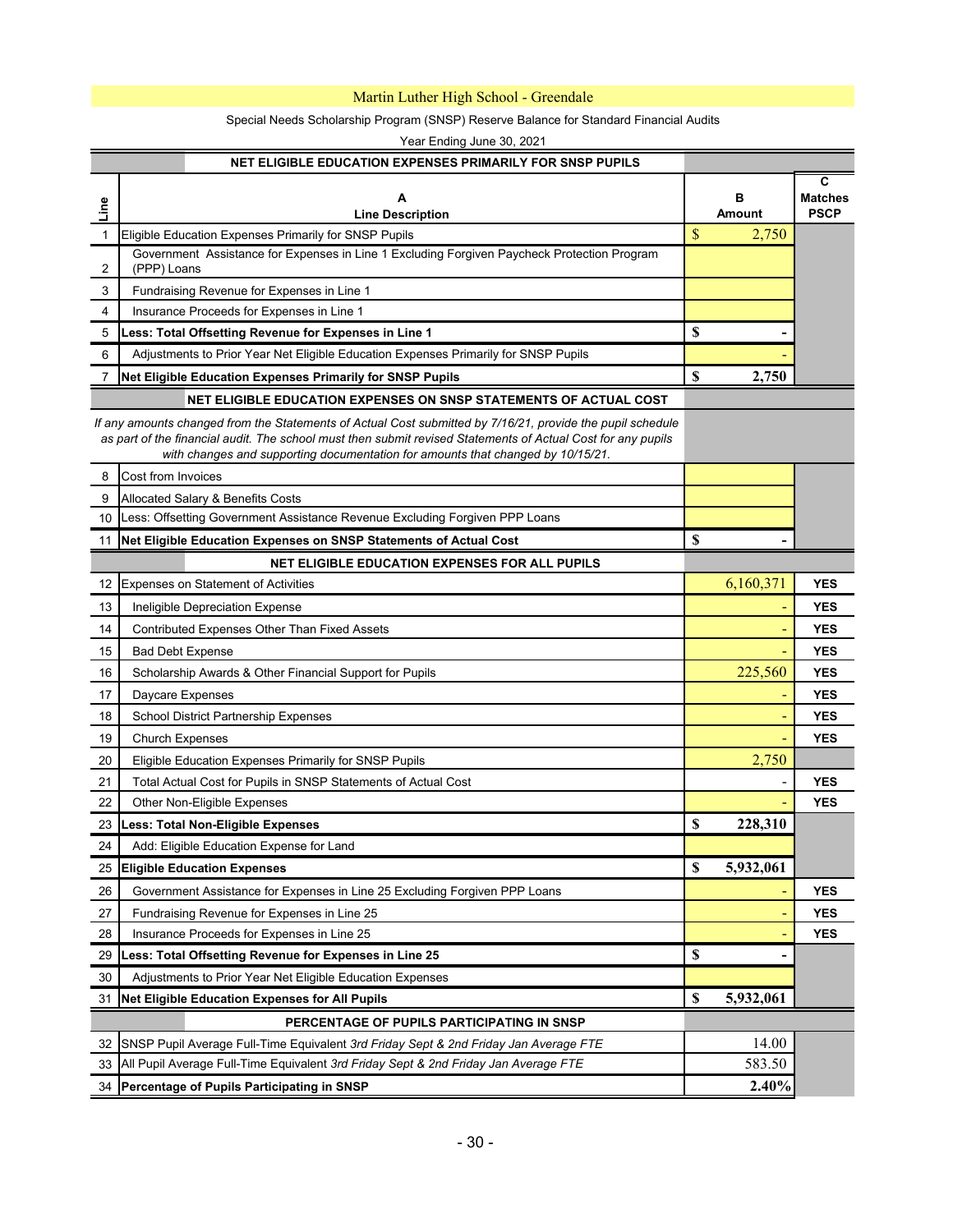#### Martin Luther High School - Greendale

|  | Special Needs Scholarship Program (SNSP) Reserve Balance for Standard Financial Audits |
|--|----------------------------------------------------------------------------------------|
|  |                                                                                        |

| Year Ending June 30, 2021 |  |
|---------------------------|--|
|                           |  |
|                           |  |

|              | NET ELIGIBLE EDUCATION EXPENSES PRIMARILY FOR SNSP PUPILS                                                                                                                                                                                                                                                     |    |             |                                    |
|--------------|---------------------------------------------------------------------------------------------------------------------------------------------------------------------------------------------------------------------------------------------------------------------------------------------------------------|----|-------------|------------------------------------|
| Line         | А<br><b>Line Description</b>                                                                                                                                                                                                                                                                                  |    | в<br>Amount | С<br><b>Matches</b><br><b>PSCP</b> |
| $\mathbf{1}$ | Eligible Education Expenses Primarily for SNSP Pupils                                                                                                                                                                                                                                                         | \$ | 2,750       |                                    |
| 2            | Government Assistance for Expenses in Line 1 Excluding Forgiven Paycheck Protection Program<br>(PPP) Loans                                                                                                                                                                                                    |    |             |                                    |
| 3            | Fundraising Revenue for Expenses in Line 1                                                                                                                                                                                                                                                                    |    |             |                                    |
| 4            | Insurance Proceeds for Expenses in Line 1                                                                                                                                                                                                                                                                     |    |             |                                    |
| 5            | Less: Total Offsetting Revenue for Expenses in Line 1                                                                                                                                                                                                                                                         | S  |             |                                    |
| 6            | Adjustments to Prior Year Net Eligible Education Expenses Primarily for SNSP Pupils                                                                                                                                                                                                                           |    |             |                                    |
|              | Net Eligible Education Expenses Primarily for SNSP Pupils                                                                                                                                                                                                                                                     | \$ | 2,750       |                                    |
|              | NET ELIGIBLE EDUCATION EXPENSES ON SNSP STATEMENTS OF ACTUAL COST                                                                                                                                                                                                                                             |    |             |                                    |
|              | If any amounts changed from the Statements of Actual Cost submitted by 7/16/21, provide the pupil schedule<br>as part of the financial audit. The school must then submit revised Statements of Actual Cost for any pupils<br>with changes and supporting documentation for amounts that changed by 10/15/21. |    |             |                                    |
| 8            | Cost from Invoices                                                                                                                                                                                                                                                                                            |    |             |                                    |
| 9            | Allocated Salary & Benefits Costs                                                                                                                                                                                                                                                                             |    |             |                                    |
|              | 10 Less: Offsetting Government Assistance Revenue Excluding Forgiven PPP Loans                                                                                                                                                                                                                                |    |             |                                    |
|              | 11 Net Eligible Education Expenses on SNSP Statements of Actual Cost                                                                                                                                                                                                                                          | \$ |             |                                    |
|              | <b>NET ELIGIBLE EDUCATION EXPENSES FOR ALL PUPILS</b>                                                                                                                                                                                                                                                         |    |             |                                    |
|              | 12 Expenses on Statement of Activities                                                                                                                                                                                                                                                                        |    | 6,160,371   | <b>YES</b>                         |
| 13           | Ineligible Depreciation Expense                                                                                                                                                                                                                                                                               |    |             | <b>YES</b>                         |
| 14           | Contributed Expenses Other Than Fixed Assets                                                                                                                                                                                                                                                                  |    |             | YES                                |
| 15           | <b>Bad Debt Expense</b>                                                                                                                                                                                                                                                                                       |    |             | <b>YES</b>                         |
| 16           | Scholarship Awards & Other Financial Support for Pupils                                                                                                                                                                                                                                                       |    | 225,560     | <b>YES</b>                         |
| 17           | Daycare Expenses                                                                                                                                                                                                                                                                                              |    |             | <b>YES</b>                         |
| 18           | School District Partnership Expenses                                                                                                                                                                                                                                                                          |    |             | YES                                |
| 19           | <b>Church Expenses</b>                                                                                                                                                                                                                                                                                        |    |             | <b>YES</b>                         |
| 20           | Eligible Education Expenses Primarily for SNSP Pupils                                                                                                                                                                                                                                                         |    | 2,750       |                                    |
| 21           | Total Actual Cost for Pupils in SNSP Statements of Actual Cost                                                                                                                                                                                                                                                |    |             | <b>YES</b>                         |
| 22           | Other Non-Eligible Expenses                                                                                                                                                                                                                                                                                   |    |             | <b>YES</b>                         |
| 23           | <b>Less: Total Non-Eligible Expenses</b>                                                                                                                                                                                                                                                                      | \$ | 228,310     |                                    |
| 24           | Add: Eligible Education Expense for Land                                                                                                                                                                                                                                                                      |    |             |                                    |
| 25           | <b>Eligible Education Expenses</b>                                                                                                                                                                                                                                                                            | \$ | 5,932,061   |                                    |
| 26           | Government Assistance for Expenses in Line 25 Excluding Forgiven PPP Loans                                                                                                                                                                                                                                    |    |             | <b>YES</b>                         |
| 27           | Fundraising Revenue for Expenses in Line 25                                                                                                                                                                                                                                                                   |    |             | <b>YES</b>                         |
| 28           | Insurance Proceeds for Expenses in Line 25                                                                                                                                                                                                                                                                    |    |             | <b>YES</b>                         |
| 29           | Less: Total Offsetting Revenue for Expenses in Line 25                                                                                                                                                                                                                                                        | \$ |             |                                    |
| 30           | Adjustments to Prior Year Net Eligible Education Expenses                                                                                                                                                                                                                                                     |    |             |                                    |
| 31           | Net Eligible Education Expenses for All Pupils                                                                                                                                                                                                                                                                | \$ | 5,932,061   |                                    |
|              | PERCENTAGE OF PUPILS PARTICIPATING IN SNSP                                                                                                                                                                                                                                                                    |    |             |                                    |
| 32           | <b>ISNSP Pupil Average Full-Time Equivalent 3rd Friday Sept &amp; 2nd Friday Jan Average FTE</b>                                                                                                                                                                                                              |    | 14.00       |                                    |
| 33           | All Pupil Average Full-Time Equivalent 3rd Friday Sept & 2nd Friday Jan Average FTE                                                                                                                                                                                                                           |    | 583.50      |                                    |
|              | 34 Percentage of Pupils Participating in SNSP                                                                                                                                                                                                                                                                 |    | 2.40%       |                                    |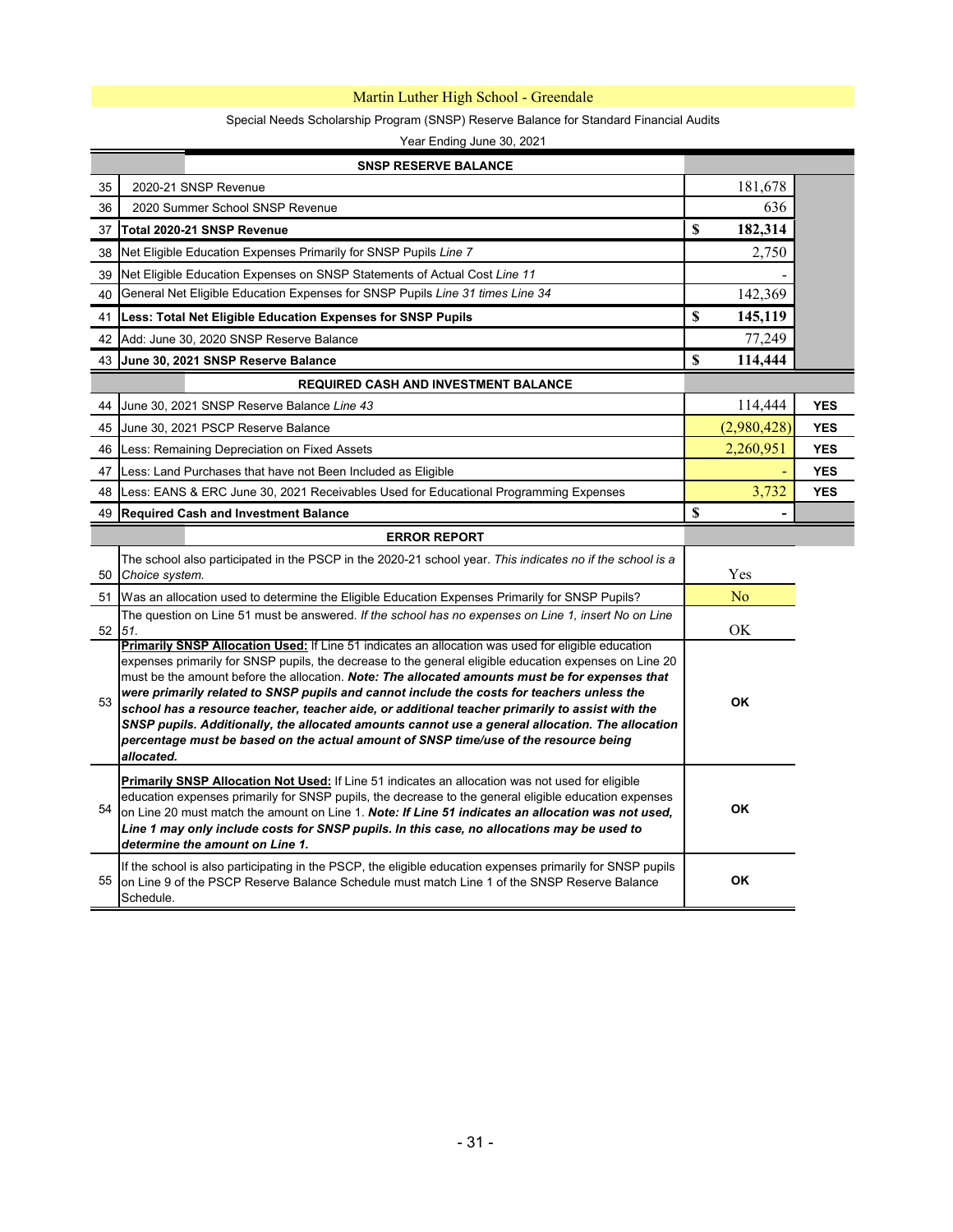# Martin Luther High School - Greendale

# Special Needs Scholarship Program (SNSP) Reserve Balance for Standard Financial Audits

|      | Year Ending June 30, 2021                                                                                                                                                                                                                                                                                                                                                                                                                                                                                                                                                                                                                                                                                                  |    |                |            |
|------|----------------------------------------------------------------------------------------------------------------------------------------------------------------------------------------------------------------------------------------------------------------------------------------------------------------------------------------------------------------------------------------------------------------------------------------------------------------------------------------------------------------------------------------------------------------------------------------------------------------------------------------------------------------------------------------------------------------------------|----|----------------|------------|
|      | <b>SNSP RESERVE BALANCE</b>                                                                                                                                                                                                                                                                                                                                                                                                                                                                                                                                                                                                                                                                                                |    |                |            |
| 35   | 2020-21 SNSP Revenue                                                                                                                                                                                                                                                                                                                                                                                                                                                                                                                                                                                                                                                                                                       |    | 181,678        |            |
| 36   | 2020 Summer School SNSP Revenue                                                                                                                                                                                                                                                                                                                                                                                                                                                                                                                                                                                                                                                                                            |    | 636            |            |
|      | 37 Total 2020-21 SNSP Revenue                                                                                                                                                                                                                                                                                                                                                                                                                                                                                                                                                                                                                                                                                              | \$ | 182,314        |            |
|      | 38 Net Eligible Education Expenses Primarily for SNSP Pupils Line 7                                                                                                                                                                                                                                                                                                                                                                                                                                                                                                                                                                                                                                                        |    | 2,750          |            |
| 39   | Net Eligible Education Expenses on SNSP Statements of Actual Cost Line 11                                                                                                                                                                                                                                                                                                                                                                                                                                                                                                                                                                                                                                                  |    |                |            |
| 40   | General Net Eligible Education Expenses for SNSP Pupils Line 31 times Line 34                                                                                                                                                                                                                                                                                                                                                                                                                                                                                                                                                                                                                                              |    | 142,369        |            |
| 41 I | Less: Total Net Eligible Education Expenses for SNSP Pupils                                                                                                                                                                                                                                                                                                                                                                                                                                                                                                                                                                                                                                                                | S  | 145,119        |            |
|      | 42 Add: June 30, 2020 SNSP Reserve Balance                                                                                                                                                                                                                                                                                                                                                                                                                                                                                                                                                                                                                                                                                 |    | 77,249         |            |
|      | 43 June 30, 2021 SNSP Reserve Balance                                                                                                                                                                                                                                                                                                                                                                                                                                                                                                                                                                                                                                                                                      | \$ | 114,444        |            |
|      | <b>REQUIRED CASH AND INVESTMENT BALANCE</b>                                                                                                                                                                                                                                                                                                                                                                                                                                                                                                                                                                                                                                                                                |    |                |            |
| 44   | June 30, 2021 SNSP Reserve Balance Line 43                                                                                                                                                                                                                                                                                                                                                                                                                                                                                                                                                                                                                                                                                 |    | 114,444        | <b>YES</b> |
| 45   | June 30, 2021 PSCP Reserve Balance                                                                                                                                                                                                                                                                                                                                                                                                                                                                                                                                                                                                                                                                                         |    | (2,980,428)    | <b>YES</b> |
| 46   | Less: Remaining Depreciation on Fixed Assets                                                                                                                                                                                                                                                                                                                                                                                                                                                                                                                                                                                                                                                                               |    | 2,260,951      | <b>YES</b> |
| 47   | Less: Land Purchases that have not Been Included as Eligible                                                                                                                                                                                                                                                                                                                                                                                                                                                                                                                                                                                                                                                               |    |                | <b>YES</b> |
|      | 48 Less: EANS & ERC June 30, 2021 Receivables Used for Educational Programming Expenses                                                                                                                                                                                                                                                                                                                                                                                                                                                                                                                                                                                                                                    |    | 3,732          | <b>YES</b> |
|      | 49   Required Cash and Investment Balance                                                                                                                                                                                                                                                                                                                                                                                                                                                                                                                                                                                                                                                                                  | \$ |                |            |
|      | <b>ERROR REPORT</b>                                                                                                                                                                                                                                                                                                                                                                                                                                                                                                                                                                                                                                                                                                        |    |                |            |
| 50   | The school also participated in the PSCP in the 2020-21 school year. This indicates no if the school is a<br>Choice system.                                                                                                                                                                                                                                                                                                                                                                                                                                                                                                                                                                                                |    | Yes            |            |
| 51   | Was an allocation used to determine the Eligible Education Expenses Primarily for SNSP Pupils?                                                                                                                                                                                                                                                                                                                                                                                                                                                                                                                                                                                                                             |    | N <sub>o</sub> |            |
| 52   | The question on Line 51 must be answered. If the school has no expenses on Line 1, insert No on Line<br>51.                                                                                                                                                                                                                                                                                                                                                                                                                                                                                                                                                                                                                |    | OK.            |            |
| 53   | Primarily SNSP Allocation Used: If Line 51 indicates an allocation was used for eligible education<br>expenses primarily for SNSP pupils, the decrease to the general eligible education expenses on Line 20<br>must be the amount before the allocation. Note: The allocated amounts must be for expenses that<br>were primarily related to SNSP pupils and cannot include the costs for teachers unless the<br>school has a resource teacher, teacher aide, or additional teacher primarily to assist with the<br>SNSP pupils. Additionally, the allocated amounts cannot use a general allocation. The allocation<br>percentage must be based on the actual amount of SNSP time/use of the resource being<br>allocated. |    | OK             |            |
| 54   | <b>Primarily SNSP Allocation Not Used:</b> If Line 51 indicates an allocation was not used for eligible<br>education expenses primarily for SNSP pupils, the decrease to the general eligible education expenses<br>on Line 20 must match the amount on Line 1. Note: If Line 51 indicates an allocation was not used,<br>Line 1 may only include costs for SNSP pupils. In this case, no allocations may be used to<br>determine the amount on Line 1.                                                                                                                                                                                                                                                                    |    | <b>OK</b>      |            |
| 55   | If the school is also participating in the PSCP, the eligible education expenses primarily for SNSP pupils<br>on Line 9 of the PSCP Reserve Balance Schedule must match Line 1 of the SNSP Reserve Balance<br>Schedule.                                                                                                                                                                                                                                                                                                                                                                                                                                                                                                    |    | ΟK             |            |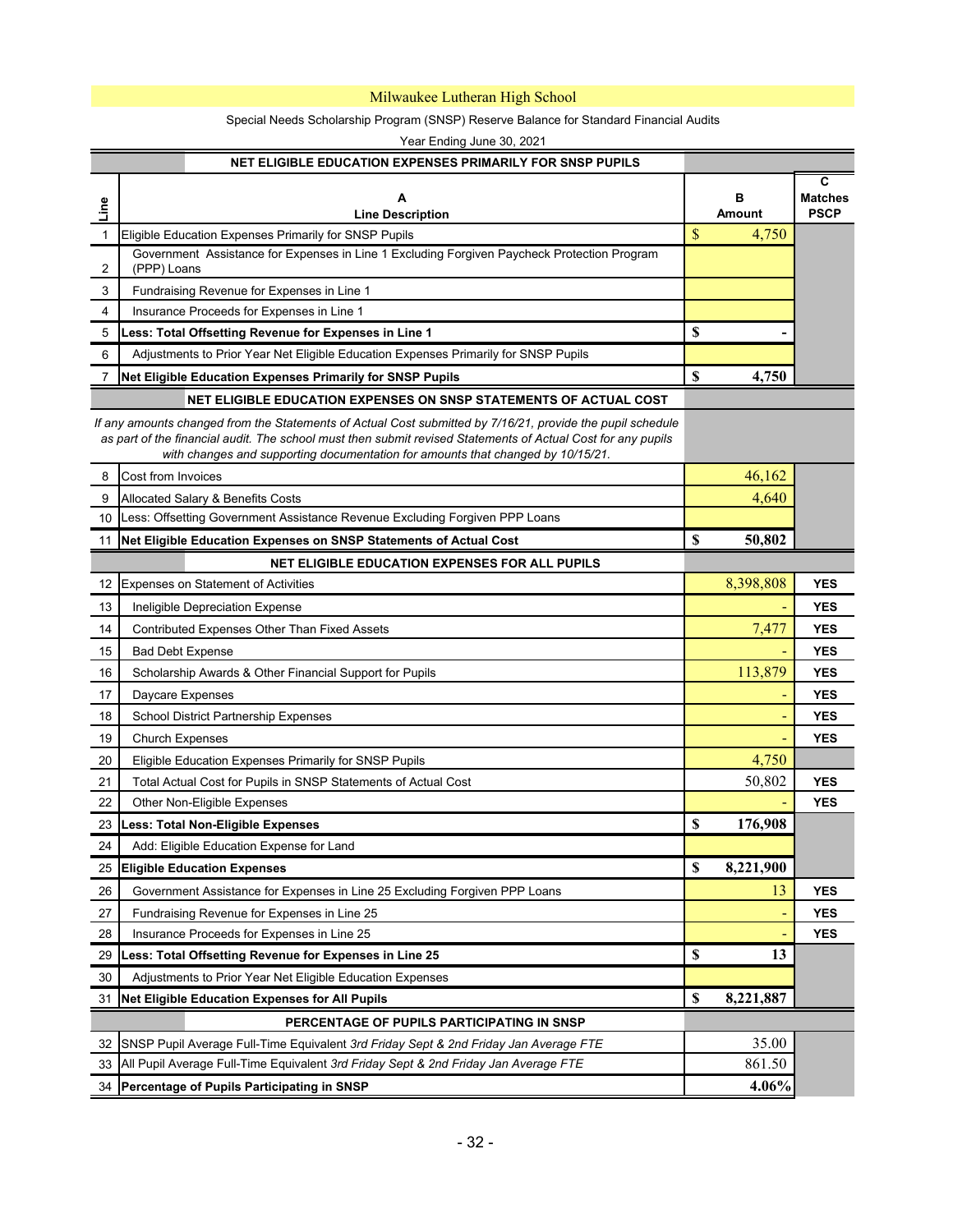#### Milwaukee Lutheran High School

|  | Special Needs Scholarship Program (SNSP) Reserve Balance for Standard Financial Audits |
|--|----------------------------------------------------------------------------------------|
|  |                                                                                        |

|              | Year Ending June 30, 2021                                                                                                                                                                                                                                                                                     |              |             |                                    |
|--------------|---------------------------------------------------------------------------------------------------------------------------------------------------------------------------------------------------------------------------------------------------------------------------------------------------------------|--------------|-------------|------------------------------------|
|              | NET ELIGIBLE EDUCATION EXPENSES PRIMARILY FOR SNSP PUPILS                                                                                                                                                                                                                                                     |              |             |                                    |
| Line         | <b>Line Description</b>                                                                                                                                                                                                                                                                                       |              | в<br>Amount | C<br><b>Matches</b><br><b>PSCP</b> |
| $\mathbf{1}$ | Eligible Education Expenses Primarily for SNSP Pupils                                                                                                                                                                                                                                                         | $\mathbb{S}$ | 4,750       |                                    |
| 2            | Government Assistance for Expenses in Line 1 Excluding Forgiven Paycheck Protection Program<br>(PPP) Loans                                                                                                                                                                                                    |              |             |                                    |
| 3            | Fundraising Revenue for Expenses in Line 1                                                                                                                                                                                                                                                                    |              |             |                                    |
| 4            | Insurance Proceeds for Expenses in Line 1                                                                                                                                                                                                                                                                     |              |             |                                    |
| 5            | Less: Total Offsetting Revenue for Expenses in Line 1                                                                                                                                                                                                                                                         | S            |             |                                    |
| 6            | Adjustments to Prior Year Net Eligible Education Expenses Primarily for SNSP Pupils                                                                                                                                                                                                                           |              |             |                                    |
| 7            | Net Eligible Education Expenses Primarily for SNSP Pupils                                                                                                                                                                                                                                                     | \$           | 4,750       |                                    |
|              | NET ELIGIBLE EDUCATION EXPENSES ON SNSP STATEMENTS OF ACTUAL COST                                                                                                                                                                                                                                             |              |             |                                    |
|              | If any amounts changed from the Statements of Actual Cost submitted by 7/16/21, provide the pupil schedule<br>as part of the financial audit. The school must then submit revised Statements of Actual Cost for any pupils<br>with changes and supporting documentation for amounts that changed by 10/15/21. |              |             |                                    |
| 8            | Cost from Invoices                                                                                                                                                                                                                                                                                            |              | 46,162      |                                    |
| 9            | Allocated Salary & Benefits Costs                                                                                                                                                                                                                                                                             |              | 4,640       |                                    |
| 10           | Less: Offsetting Government Assistance Revenue Excluding Forgiven PPP Loans                                                                                                                                                                                                                                   |              |             |                                    |
| 11           | Net Eligible Education Expenses on SNSP Statements of Actual Cost                                                                                                                                                                                                                                             | $\mathbf S$  | 50,802      |                                    |
|              | NET ELIGIBLE EDUCATION EXPENSES FOR ALL PUPILS                                                                                                                                                                                                                                                                |              |             |                                    |
| 12           | <b>Expenses on Statement of Activities</b>                                                                                                                                                                                                                                                                    |              | 8,398,808   | <b>YES</b>                         |
| 13           | Ineligible Depreciation Expense                                                                                                                                                                                                                                                                               |              |             | <b>YES</b>                         |
| 14           | Contributed Expenses Other Than Fixed Assets                                                                                                                                                                                                                                                                  |              | 7,477       | <b>YES</b>                         |
| 15           | <b>Bad Debt Expense</b>                                                                                                                                                                                                                                                                                       |              |             | <b>YES</b>                         |
| 16           | Scholarship Awards & Other Financial Support for Pupils                                                                                                                                                                                                                                                       |              | 113,879     | <b>YES</b>                         |
| 17           | Daycare Expenses                                                                                                                                                                                                                                                                                              |              |             | YES                                |
| 18           | School District Partnership Expenses                                                                                                                                                                                                                                                                          |              |             | <b>YES</b>                         |
| 19           | <b>Church Expenses</b>                                                                                                                                                                                                                                                                                        |              |             | <b>YES</b>                         |
| 20           | Eligible Education Expenses Primarily for SNSP Pupils                                                                                                                                                                                                                                                         |              | 4,750       |                                    |
| 21           | Total Actual Cost for Pupils in SNSP Statements of Actual Cost                                                                                                                                                                                                                                                |              | 50,802      | <b>YES</b>                         |
| 22           | Other Non-Eligible Expenses                                                                                                                                                                                                                                                                                   |              |             | <b>YES</b>                         |
|              | 23 Less: Total Non-Eligible Expenses                                                                                                                                                                                                                                                                          | \$           | 176,908     |                                    |
| 24           | Add: Eligible Education Expense for Land                                                                                                                                                                                                                                                                      |              |             |                                    |
| 25           | <b>Eligible Education Expenses</b>                                                                                                                                                                                                                                                                            | \$           | 8,221,900   |                                    |
| 26           | Government Assistance for Expenses in Line 25 Excluding Forgiven PPP Loans                                                                                                                                                                                                                                    |              | 13          | <b>YES</b>                         |
| 27           | Fundraising Revenue for Expenses in Line 25                                                                                                                                                                                                                                                                   |              |             | YES                                |
| 28           | Insurance Proceeds for Expenses in Line 25                                                                                                                                                                                                                                                                    |              |             | <b>YES</b>                         |
| 29           | Less: Total Offsetting Revenue for Expenses in Line 25                                                                                                                                                                                                                                                        | \$           | 13          |                                    |
| 30           | Adjustments to Prior Year Net Eligible Education Expenses                                                                                                                                                                                                                                                     |              |             |                                    |
| 31           | Net Eligible Education Expenses for All Pupils                                                                                                                                                                                                                                                                | \$           | 8,221,887   |                                    |
|              | PERCENTAGE OF PUPILS PARTICIPATING IN SNSP                                                                                                                                                                                                                                                                    |              |             |                                    |
| 32           | SNSP Pupil Average Full-Time Equivalent 3rd Friday Sept & 2nd Friday Jan Average FTE                                                                                                                                                                                                                          |              | 35.00       |                                    |
| 33           | All Pupil Average Full-Time Equivalent 3rd Friday Sept & 2nd Friday Jan Average FTE                                                                                                                                                                                                                           |              | 861.50      |                                    |

- 32 -

34 **4.06% Percentage of Pupils Participating in SNSP**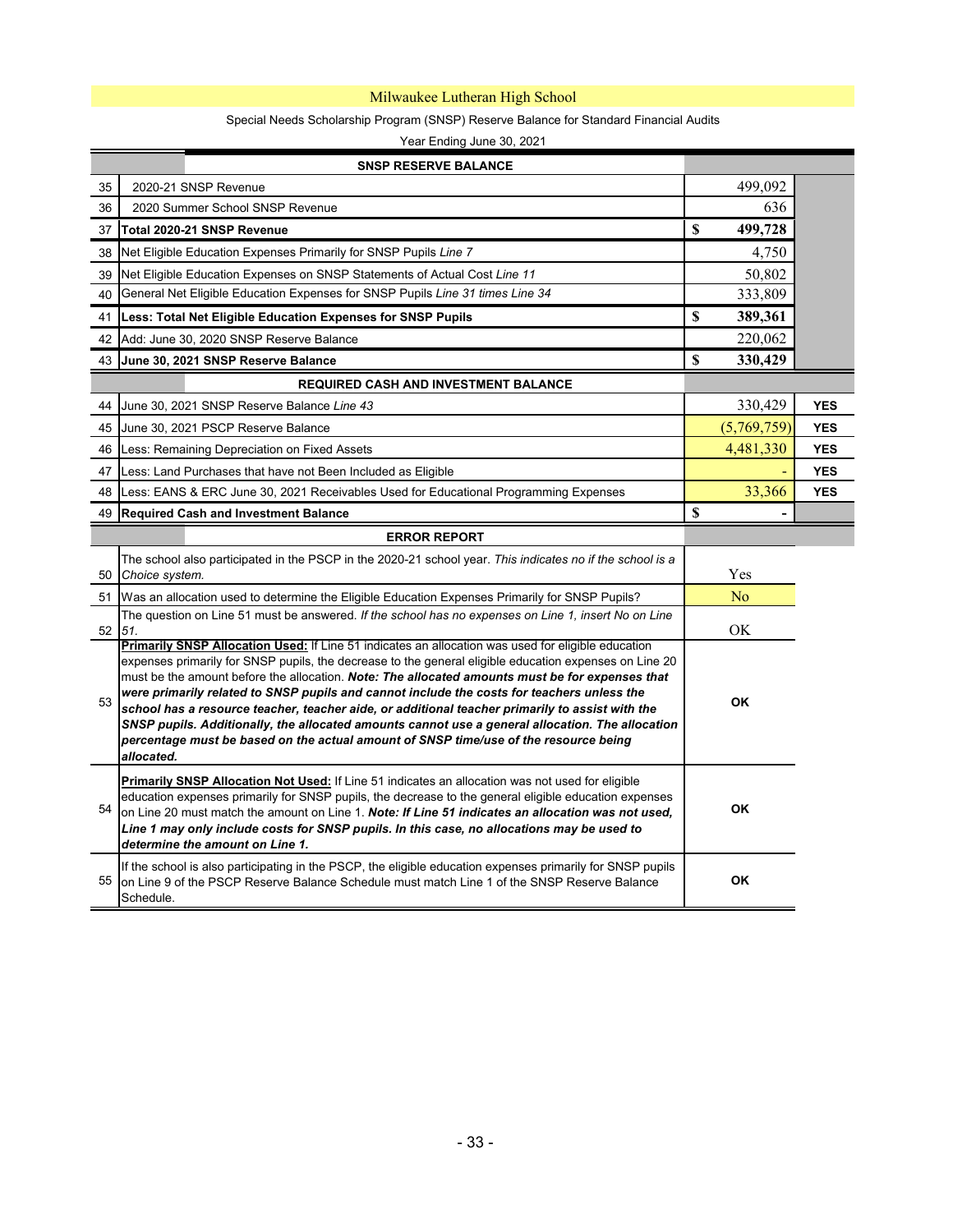# Milwaukee Lutheran High School

# Special Needs Scholarship Program (SNSP) Reserve Balance for Standard Financial Audits

|    | Year Ending June 30, 2021                                                                                                                                                                                   |    |                |            |
|----|-------------------------------------------------------------------------------------------------------------------------------------------------------------------------------------------------------------|----|----------------|------------|
|    | <b>SNSP RESERVE BALANCE</b>                                                                                                                                                                                 |    |                |            |
| 35 | 2020-21 SNSP Revenue                                                                                                                                                                                        |    | 499,092        |            |
| 36 | 2020 Summer School SNSP Revenue                                                                                                                                                                             |    | 636            |            |
|    | 37 Total 2020-21 SNSP Revenue                                                                                                                                                                               | \$ | 499,728        |            |
|    | 38 Net Eligible Education Expenses Primarily for SNSP Pupils Line 7                                                                                                                                         |    | 4,750          |            |
| 39 | Net Eligible Education Expenses on SNSP Statements of Actual Cost Line 11                                                                                                                                   |    | 50,802         |            |
| 40 | General Net Eligible Education Expenses for SNSP Pupils Line 31 times Line 34                                                                                                                               |    | 333,809        |            |
|    | 41   Less: Total Net Eligible Education Expenses for SNSP Pupils                                                                                                                                            | S  | 389,361        |            |
|    | 42 Add: June 30, 2020 SNSP Reserve Balance                                                                                                                                                                  |    | 220,062        |            |
|    | 43 June 30, 2021 SNSP Reserve Balance                                                                                                                                                                       | \$ | 330,429        |            |
|    | <b>REQUIRED CASH AND INVESTMENT BALANCE</b>                                                                                                                                                                 |    |                |            |
| 44 | June 30, 2021 SNSP Reserve Balance Line 43                                                                                                                                                                  |    | 330,429        | <b>YES</b> |
| 45 | June 30, 2021 PSCP Reserve Balance                                                                                                                                                                          |    | (5,769,759)    | <b>YES</b> |
| 46 | Less: Remaining Depreciation on Fixed Assets                                                                                                                                                                |    | 4,481,330      | <b>YES</b> |
| 47 | Less: Land Purchases that have not Been Included as Eligible                                                                                                                                                |    |                | <b>YES</b> |
| 48 | Less: EANS & ERC June 30, 2021 Receivables Used for Educational Programming Expenses                                                                                                                        |    | 33,366         | <b>YES</b> |
|    | 49 Required Cash and Investment Balance                                                                                                                                                                     | \$ |                |            |
|    |                                                                                                                                                                                                             |    |                |            |
|    | <b>ERROR REPORT</b>                                                                                                                                                                                         |    |                |            |
|    | The school also participated in the PSCP in the 2020-21 school year. This indicates no if the school is a                                                                                                   |    |                |            |
| 50 | Choice system.                                                                                                                                                                                              |    | Yes            |            |
|    | 51 Was an allocation used to determine the Eligible Education Expenses Primarily for SNSP Pupils?                                                                                                           |    | N <sub>o</sub> |            |
|    | The question on Line 51 must be answered. If the school has no expenses on Line 1, insert No on Line                                                                                                        |    |                |            |
| 52 | 51.<br><b>Primarily SNSP Allocation Used:</b> If Line 51 indicates an allocation was used for eligible education                                                                                            |    | OK             |            |
|    | expenses primarily for SNSP pupils, the decrease to the general eligible education expenses on Line 20<br>must be the amount before the allocation. Note: The allocated amounts must be for expenses that   |    |                |            |
| 53 | were primarily related to SNSP pupils and cannot include the costs for teachers unless the                                                                                                                  |    | <b>OK</b>      |            |
|    | school has a resource teacher, teacher aide, or additional teacher primarily to assist with the<br>SNSP pupils. Additionally, the allocated amounts cannot use a general allocation. The allocation         |    |                |            |
|    | percentage must be based on the actual amount of SNSP time/use of the resource being<br>allocated.                                                                                                          |    |                |            |
|    | Primarily SNSP Allocation Not Used: If Line 51 indicates an allocation was not used for eligible                                                                                                            |    |                |            |
| 54 | education expenses primarily for SNSP pupils, the decrease to the general eligible education expenses<br>on Line 20 must match the amount on Line 1. Note: If Line 51 indicates an allocation was not used, |    | ΟK             |            |
|    | Line 1 may only include costs for SNSP pupils. In this case, no allocations may be used to<br>determine the amount on Line 1.                                                                               |    |                |            |
| 55 | If the school is also participating in the PSCP, the eligible education expenses primarily for SNSP pupils<br>on Line 9 of the PSCP Reserve Balance Schedule must match Line 1 of the SNSP Reserve Balance  |    | <b>OK</b>      |            |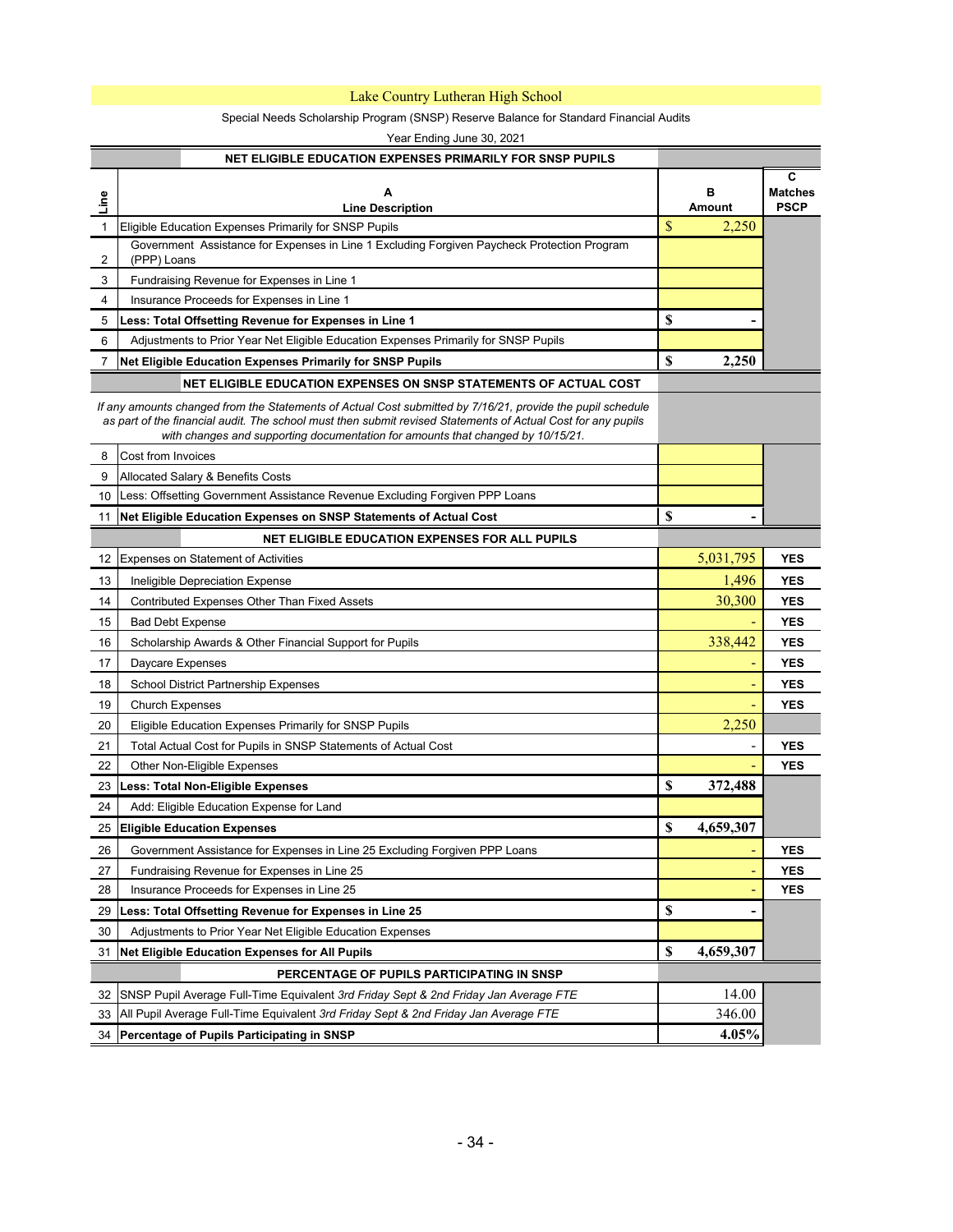#### Lake Country Lutheran High School

#### Special Needs Scholarship Program (SNSP) Reserve Balance for Standard Financial Audits

Year Ending June 30, 2021

|      | NET ELIGIBLE EDUCATION EXPENSES PRIMARILY FOR SNSP PUPILS                                                                                                                                                                                                                                                     |              |                    |                                    |
|------|---------------------------------------------------------------------------------------------------------------------------------------------------------------------------------------------------------------------------------------------------------------------------------------------------------------|--------------|--------------------|------------------------------------|
| Line | А<br><b>Line Description</b>                                                                                                                                                                                                                                                                                  |              | в<br><b>Amount</b> | С<br><b>Matches</b><br><b>PSCP</b> |
| 1    | Eligible Education Expenses Primarily for SNSP Pupils                                                                                                                                                                                                                                                         | $\mathbb{S}$ | 2,250              |                                    |
| 2    | Government Assistance for Expenses in Line 1 Excluding Forgiven Paycheck Protection Program<br>(PPP) Loans                                                                                                                                                                                                    |              |                    |                                    |
| 3    | Fundraising Revenue for Expenses in Line 1                                                                                                                                                                                                                                                                    |              |                    |                                    |
| 4    | Insurance Proceeds for Expenses in Line 1                                                                                                                                                                                                                                                                     |              |                    |                                    |
| 5    | Less: Total Offsetting Revenue for Expenses in Line 1                                                                                                                                                                                                                                                         | \$           |                    |                                    |
| 6    | Adjustments to Prior Year Net Eligible Education Expenses Primarily for SNSP Pupils                                                                                                                                                                                                                           |              |                    |                                    |
| 7    | <b>Net Eligible Education Expenses Primarily for SNSP Pupils</b>                                                                                                                                                                                                                                              | S            | 2,250              |                                    |
|      | NET ELIGIBLE EDUCATION EXPENSES ON SNSP STATEMENTS OF ACTUAL COST                                                                                                                                                                                                                                             |              |                    |                                    |
|      | If any amounts changed from the Statements of Actual Cost submitted by 7/16/21, provide the pupil schedule<br>as part of the financial audit. The school must then submit revised Statements of Actual Cost for any pupils<br>with changes and supporting documentation for amounts that changed by 10/15/21. |              |                    |                                    |
| 8    | Cost from Invoices                                                                                                                                                                                                                                                                                            |              |                    |                                    |
| 9    | Allocated Salary & Benefits Costs                                                                                                                                                                                                                                                                             |              |                    |                                    |
| 10   | Less: Offsetting Government Assistance Revenue Excluding Forgiven PPP Loans                                                                                                                                                                                                                                   |              |                    |                                    |
| 11   | Net Eligible Education Expenses on SNSP Statements of Actual Cost                                                                                                                                                                                                                                             | \$           |                    |                                    |
|      | <b>NET ELIGIBLE EDUCATION EXPENSES FOR ALL PUPILS</b>                                                                                                                                                                                                                                                         |              |                    |                                    |
| 12   | Expenses on Statement of Activities                                                                                                                                                                                                                                                                           |              | 5,031,795          | <b>YES</b>                         |
| 13   | Ineligible Depreciation Expense                                                                                                                                                                                                                                                                               |              | 1,496              | <b>YES</b>                         |
| 14   | Contributed Expenses Other Than Fixed Assets                                                                                                                                                                                                                                                                  |              | 30,300             | <b>YES</b>                         |
| 15   | <b>Bad Debt Expense</b>                                                                                                                                                                                                                                                                                       |              |                    | <b>YES</b>                         |
| 16   | Scholarship Awards & Other Financial Support for Pupils                                                                                                                                                                                                                                                       |              | 338,442            | <b>YES</b>                         |
| 17   | Daycare Expenses                                                                                                                                                                                                                                                                                              |              |                    | <b>YES</b>                         |
| 18   | School District Partnership Expenses                                                                                                                                                                                                                                                                          |              |                    | <b>YES</b>                         |
| 19   | <b>Church Expenses</b>                                                                                                                                                                                                                                                                                        |              |                    | <b>YES</b>                         |
| 20   | Eligible Education Expenses Primarily for SNSP Pupils                                                                                                                                                                                                                                                         |              | 2,250              |                                    |
| 21   | Total Actual Cost for Pupils in SNSP Statements of Actual Cost                                                                                                                                                                                                                                                |              |                    | <b>YES</b>                         |
| 22   | Other Non-Eligible Expenses                                                                                                                                                                                                                                                                                   |              |                    | <b>YES</b>                         |
| 23   | Less: Total Non-Eligible Expenses                                                                                                                                                                                                                                                                             | S            | 372,488            |                                    |
| 24   | Add: Eligible Education Expense for Land                                                                                                                                                                                                                                                                      |              |                    |                                    |
| 25   | <b>Eligible Education Expenses</b>                                                                                                                                                                                                                                                                            | \$           | 4,659,307          |                                    |
| 26   | Government Assistance for Expenses in Line 25 Excluding Forgiven PPP Loans                                                                                                                                                                                                                                    |              |                    | YES                                |
| 27   | Fundraising Revenue for Expenses in Line 25                                                                                                                                                                                                                                                                   |              |                    | YES                                |
| 28   | Insurance Proceeds for Expenses in Line 25                                                                                                                                                                                                                                                                    |              |                    | YES                                |
| 29   | Less: Total Offsetting Revenue for Expenses in Line 25                                                                                                                                                                                                                                                        | S            |                    |                                    |
| 30   | Adjustments to Prior Year Net Eligible Education Expenses                                                                                                                                                                                                                                                     |              |                    |                                    |
| 31   | <b>Net Eligible Education Expenses for All Pupils</b>                                                                                                                                                                                                                                                         | \$           | 4,659,307          |                                    |
|      | PERCENTAGE OF PUPILS PARTICIPATING IN SNSP                                                                                                                                                                                                                                                                    |              |                    |                                    |
| 32   | SNSP Pupil Average Full-Time Equivalent 3rd Friday Sept & 2nd Friday Jan Average FTE                                                                                                                                                                                                                          |              | 14.00              |                                    |
| 33   | All Pupil Average Full-Time Equivalent 3rd Friday Sept & 2nd Friday Jan Average FTE                                                                                                                                                                                                                           |              | 346.00             |                                    |
| 34 I | Percentage of Pupils Participating in SNSP                                                                                                                                                                                                                                                                    |              | 4.05%              |                                    |